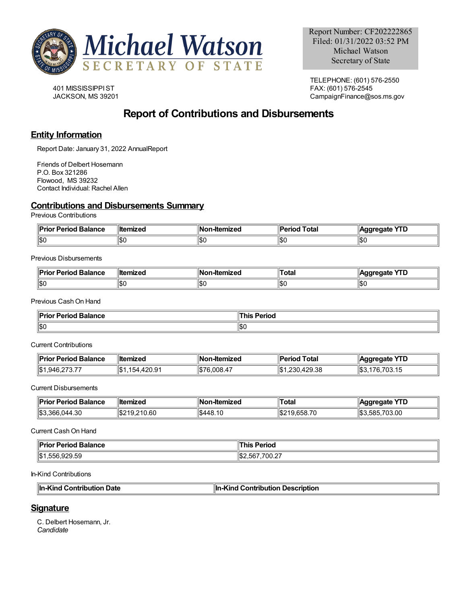

401 MISSISSIPPIST JACKSON, MS 39201

TELEPHONE: (601) 576-2550 FAX: (601) 576-2545 CampaignFinance@sos.ms.gov

# **Report of Contributions and Disbursements**

### **Entity Information**

Report Date: January 31, 2022 AnnualReport

Friends of Delbert Hosemann P.O. Box 321286 Flowood, MS 39232 Contact Individual: Rachel Allen

### **Contributions and Disbursements Summary**

Previous Contributions

| ¶D⊶i.<br>or Period Balance<br>יונ. | <b>∥ltemized</b> | Nc<br>-Itemized | Total<br>'erioc | $\sqrt{10}$<br>dareaate<br>. . L |
|------------------------------------|------------------|-----------------|-----------------|----------------------------------|
| 11SC                               | ا⊅∪              | 1\$O            | ا ∩∩ا<br>טרטו   | 10.1<br>⊪ວເ                      |

Previous Disbursements

| <b>Balance</b><br>Joriad<br>---<br>тк | ा‼ा<br>.    | lN<br>-Itemizec | otal | ин<br>.<br>-- |
|---------------------------------------|-------------|-----------------|------|---------------|
| 11\$0                                 | ا ۱۵<br>שטו | 11\$C           | ∪סו  | ∥\$(          |

Previous CashOn Hand

| Pri<br><b>Period Balance</b><br>$- -$<br>ΊΙΟ. | $\blacksquare$<br>erioc, |
|-----------------------------------------------|--------------------------|
| ∥\$0                                          | \$0                      |

Current Contributions

| <b>Prior Period Balance</b> | ∥ltemized   | <b>∥Non-Itemized</b> | d Total<br>Period | Aggregate YTD          |
|-----------------------------|-------------|----------------------|-------------------|------------------------|
| $\  $1,946,273.77$          | .154.420.91 | ll\$76.008.47        | 1.230.429.38      | - IS3.1.<br>176.703.15 |

Current Disbursements

| ‼Pri<br><b>Balance</b><br>.r Perior<br>пι | ⊪ltemized            | lN<br>emized<br>-ner               | ⊺otal                           | <u>v rr</u><br>онте<br>טו |
|-------------------------------------------|----------------------|------------------------------------|---------------------------------|---------------------------|
| 11.S.<br>4.30<br>366<br>1144              | 0.60<br>. .<br>I JDZ | $\frac{1}{3448}$<br>$\overline{ }$ | $\overline{\phantom{a}}$<br>. . | 1\$3<br>703.00<br>nxn     |

Current CashOn Hand

| <b>Prior Period</b>            | Period               |
|--------------------------------|----------------------|
| ' Balance                      | <b>his</b>           |
| .                              |                      |
| ∥\$1<br>0.0055<br>1,556,929.59 | ,700.27<br>152.567.7 |

In-Kind Contributions

| ⊪In-Kind Contribution Date<br>In-Kind Contribution Description |  |
|----------------------------------------------------------------|--|
|                                                                |  |

## **Signature**

C. Delbert Hosemann, Jr. *Candidate*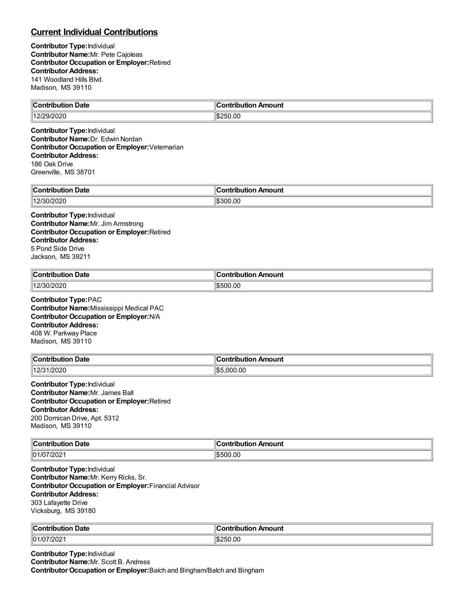## **Current Individual Contributions**

**Contributor Type:**Individual **Contributor Name:**Mr. Pete Cajoleas **Contributor Occupation or Employer:**Retired **Contributor Address:** 141 Woodland Hills Blvd. Madison, MS 39110

| $\mathsf{H}$           | . .               |
|------------------------|-------------------|
| Date                   | Amount            |
| and has she were       | <b>ultior</b>     |
| $-$                    | ------            |
| <br><u>LAZIZYZUZU </u> | 0.00<br>۱۱Φ<br>つに |

**Contributor Type:**Individual **Contributor Name:**Dr. Edwin Nordan **Contributor Occupation or Employer:**Veternarian **Contributor Address:** 186 Oak Drive Greenville, MS 38701

| $\ $ Contribution<br>Date<br>.        | 10<br>Amount<br>----<br>.<br>ורזו<br>$\sim$ $\sim$ $\sim$ $\sim$ $\sim$ $\sim$ |
|---------------------------------------|--------------------------------------------------------------------------------|
| 2000<br>1401 <sup>c</sup><br>'30/2020 | 1\$300.00                                                                      |

**Contributor Type:**Individual **Contributor Name:**Mr. Jim Armstrong **Contributor Occupation or Employer:**Retired **Contributor Address:** 5 Pond Side Drive Jackson, MS 39211

| ∥Coı<br>--<br>∣ Date<br>.<br>JU. | . .<br>ı Amount<br><b>Contribution</b> |
|----------------------------------|----------------------------------------|
| 1401<br>חרחרוו<br>3U M<br>ΩΩΩ    | 500.00<br>יי                           |

**Contributor Type:**PAC **Contributor Name:**Mississippi Medical PAC **Contributor Occupation or Employer:**N/A **Contributor Address:** 408 W. Parkway Place Madison, MS 39110

| -<br>∥Coı<br>Date<br>ontribution | ı<br>Amount<br>…ontributior |
|----------------------------------|-----------------------------|
| 1/2020<br>140r                   | .000.00<br>$-$<br>طحال      |

**Contributor Type:**Individual **Contributor Name:**Mr. James Ball **Contributor Occupation or Employer:**Retired **Contributor Address:** 200 Domican Drive, Apt. 5312 Madison, MS 39110

| $\ C_{\cdot}\ $<br>Jate<br>$\sim$ contributions.<br>ution<br>. | 10<br>\mount<br>- - -<br>ורזו |
|----------------------------------------------------------------|-------------------------------|
| 01/07/2<br>/202                                                | .500.00<br>ונ:מוו             |

**Contributor Type:**Individual **Contributor Name:**Mr. Kerry Ricks, Sr. **Contributor Occupation or Employer:**Financial Advisor **Contributor Address:** 303 Lafayette Drive Vicksburg, MS 39180

| $\mathbb{I}$ C                                 | Amount      |
|------------------------------------------------|-------------|
| <b>Date</b>                                    | . .         |
| .                                              |             |
| $\parallel$ 01<br>$\sim$<br>$^{\prime}$<br>∠∪∠ | אלי.<br>.ul |

**Contributor Type:**Individual **Contributor Name:**Mr. Scott B. Andress **Contributor Occupation or Employer:**Balch and Bingham/Balch and Bingham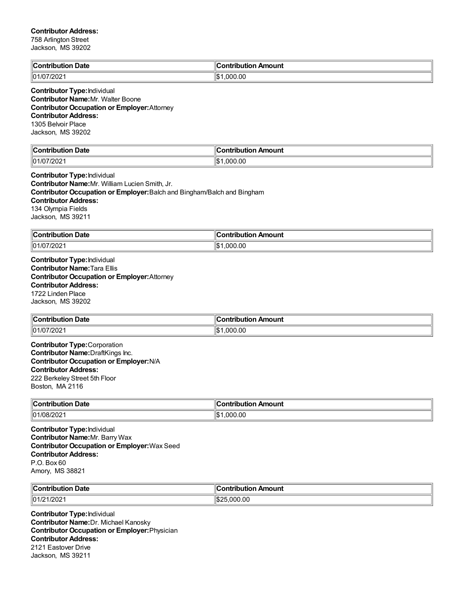### **Contributor Address:**

| Jackson, MS 39202                                                                                                                                                                                              |                            |
|----------------------------------------------------------------------------------------------------------------------------------------------------------------------------------------------------------------|----------------------------|
| <b>Contribution Date</b>                                                                                                                                                                                       | <b>Contribution Amount</b> |
| 01/07/2021                                                                                                                                                                                                     | $\  $1,000.00$             |
| <b>Contributor Type: Individual</b><br>Contributor Name: Mr. Walter Boone<br><b>Contributor Occupation or Employer: Attorney</b><br><b>Contributor Address:</b><br>1305 Belvoir Place<br>Jackson, MS 39202     |                            |
| <b>Contribution Date</b>                                                                                                                                                                                       | <b>Contribution Amount</b> |
| 01/07/2021                                                                                                                                                                                                     | \$1,000.00                 |
| Jackson, MS 39211<br><b>Contribution Date</b>                                                                                                                                                                  | <b>Contribution Amount</b> |
| 134 Olympia Fields                                                                                                                                                                                             |                            |
|                                                                                                                                                                                                                |                            |
| 01/07/2021                                                                                                                                                                                                     | \$1,000.00                 |
| <b>Contributor Name: Tara Ellis</b><br><b>Contributor Occupation or Employer: Attorney</b><br><b>Contributor Address:</b><br>1722 Linden Place<br>Jackson, MS 39202                                            |                            |
| <b>Contribution Date</b>                                                                                                                                                                                       | <b>Contribution Amount</b> |
| 01/07/2021                                                                                                                                                                                                     | \$1,000.00                 |
| <b>Contributor Type:</b> Corporation<br>Contributor Name: DraftKings Inc.<br><b>Contributor Occupation or Employer: N/A</b><br><b>Contributor Address:</b><br>222 Berkeley Street 5th Floor<br>Boston, MA 2116 |                            |
| <b>Contribution Date</b>                                                                                                                                                                                       | <b>Contribution Amount</b> |
| 01/08/2021                                                                                                                                                                                                     | \$1,000.00                 |
| <b>Contributor Type: Individual</b><br><b>Contributor Name: Mr. Barry Wax</b><br><b>Contributor Occupation or Employer: Wax Seed</b><br><b>Contributor Address:</b>                                            |                            |

Amory, MS 38821

| $\ $ Contribution | . . Amount   |
|-------------------|--------------|
| ⊦Date             | .ontributior |
| .                 | ___          |
| 01/21             | '⊅اا         |
| 1/2021            | 25.000.00    |

**Contributor Type:**Individual **Contributor Name:**Dr. Michael Kanosky **Contributor Occupation or Employer:**Physician **Contributor Address:** 2121 Eastover Drive Jackson, MS 39211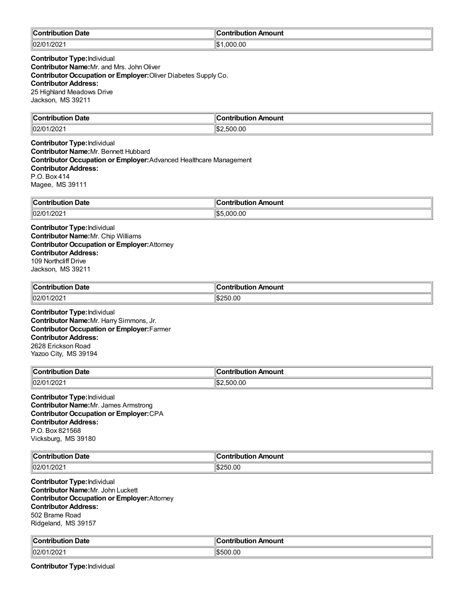| $\blacksquare$ Contribution<br>Date | $\blacksquare$ Contribution Amount |
|-------------------------------------|------------------------------------|
| 102/01/2021                         | ∥\$։<br>.000.00                    |

**Contributor Type:**Individual **Contributor Name:** Mr. and Mrs. John Oliver **Contributor Occupation or Employer:**Oliver Diabetes Supply Co. **Contributor Address:** 25 Highland Meadows Drive Jackson, MS 39211

| ∥Co⊧                   |                 |
|------------------------|-----------------|
| Date                   | <b>Amount</b>   |
|                        | `ontribution    |
| .                      |                 |
| 1202<br> 02/0<br>1740Z | ۱\$.<br>.500.00 |

**Contributor Type:**Individual **Contributor Name:**Mr. Bennett Hubbard **Contributor Occupation or Employer:**Advanced Healthcare Management **Contributor Address:** P.O. Box 414 Magee, MS 39111

| $\sim$ ontribu $\sim$<br>Date | Amount<br>.<br>- - -<br>. .   |
|-------------------------------|-------------------------------|
| 02/01<br>1/202                | ۱۱⊄۵<br>00.(<br>. nnr<br>I.D. |

**Contributor Type:**Individual **Contributor Name:**Mr. Chip Williams **Contributor Occupation or Employer:**Attorney **Contributor Address:** 109 Northcliff Drive Jackson, MS 39211

| $\ $ Contribution<br><b>Date</b> | --<br>ır<br>⊦Amount<br>.<br>ihutian<br>и |
|----------------------------------|------------------------------------------|
| 02/01                            | 00،                                      |
| 20 <sub>2</sub>                  | ۱ß.                                      |
|                                  | 75U                                      |

**Contributor Type:**Individual **Contributor Name:**Mr. Harry Simmons, Jr. **Contributor Occupation or Employer:**Farmer **Contributor Address:** 2628 Erickson Road Yazoo City, MS 39194

| ∥Coı<br>. .<br>Date     | Amount<br>----               |
|-------------------------|------------------------------|
| $ 02/0\rangle$<br>1/202 | ll\$:<br>0.00<br>.<br>וו ורי |

**Contributor Type:**Individual **Contributor Name:**Mr. James Armstrong **Contributor Occupation or Employer:**CPA **Contributor Address:** P.O. Box 821568 Vicksburg, MS 39180

| من<br>----<br>`ontribution<br>ribution Date: | <b>Contribution</b><br>ontribution Amount |
|----------------------------------------------|-------------------------------------------|
| 1000<br>$\ln 2\pi$<br>7202<br>שוי            | \$250.00                                  |

**Contributor Type:**Individual **Contributor Name:**Mr. John Luckett **Contributor Occupation or Employer:**Attorney **Contributor Address:** 502 Brame Road Ridgeland, MS 39157

| $\mathsf{ICC}$<br>Date<br><b>INUU</b> | ntribution Amount<br>- sériba diar |
|---------------------------------------|------------------------------------|
| 02/01<br>1000<br>/U1/2021             | 00.00<br>י                         |

**Contributor Type:**Individual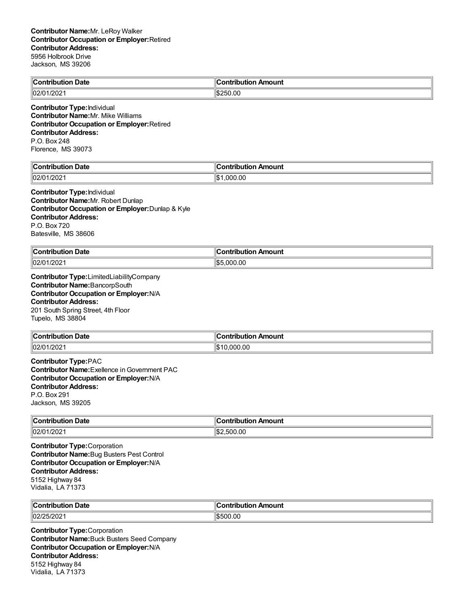| <b>Contribution Date</b>                                                                                                                                                                                     | <b>Contribution Amount</b> |
|--------------------------------------------------------------------------------------------------------------------------------------------------------------------------------------------------------------|----------------------------|
| 02/01/2021                                                                                                                                                                                                   | \$250.00                   |
| <b>Contributor Type: Individual</b><br><b>Contributor Name: Mr. Mike Williams</b><br><b>Contributor Occupation or Employer: Retired</b><br><b>Contributor Address:</b><br>P.O. Box 248<br>Florence, MS 39073 |                            |
| <b>Contribution Date</b>                                                                                                                                                                                     | <b>Contribution Amount</b> |
| 02/01/2021                                                                                                                                                                                                   | \$1,000.00                 |
| <b>Contributor Type: Individual</b><br>Contributor Name: Mr. Robert Dunlap<br>Contributor Occupation or Employer: Dunlap & Kyle<br><b>Contributor Address:</b><br>P.O. Box 720<br>Batesville, MS 38606       |                            |
| <b>Contribution Date</b>                                                                                                                                                                                     | <b>Contribution Amount</b> |
| 02/01/2021                                                                                                                                                                                                   | \$5,000.00                 |
| Contributor Name: BancorpSouth<br>Contributor Occupation or Employer: N/A<br><b>Contributor Address:</b><br>201 South Spring Street, 4th Floor<br>Tupelo, MS 38804                                           |                            |
| <b>Contribution Date</b>                                                                                                                                                                                     | <b>Contribution Amount</b> |
| 02/01/2021                                                                                                                                                                                                   | \$10,000.00                |
| <b>Contributor Type:PAC</b><br><b>Contributor Name:</b> Exellence in Government PAC<br>Contributor Occupation or Employer: N/A<br><b>Contributor Address:</b><br>P.O. Box 291<br>Jackson, MS 39205           |                            |
| <b>Contribution Date</b>                                                                                                                                                                                     | <b>Contribution Amount</b> |
| 02/01/2021                                                                                                                                                                                                   | \$2,500.00                 |
| <b>Contributor Type:</b> Corporation<br><b>Contributor Name:</b> Bug Busters Pest Control<br>Contributor Occupation or Employer: N/A<br><b>Contributor Address:</b><br>5152 Highway 84<br>Vidalia, LA 71373  |                            |

| ∥Cont<br>Date<br>-------<br>ш<br><br>. | 11 C<br>$\sim$ - $\sim$ - $\sim$ - $\sim$<br>.<br>- -- |
|----------------------------------------|--------------------------------------------------------|
| 02/25<br>WZ.                           | $\sqrt{2}$<br>ьn.                                      |

**Contributor Type:**Corporation **Contributor Name:**Buck Busters Seed Company **Contributor Occupation or Employer:**N/A **Contributor Address:** 5152 Highway 84 Vidalia, LA 71373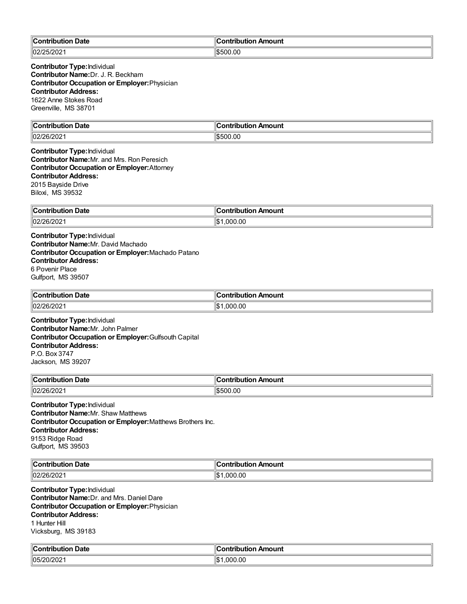| Contribution<br>ribution Date | ∥Contribution Amount |
|-------------------------------|----------------------|
| 02/25/202                     | .OC                  |
| $-$ u $\angle$ U $\angle$ I   | $\sim$               |

**Contributor Type:**Individual **Contributor Name:**Dr. J. R. Beckham **Contributor Occupation or Employer:**Physician **Contributor Address:** 1622 Anne Stokes Road Greenville, MS 38701

| <b>Contribution Date</b> | `ontribution Amount |
|--------------------------|---------------------|
| 02/26/2021               | \$500.00            |

**Contributor Type:**Individual **Contributor Name:**Mr. and Mrs. Ron Peresich **Contributor Occupation or Employer:**Attorney **Contributor Address:** 2015 Bayside Drive Biloxi, MS 39532

| ∥Coi                                                                                                                                                                                                                                 | <b>\mount</b>     |
|--------------------------------------------------------------------------------------------------------------------------------------------------------------------------------------------------------------------------------------|-------------------|
| Date                                                                                                                                                                                                                                 | .                 |
| <b>The contract of the Contract of the Contract of the Contract of the Contract of the Contract of the Contract of The Contract of The Contract of The Contract of The Contract of The Contract of The Contract of The Contract </b> | .                 |
|                                                                                                                                                                                                                                      |                   |
| 02/2<br>הוריי<br>LUIZUZ.                                                                                                                                                                                                             | 00.,<br>იიი<br>ıъ |

**Contributor Type:**Individual **Contributor Name:**Mr. David Machado **Contributor Occupation or Employer:**Machado Patano **Contributor Address:** 6 Povenir Place Gulfport, MS 39507

| ⊩∩<br>Date<br>. | Amount<br><b>⇔ontributio</b> r |
|-----------------|--------------------------------|
| 102/26/2021     | .000.00<br>۰.<br>٦Ъ            |

**Contributor Type:**Individual **Contributor Name:**Mr. John Palmer **Contributor Occupation or Employer:**Gulfsouth Capital **Contributor Address:** P.O. Box 3747 Jackson, MS 39207

| $\mathbb{R}$<br><b>Date</b><br>.<br>-----<br>. | $-200$<br>-----<br>--------<br>™IUUII. |
|------------------------------------------------|----------------------------------------|
| 02r<br>ገራ<br>∸∪∠                               | 00.00                                  |

**Contributor Type:**Individual **Contributor Name:**Mr. Shaw Matthews **Contributor Occupation or Employer:**Matthews Brothers Inc. **Contributor Address:** 9153 Ridge Road Gulfport, MS 39503

| ∥Con                 | <b>\moun\</b>                             |
|----------------------|-------------------------------------------|
| Date                 | --                                        |
| ----                 | ----                                      |
| 1011                 | .itic                                     |
|                      | $\sim$ $\sim$ $\sim$ $\sim$ $\sim$ $\sim$ |
| 02/26<br>י וכ<br>LUL | .00<br>ωω                                 |

**Contributor Type:**Individual **Contributor Name:**Dr. and Mrs. Daniel Dare **Contributor Occupation or Employer:**Physician **Contributor Address:** 1 Hunter Hill Vicksburg, MS 39183

| ⊪c.<br><b>Date</b><br>waa kan kale ni kale ah | Amount<br>.                  |
|-----------------------------------------------|------------------------------|
| $ 05/20/20^{\circ} $                          | $\sim$<br>''ሰ.<br>nnr<br>.uu |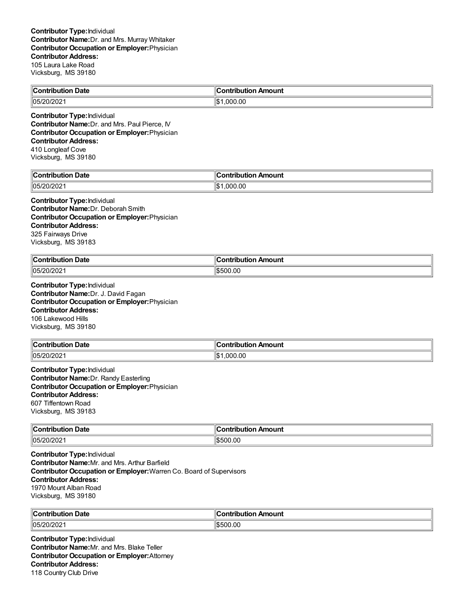| ∥Cor<br>$\overline{\phantom{0}}$<br><b>ontribution Date</b> | ח Amount<br><b>Contribution</b> |
|-------------------------------------------------------------|---------------------------------|
| $ 05/20/202\rangle$                                         | .000.00                         |

**Contributor Type:**Individual **Contributor Name:**Dr. and Mrs. Paul Pierce, IV **Contributor Occupation or Employer:**Physician **Contributor Address:** 410 Longleaf Cove Vicksburg, MS 39180

| <b>Date</b><br>م ا<br><b>Contribution</b> | Contribution Amount |
|-------------------------------------------|---------------------|
| 105/20/2021                               | ∥\$∙<br>.000.00     |

**Contributor Type:**Individual **Contributor Name:**Dr. Deborah Smith **Contributor Occupation or Employer:**Physician **Contributor Address:** 325 Fairways Drive Vicksburg, MS 39183

| ∜C⊾<br>Date<br>. | Amount<br>`ontribution |
|------------------|------------------------|
| 105/20/2021      | \$500.00               |

**Contributor Type:**Individual **Contributor Name:**Dr. J. David Fagan **Contributor Occupation or Employer:**Physician **Contributor Address:** 106 Lakewood Hills Vicksburg, MS 39180

| <b>Contribution Date</b> | ∶ontribution Amount     |
|--------------------------|-------------------------|
| 105/20/2021              | $\mathbb{S}$<br>.000.00 |

**Contributor Type:**Individual **Contributor Name:**Dr. Randy Easterling **Contributor Occupation or Employer:**Physician **Contributor Address:** 607 Tiffentown Road Vicksburg, MS 39183

| $\ $ Contribution | Amount                |
|-------------------|-----------------------|
| Date              | - -- --- - - - -      |
| .                 |                       |
| 05/20/2021        | 00.00<br>١æ<br>וו ורי |

**Contributor Type:**Individual **Contributor Name:**Mr. and Mrs. Arthur Barfield **Contributor Occupation or Employer:**Warren Co. Board of Supervisors **Contributor Address:** 1970 Mount Alban Road Vicksburg, MS 39180

| $\ $ Contributic | a minihution.     |
|------------------|-------------------|
| <b>Date</b>      | ntribution Amount |
| $  05/2^7$       | 00.00             |
| 20/202           | וו ורי            |

**Contributor Type:**Individual **Contributor Name:**Mr. and Mrs. Blake Teller **Contributor Occupation or Employer:**Attorney **Contributor Address:** 118 Country Club Drive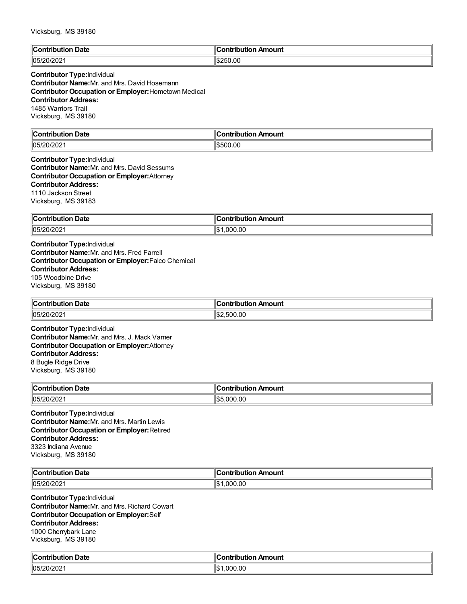| ∥C:<br>Date<br>$-20.5$<br>.   | 'animia dia a<br><b>Amount</b> |
|-------------------------------|--------------------------------|
| 05 <sup>′</sup><br>---<br>-∪∠ | 250.00<br>י הו                 |

# **Contributor Type:**Individual

**Contributor Name:**Mr. and Mrs. David Hosemann **Contributor Occupation or Employer:**Hometown Medical **Contributor Address:** 1485 Warriors Trail Vicksburg, MS 39180

| ∥Coi<br>Date<br>a manila mina m<br>. | <b>\moun</b> t<br>. |
|--------------------------------------|---------------------|
| 05/20/202                            | 0.00<br>١æ          |

#### **Contributor Type:**Individual **Contributor Name:**Mr. and Mrs. David Sessums **Contributor Occupation or Employer:**Attorney **Contributor Address:** 1110 Jackson Street Vicksburg, MS 39183

| - -                 | on Amount   |
|---------------------|-------------|
| <b>Contribution</b> | ำntributic. |
| <b>Date</b>         | .           |
| l05/20/2021         | .000.00     |
|                     |             |

**Contributor Type:**Individual **Contributor Name:**Mr. and Mrs. Fred Farrell **Contributor Occupation or Employer:**Falco Chemical **Contributor Address:** 105 Woodbine Drive Vicksburg, MS 39180

| <b>Contribution Date</b> | ontribution Amount |
|--------------------------|--------------------|
| 105/20/2021              | 2.500.00<br>۱\$۰   |

**Contributor Type:**Individual **Contributor Name:**Mr. and Mrs. J. Mack Varner **Contributor Occupation or Employer:**Attorney **Contributor Address:** 8 Bugle Ridge Drive Vicksburg, MS 39180

| $\ $ Contribution<br>⊦ Date | "<br>ribution Amount<br>Contribution |
|-----------------------------|--------------------------------------|
| 05/2 <sup>c</sup><br>WIZUZ. | 0.0<br>നല<br>∥¢r<br>: ה              |

**Contributor Type:**Individual **Contributor Name:**Mr. and Mrs. Martin Lewis **Contributor Occupation or Employer:**Retired **Contributor Address:** 3323 Indiana Avenue Vicksburg, MS 39180

| ∥Coı<br>n Date<br>.<br>ouuo    | . .<br>ı Amount<br><b>∍ontributio</b> r |
|--------------------------------|-----------------------------------------|
| $ 05/20/20^{\circ} $<br>OIZUZ. | .00<br>nnn<br>ال1                       |

**Contributor Type:**Individual **Contributor Name:**Mr. and Mrs. Richard Cowart **Contributor Occupation or Employer:**Self **Contributor Address:** 1000 Cherrybark Lane Vicksburg, MS 39180

| من<br>Date<br>`ontribution_ | ∶ontribution Amount |
|-----------------------------|---------------------|
| 20/202 <sup>ء</sup> /       | .000.00             |
| 105/                        | 11001               |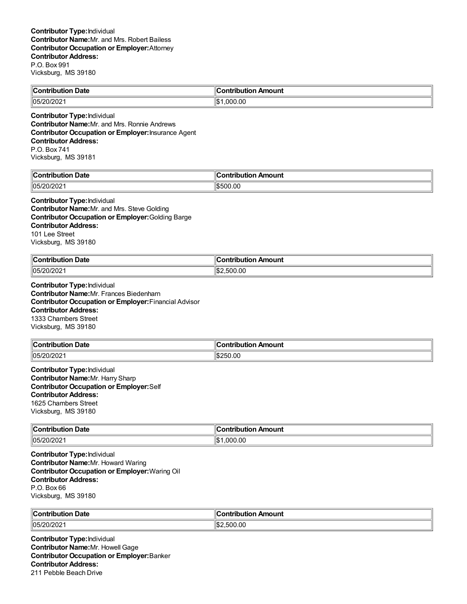| $\ Cor$<br>Date<br>----<br>.<br>llor | Contribution Amount |
|--------------------------------------|---------------------|
| وصور<br>  05/<br>?0/202              | .00<br>იიი          |

**Contributor Type:**Individual **Contributor Name:**Mr. and Mrs. Ronnie Andrews **Contributor Occupation or Employer:**Insurance Agent **Contributor Address:** P.O. Box 741 Vicksburg, MS 39181

| <b>Contribution Date</b> | . .<br>$\blacksquare$ Contribution Amount |
|--------------------------|-------------------------------------------|
| 05/20/202<br>∠∪∠         | 0.OC<br>יר<br>ונ: הוו                     |

### **Contributor Type:**Individual

**Contributor Name:**Mr. and Mrs. Steve Golding **Contributor Occupation or Employer:**Golding Barge **Contributor Address:** 101 Lee Street Vicksburg, MS 39180

| <b>Contribution Date</b> | n Amount            |
|--------------------------|---------------------|
| .                        | ∴ontributioش        |
| 105/20/2021              | 0.00.00. س.<br>⊪\$: |

**Contributor Type:**Individual **Contributor Name:**Mr. Frances Biedenharn **Contributor Occupation or Employer:**Financial Advisor **Contributor Address:** 1333 Chambers Street Vicksburg, MS 39180

| <b>Contribution</b><br>າ Date | 'ribution Amount<br><b>Constitution of the Constitution</b><br>ли |
|-------------------------------|-------------------------------------------------------------------|
| 05/20<br>'0/202               | \$250.00                                                          |

**Contributor Type:**Individual **Contributor Name:**Mr. Harry Sharp **Contributor Occupation or Employer:**Self **Contributor Address:** 1625 Chambers Street Vicksburg, MS 39180

| ∥Cor<br><b>Date</b><br>ontribution<br>. | Amount<br>.<br>----<br>וטו |
|-----------------------------------------|----------------------------|
| 105/20/2021                             | ∥\$<br>000.00.             |

**Contributor Type:**Individual **Contributor Name:**Mr. Howard Waring **Contributor Occupation or Employer:**Waring Oil **Contributor Address:** P.O. Box 66 Vicksburg, MS 39180

| ∥Contribut<br><b>Date</b><br>----<br><b>MOUTION</b> | ntribution Amount<br>- néribu rhiam |
|-----------------------------------------------------|-------------------------------------|
| 05/20/                                              | .00                                 |
| .∪∠                                                 | ו וה                                |

**Contributor Type:**Individual **Contributor Name:**Mr. Howell Gage **Contributor Occupation or Employer:**Banker **Contributor Address:** 211 Pebble Beach Drive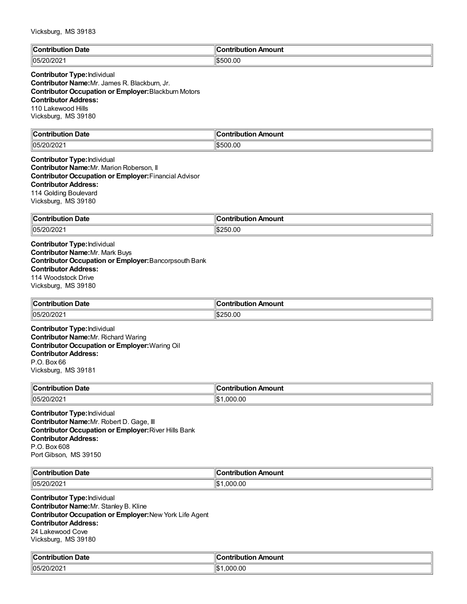| $\mathbb{I}$ C<br><b>Date</b><br>$\mathbf{r}$ . The state of $\mathbf{r}$<br>. | Amount<br>`ontribution |
|--------------------------------------------------------------------------------|------------------------|
| 05/20<br>– JIZUZ I                                                             | \$500.00               |

# **Contributor Type:**Individual

**Contributor Name:**Mr. James R. Blackburn, Jr. **Contributor Occupation or Employer:**Blackburn Motors **Contributor Address:** 110 Lakewood Hills Vicksburg, MS 39180

| llC.<br>Date<br>$    -$<br>--------<br>. | 11<br>---<br><br>- - --<br>----<br>unu |
|------------------------------------------|----------------------------------------|
| 05/<br>∠∪∠                               | 00. (<br>۱¢<br>ורי<br>:ת.וו<br>__      |

#### **Contributor Type:**Individual **Contributor Name:**Mr. Marion Roberson, II **Contributor Occupation or Employer:**Financial Advisor **Contributor Address:** 114 Golding Boulevard Vicksburg, MS 39180

| ∥Con<br>Date<br>- - - - - - - - -<br>$\sim$ $\sim$ $\sim$ $\sim$ $\sim$ $\sim$ | "<br><b>Amount</b><br>- -- -<br>----<br>--- |
|--------------------------------------------------------------------------------|---------------------------------------------|
| $\parallel$ 05/20/202                                                          | $0.00^\circ$<br>∥¢<br>יי<br>۰n.             |

**Contributor Type:**Individual **Contributor Name:**Mr. Mark Buys **Contributor Occupation or Employer:**Bancorpsouth Bank **Contributor Address:** 114 Woodstock Drive Vicksburg, MS 39180

| ำ Date<br><b>Contribution</b> | ∶ontribution Amount |
|-------------------------------|---------------------|
| 05/20/202                     | \$250.00            |

**Contributor Type:**Individual **Contributor Name:**Mr. Richard Waring **Contributor Occupation or Employer:**Waring Oil **Contributor Address:** P.O. Box 66 Vicksburg, MS 39181

| $\mathbf{a}$<br>Date<br>`ontribution<br>. | Amount<br>---------------<br>וטו |
|-------------------------------------------|----------------------------------|
| 105/20/202                                | .000.00<br>∥\$։                  |

**Contributor Type:**Individual **Contributor Name:**Mr. Robert D. Gage, III **Contributor Occupation or Employer:**River Hills Bank **Contributor Address:** P.O. Box 608 Port Gibson, MS 39150

| $\ $ Cont<br>Date<br>----<br>. | Amount<br>.<br>⊔ti∩n |
|--------------------------------|----------------------|
| פחמו                           | 00.00                |
| 105/                           | იიი                  |
| ے20/20 ∼                       | ''ש                  |

**Contributor Type:**Individual **Contributor Name:**Mr. Stanley B. Kline **Contributor Occupation or Employer:**New York Life Agent **Contributor Address:** 24 Lakewood Cove Vicksburg, MS 39180

| $\mathbb{R}$<br>ੋontribution Date | <b>Contribution Amount</b> |
|-----------------------------------|----------------------------|
| 0.000                             | .000.00                    |
| $\parallel$ n <sub>5</sub>        | $\mathbf{A}$               |
| <b>VILVL</b>                      | I.D                        |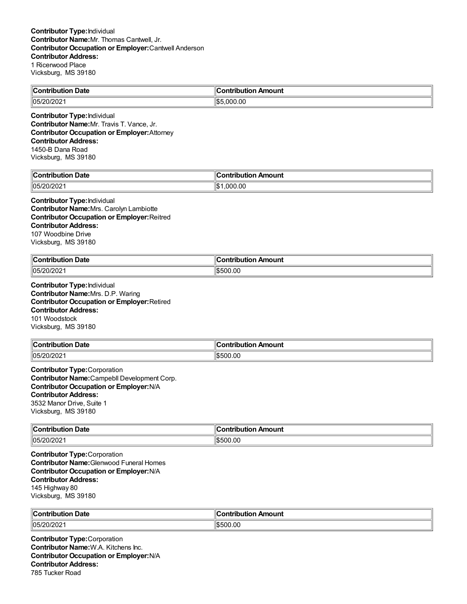| <b>Contribution Date</b> | ╻<br>า Amount<br><b>Contributi</b><br>'ian |
|--------------------------|--------------------------------------------|
| 05/20/202                | .000.00<br>ll\$5                           |
|                          |                                            |

**Contributor Type:**Individual **Contributor Name:**Mr. Travis T. Vance, Jr. **Contributor Occupation or Employer:**Attorney **Contributor Address:** 1450-B Dana Road Vicksburg, MS 39180

| <b>Date</b><br>$\cdots$ ontain.<br>. | ı<br>:ontribution<br>Amount |
|--------------------------------------|-----------------------------|
| 05/20/202                            | .000.00                     |
|                                      | ∥\$                         |

**Contributor Type:**Individual **Contributor Name:**Mrs. Carolyn Lambiotte **Contributor Occupation or Employer:**Reitred **Contributor Address:** 107 Woodbine Drive Vicksburg, MS 39180

| <b>Contribution Date</b> | n Amount<br>_ontributioپ_ |
|--------------------------|---------------------------|
| 05/20/202                | 00.00<br>١æ<br>וו ורי     |

**Contributor Type:**Individual **Contributor Name:**Mrs. D.P. Waring **Contributor Occupation or Employer:**Retired **Contributor Address:** 101 Woodstock Vicksburg, MS 39180

| <b>Contribution Date</b> | --<br>.lr<br>Amount<br>∶ontribution |
|--------------------------|-------------------------------------|
| 05/20/202                | \$500.00                            |

**Contributor Type:**Corporation **Contributor Name:**Campebll Development Corp. **Contributor Occupation or Employer:**N/A **Contributor Address:** 3532 Manor Drive, Suite 1 Vicksburg, MS 39180

| $\ $ Contribution<br>Date<br>$\sim$ $\sim$ $\sim$ $\sim$ $\sim$ $\sim$ $\sim$ | Amount<br>$ -$<br>. |
|-------------------------------------------------------------------------------|---------------------|
| 05/20/202                                                                     | \$500.00            |

**Contributor Type:**Corporation **Contributor Name:**Glenwood Funeral Homes **Contributor Occupation or Employer:**N/A **Contributor Address:** 145 Highway 80 Vicksburg, MS 39180

| ∥Cor                | . Ir     |
|---------------------|----------|
| ı Date              | ı Amount |
| .                   | .        |
| outiol              | ∕ih⊔ti∩r |
| $ 05/20/202\rangle$ | \$500.00 |

**Contributor Type:**Corporation **Contributor Name:**W.A. Kitchens Inc. **Contributor Occupation or Employer:**N/A **Contributor Address:** 785 Tucker Road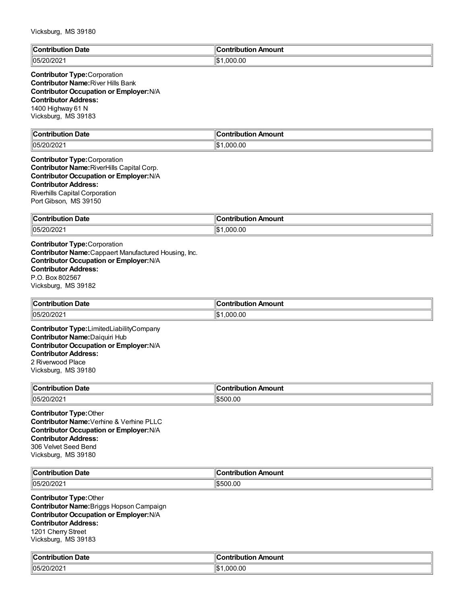| ∥Contr<br>Date<br>-----<br>tion<br>inuu | <b>Contribution</b><br>ontribution Amount |
|-----------------------------------------|-------------------------------------------|
| $ 05/20/202\rangle$                     | .000.00<br>llဇ<br>I-D                     |

#### **Contributor Type:**Corporation **Contributor Name:**River Hills Bank **Contributor Occupation or Employer:**N/A **Contributor Address:** 1400 Highway 61 N Vicksburg, MS 39183

| llC<br>Date<br><b>Contribution</b> | Amount<br>ontributiorٽ،       |
|------------------------------------|-------------------------------|
| 05/20/202                          | .000.00<br>$\mathbf{H}$<br>۱J |

#### **Contributor Type:**Corporation **Contributor Name:**RiverHills Capital Corp. **Contributor Occupation or Employer:**N/A **Contributor Address:** Riverhills Capital Corporation Port Gibson, MS 39150

| $\mathsf{C}_{\mathsf{Onfrihi}}$ |               |
|---------------------------------|---------------|
| Date                            | <b>Amount</b> |
| .                               | `ontribution  |
| .                               |               |
| $\parallel$ 05/20/202           | .000.00       |
|                                 | ∥\$           |

**Contributor Type:**Corporation **Contributor Name:**Cappaert Manufactured Housing, Inc. **Contributor Occupation or Employer:**N/A **Contributor Address:** P.O. Box 802567 Vicksburg, MS 39182

| $\overline{\phantom{a}}$<br>$\blacksquare$ Contribution<br>ntribution Date | : Amount ،<br>ontribution |
|----------------------------------------------------------------------------|---------------------------|
| 05/20/202                                                                  | .000.00<br>הכו            |

**Contributor Type:**LimitedLiabilityCompany **Contributor Name:**Daiquiri Hub **Contributor Occupation or Employer:**N/A **Contributor Address:** 2 Riverwood Place Vicksburg, MS 39180

| $\overline{ }$<br><b>Date</b><br>, Contributi | ution Amount<br>.  |
|-----------------------------------------------|--------------------|
| 105/20/202                                    | 00.00 <sup>-</sup> |

**Contributor Type:**Other **Contributor Name:**Verhine & Verhine PLLC **Contributor Occupation or Employer:**N/A **Contributor Address:** 306 Velvet Seed Bend Vicksburg, MS 39180

| llC.<br>∪ate<br>$\sim$ $\sim$ $\sim$ $\sim$ $\sim$ $\sim$ $\sim$ | $-0.1100$<br>.<br>TH.<br>nount<br>. |
|------------------------------------------------------------------|-------------------------------------|
| $ 105/2\rangle$<br>- UZ                                          | 0.00<br>$\sim$                      |

**Contributor Type:**Other **Contributor Name:**Briggs Hopson Campaign **Contributor Occupation or Employer:**N/A **Contributor Address:** 1201 Cherry Street Vicksburg, MS 39183

| من                       | Amount         |
|--------------------------|----------------|
| Date                     | :ontribut      |
| `on'                     | ----           |
| tribution                | TIDULION ,     |
| 20/202<br>החי"<br>, ושטו | 000.00.<br>∥\$ |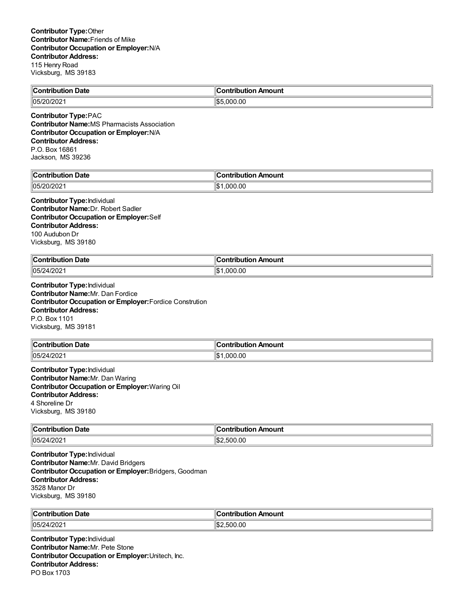| ∥C<br>Date<br>tribution<br>ייטטו. | Amount<br>;ontribution |
|-----------------------------------|------------------------|
| 05/20/202<br>ЧЉ.                  | 000.00.                |

**Contributor Type:**PAC **Contributor Name:**MS Pharmacists Association **Contributor Occupation or Employer:**N/A **Contributor Address:** P.O. Box 16861 Jackson, MS 39236

| Date<br>`ontribution<br>ributioi | :ontribution<br>ribution Amount |
|----------------------------------|---------------------------------|
| $\ln$ 5/20/202                   | .000.00                         |
| UI LUL                           | ∥\$                             |

**Contributor Type:**Individual **Contributor Name:**Dr. Robert Sadler **Contributor Occupation or Employer:**Self **Contributor Address:** 100 Audubon Dr Vicksburg, MS 39180

| $\ $ Contribution | า Amount                      |
|-------------------|-------------------------------|
| Date              | _ontributior. ن               |
| .                 | ___                           |
| 105/24/2021       | .000.00<br>$\mathbf{A}$<br>۱Ъ |

**Contributor Type:**Individual **Contributor Name:**Mr. Dan Fordice **Contributor Occupation or Employer:**Fordice Constrution **Contributor Address:** P.O. Box 1101 Vicksburg, MS 39181

| ∥Con'<br>Date<br>tribution<br>ш | .<br>Amount                   |
|---------------------------------|-------------------------------|
| 05/24 <br>רחריו<br>412 U Z      | $\sim$<br>۱\$۰<br>.000<br>ט.י |

**Contributor Type:**Individual **Contributor Name:**Mr. Dan Waring **Contributor Occupation or Employer:**Waring Oil **Contributor Address:** 4 Shoreline Dr Vicksburg, MS 39180

| <b>Contribution Date</b> | `ution Amount<br>ridu |
|--------------------------|-----------------------|
| 05/2                     | .00                   |
| <b>12021</b>             | ۱ß.                   |
| 741ZUZ .                 | 500                   |

**Contributor Type:**Individual **Contributor Name:**Mr. David Bridgers **Contributor Occupation or Employer:**Bridgers, Goodman **Contributor Address:** 3528 Manor Dr Vicksburg, MS 39180

| ∣∣ี<br>Date              | ۱C<br>Amount<br>antribution |
|--------------------------|-----------------------------|
| 105/2                    | .500.00                     |
| 1/202                    | $\sim$                      |
| $\overline{\phantom{a}}$ | IЪZ                         |

**Contributor Type:**Individual **Contributor Name:**Mr. Pete Stone **Contributor Occupation or Employer:**Unitech, Inc. **Contributor Address:** PO Box 1703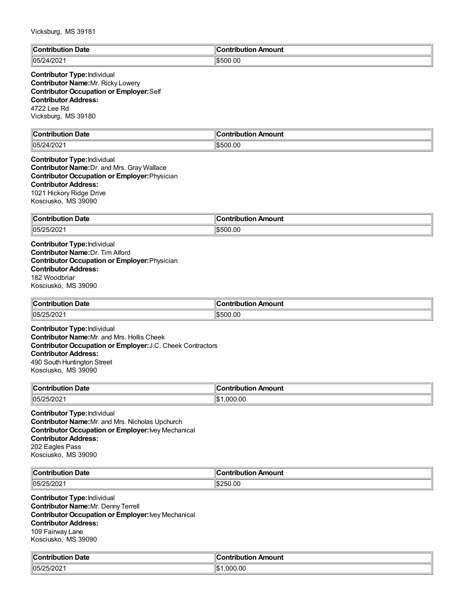| $\mathbb{C}$<br>Date<br>™ih⊞t⊪.<br>. | `ontribution<br>Amount |
|--------------------------------------|------------------------|
| 05/24<br>4/202                       | \$500.00               |

#### **Contributor Type:**Individual **Contributor Name:**Mr. Ricky Lowery **Contributor Occupation or Employer:**Self **Contributor Address:** 4722 Lee Rd Vicksburg, MS 39180

| <b>Contribution Date</b> | Contribution Amount |
|--------------------------|---------------------|
| 05/24/2021               | \$500.00            |

**Contributor Type:**Individual **Contributor Name:**Dr. and Mrs. Gray Wallace **Contributor Occupation or Employer:**Physician **Contributor Address:** 1021 Hickory Ridge Drive Kosciusko, MS 39090

| ∥Con<br>Date<br>- - - - - - - - -<br>$\sim$ $\sim$ $\sim$ $\sim$ $\sim$ $\sim$ | "<br><b>Amount</b><br>- -- -<br>----<br>--- |
|--------------------------------------------------------------------------------|---------------------------------------------|
| 05/25<br>רחריו:<br>∆∪∠ ∪_                                                      | .00<br>١œ<br>וו ורי                         |

**Contributor Type:**Individual **Contributor Name:**Dr. Tim Alford **Contributor Occupation or Employer:**Physician **Contributor Address:** 182 Woodbriar Kosciusko, MS 39090

| $\ $ Contribution<br>⊦ Date | <b>Contribution</b><br>Amount |
|-----------------------------|-------------------------------|
| 105/25/2021                 | \$500.00<br>J∩n∍              |

**Contributor Type:**Individual **Contributor Name:**Mr. and Mrs. Hollis Cheek **Contributor Occupation or Employer:**J.C. Cheek Contractors **Contributor Address:** 490 South Huntington Street Kosciusko, MS 39090

| ∣∣ี<br>Date<br>`ontribution<br>∣∪∪ | Amount<br>.<br>ʻItk |
|------------------------------------|---------------------|
| 05/25/202                          | .000.00             |

**Contributor Type:**Individual **Contributor Name:**Mr. and Mrs. Nicholas Upchurch **Contributor Occupation or Employer:**Ivey Mechanical **Contributor Address:** 202 Eagles Pass Kosciusko, MS 39090

| ЧC∟<br>Date<br>.            | Amount<br>ਾ*rribution. |
|-----------------------------|------------------------|
| $-12021$<br>105/<br>י<br>uz | 250.00                 |

**Contributor Type:**Individual **Contributor Name:**Mr. Denny Terrell **Contributor Occupation or Employer:**Ivey Mechanical **Contributor Address:** 109 Fairway Lane Kosciusko, MS 39090

| $\mathbb{R}$<br>ੋontribution Date | ∣Contribution Amount |
|-----------------------------------|----------------------|
| $5 - 1000$                        | .000.00              |
| 105/                              | ᡰ᠊                   |
| JIZUZ                             | I.D                  |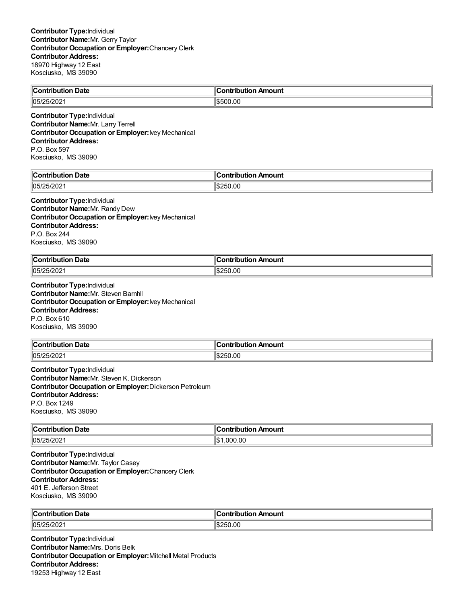| <b>Contribution Date</b> | . .<br>ı<br>. Amount<br><b>Contribution</b> |
|--------------------------|---------------------------------------------|
| 05/25/202                | \$500.00                                    |

**Contributor Type:**Individual **Contributor Name:**Mr. Larry Terrell **Contributor Occupation or Employer:**Ivey Mechanical **Contributor Address:** P.O. Box 597 Kosciusko, MS 39090

| llC                     | 10            |
|-------------------------|---------------|
| Jate                    | mount         |
| …∴∩n*∵                  | ---           |
| - - --                  | - - -         |
| $\parallel$ 05/2<br>-94 | ۱¢<br>יי<br>. |

**Contributor Type:**Individual **Contributor Name:**Mr. Randy Dew **Contributor Occupation or Employer:**Ivey Mechanical **Contributor Address:** P.O. Box 244 Kosciusko, MS 39090

| $\mathsf{C}$ ontribution | Amount         |
|--------------------------|----------------|
| Date                     | ` ^ntrihi iti. |
| .                        |                |
| 05/25/202                | 1\$250.00      |

**Contributor Type:**Individual **Contributor Name:**Mr. Steven Barnhll **Contributor Occupation or Employer:**Ivey Mechanical **Contributor Address:** P.O. Box 610 Kosciusko, MS 39090

| ∥Conf<br>Date<br>tribution | Contribution Amount    |
|----------------------------|------------------------|
| 105/25/202                 | $\sim$<br>. ור'<br>∪.∪ |

**Contributor Type:**Individual **Contributor Name:**Mr. Steven K. Dickerson **Contributor Occupation or Employer:**Dickerson Petroleum **Contributor Address:** P.O. Box 1249 Kosciusko, MS 39090

| ∥Coi<br>Date<br>. |                        |
|-------------------|------------------------|
| 05/25/20          | ⊪¢<br>ገበ<br>лu<br>الحل |

**Contributor Type:**Individual **Contributor Name:**Mr. Taylor Casey **Contributor Occupation or Employer:**Chancery Clerk **Contributor Address:** 401 E. Jefferson Street Kosciusko, MS 39090

| ∥Coı<br>. Date<br>. | .IC<br>mount<br>.<br>. |
|---------------------|------------------------|
| 05/25/202           | .00<br>75U.<br>ъ.      |

**Contributor Type:**Individual **Contributor Name:**Mrs. Doris Belk **Contributor Occupation or Employer:**Mitchell Metal Products **Contributor Address:** 19253 Highway 12 East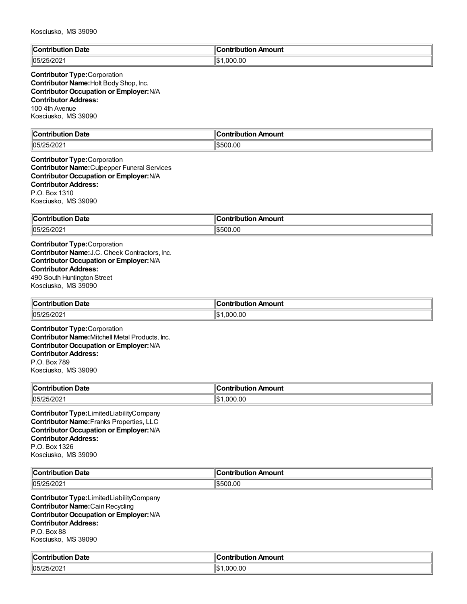| $\mathbb{R}$<br>Date<br>™ih⊔ti⊾<br>. | <u>aantuiku t</u><br>Amount<br>inn |
|--------------------------------------|------------------------------------|
| $ 05/25/202\rangle$                  | .000.00<br>'ነው -<br>I-D            |

#### **Contributor Type:**Corporation **Contributor Name:**Holt Body Shop, Inc. **Contributor Occupation or Employer:**N/A **Contributor Address:** 100 4th Avenue Kosciusko, MS 39090

| $\mathbb{C}$<br>Date<br>Contribution | Amount<br>:ontribution |
|--------------------------------------|------------------------|
| 05/25/202                            | \$500.00               |

#### **Contributor Type:**Corporation **Contributor Name:**Culpepper Funeral Services **Contributor Occupation or Employer:**N/A **Contributor Address:** P.O. Box 1310 Kosciusko, MS 39090

| ∥Con<br>Date<br>.<br>.<br>100 | Amount<br>.<br>---<br>. ID' |
|-------------------------------|-----------------------------|
| 05/25<br>רחריו:<br>SUIZUZ.    | 0.0                         |

**Contributor Type:**Corporation **Contributor Name:**J.C. Cheek Contractors, Inc. **Contributor Occupation or Employer:**N/A **Contributor Address:** 490 South Huntington Street Kosciusko, MS 39090

| $\ $ Contribution<br><b>Date</b> | Amount<br>----<br>ibution |
|----------------------------------|---------------------------|
| $\parallel$ 05/25/2021           | 0.000.00<br>1\$           |

**Contributor Type:**Corporation **Contributor Name:**Mitchell Metal Products, Inc. **Contributor Occupation or Employer:**N/A **Contributor Address:** P.O. Box 789 Kosciusko, MS 39090

| <b>Date</b><br>$\ $ Contribution | ontribution Amount         |
|----------------------------------|----------------------------|
| 105/25/2021                      | .000.00<br>16 <sub>m</sub> |

**Contributor Type:**LimitedLiabilityCompany **Contributor Name:**Franks Properties, LLC **Contributor Occupation or Employer:**N/A **Contributor Address:** P.O. Box 1326 Kosciusko, MS 39090

| llC.<br>Date<br>.                  | . .<br>Amount<br>a sa baile i chiz<br>INULIO |
|------------------------------------|----------------------------------------------|
| $\sim$ $\sim$<br>105/<br>יי<br>∸∪∠ | .00<br>.500<br>יי                            |

**Contributor Type:**LimitedLiabilityCompany **Contributor Name:**Cain Recycling **Contributor Occupation or Employer:**N/A **Contributor Address:** P.O. Box 88 Kosciusko, MS 39090

| Date<br>$\sim$ $\sim$<br>-----<br>. <b>. .</b><br>. | ı<br>าounเ<br>$\mathbf{u}$ on $\mathbf{v}$<br>----<br>----- |
|-----------------------------------------------------|-------------------------------------------------------------|
| 105/25/202<br>– JIZUZ I                             | ∥\$<br>.000.00                                              |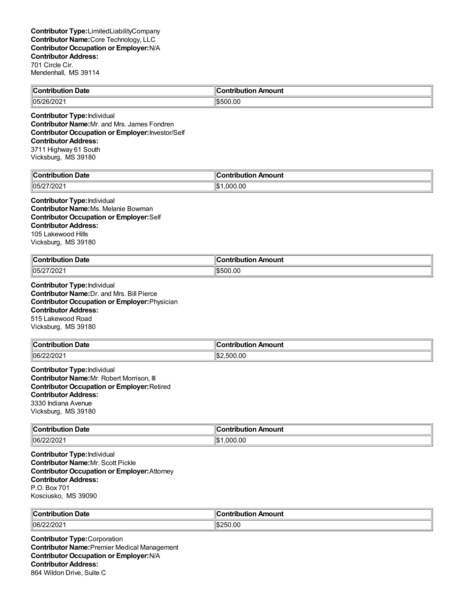| $\mathsf{C}_{\mathsf{C}}$<br><b>Date</b><br>. mai ka mana a m<br>. | . Ir<br>Amount<br>. |
|--------------------------------------------------------------------|---------------------|
| 05/2<br>WZ.<br>- 97                                                | .00<br>.500         |

**Contributor Type:**Individual **Contributor Name:**Mr. and Mrs. James Fondren **Contributor Occupation or Employer:**Investor/Self **Contributor Address:** 3711 Highway 61 South Vicksburg, MS 39180

| $\epsilon$<br>Date<br>`ontribution | Contribution Amount |
|------------------------------------|---------------------|
| 05/27/202                          | ' \$<br>.000.00     |

#### **Contributor Type:**Individual **Contributor Name:**Ms. Melanie Bowman **Contributor Occupation or Employer:**Self **Contributor Address:** 105 Lakewood Hills Vicksburg, MS 39180

| $\ $ Contribution<br>Date<br>. | 110<br>∩ntı<br>Amount<br>aha mai a sa<br>ורזו |
|--------------------------------|-----------------------------------------------|
| 105/27/2021                    | \$500.00                                      |

**Contributor Type:**Individual **Contributor Name:**Dr. and Mrs. Bill Pierce **Contributor Occupation or Employer:**Physician **Contributor Address:** 515 Lakewood Road Vicksburg, MS 39180

| <b>Contribution Date</b> | Contribution Amount |
|--------------------------|---------------------|
| $ 06/22/202\rangle$      | .500.00<br>. ч.њ.,  |

**Contributor Type:**Individual **Contributor Name:**Mr. Robert Morrison, III **Contributor Occupation or Employer:**Retired **Contributor Address:** 3330 Indiana Avenue Vicksburg, MS 39180

| Contribution Date | .<br>Amount<br>------<br>----<br>TIDULION <i>F</i> |
|-------------------|----------------------------------------------------|
| 06/22/202         | ∥\$<br>.000.00                                     |

**Contributor Type:**Individual **Contributor Name:**Mr. Scott Pickle **Contributor Occupation or Employer:**Attorney **Contributor Address:** P.O. Box 701 Kosciusko, MS 39090

| $\ $ Contributio       | $-$ minimining $\sim$ |
|------------------------|-----------------------|
| <b>Date</b>            | ntribution Amount     |
| $ 06/2\rangle$<br>7202 | .00                   |

**Contributor Type:**Corporation **Contributor Name:**Premier Medical Management **Contributor Occupation or Employer:**N/A **Contributor Address:** 864 Wildon Drive, Suite C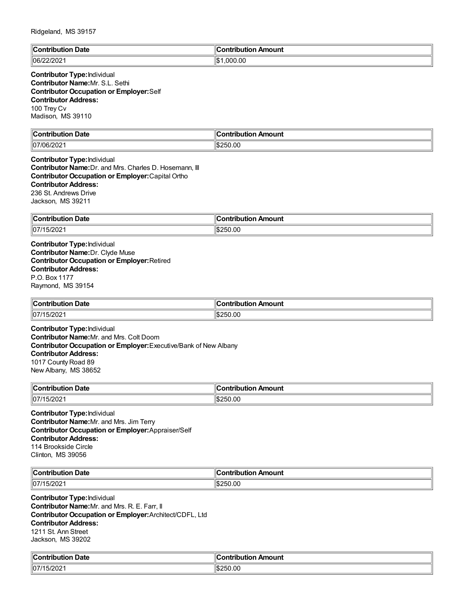| $\mathbb{C}$<br>Date<br>∴ontributioش<br><br>. | <b>Contribution</b><br>ution Amount |
|-----------------------------------------------|-------------------------------------|
| $ 06/22/202\rangle$                           | .000.00<br>$H$ $\uparrow$<br>IФ     |

#### **Contributor Type:**Individual **Contributor Name:**Mr. S.L. Sethi **Contributor Occupation or Employer:**Self **Contributor Address:** 100 Trey Cv Madison, MS 39110

| llC.<br>Jate<br>ົດຕ້<br>`‴ih⊞tir. | Amount<br>`ontribution<br>. |
|-----------------------------------|-----------------------------|
| 07/06/202                         | 1\$250.00                   |
|                                   | .                           |

#### **Contributor Type:**Individual **Contributor Name:**Dr. and Mrs. Charles D. Hosemann, III **Contributor Occupation or Employer:**Capital Ortho **Contributor Address:** 236 St. Andrews Drive Jackson, MS 39211

| <b>Date</b><br>∥Con<br>ribution | n Amount.<br>--------<br>----<br>. ID' |
|---------------------------------|----------------------------------------|
| 07/15/202                       | .00<br>١đ<br>בו כ                      |

**Contributor Type:**Individual **Contributor Name:**Dr. Clyde Muse **Contributor Occupation or Employer:**Retired **Contributor Address:** P.O. Box 1177 Raymond, MS 39154

| $\ $ Contribution<br><b>Date</b><br>. | Amount<br>וטו       |
|---------------------------------------|---------------------|
| 07/15/202                             | ገ.00<br>⊪l₾<br>・ハスパ |

**Contributor Type:**Individual **Contributor Name:**Mr. and Mrs. Colt Doom **Contributor Occupation or Employer:**Executive/Bank of New Albany **Contributor Address:** 1017 County Road 89 New Albany, MS 38652

| <b>→ Date</b><br>$\ $ Contribution | า Amount<br>han. |
|------------------------------------|------------------|
| 107/15/2021                        | \$250.00         |

**Contributor Type:**Individual **Contributor Name:**Mr. and Mrs. Jim Terry **Contributor Occupation or Employer:**Appraiser/Self **Contributor Address:** 114 Brookside Circle Clinton, MS 39056

| ∥Cor<br>ntribution Date<br>. | າ Amount<br>ontribution |
|------------------------------|-------------------------|
| $ 07/15/202\rangle$          | 250.00                  |
|                              | ۰ъ.                     |

**Contributor Type:**Individual **Contributor Name:**Mr. and Mrs. R. E. Farr, II **Contributor Occupation or Employer:**Architect/CDFL, Ltd **Contributor Address:** 1211 St. Ann Street Jackson, MS 39202

| <b>Contribution Date</b>            | ∥Contribution Amount |
|-------------------------------------|----------------------|
| $-$ 1000<br>$ 07\rangle$<br>15/2021 | \$250.00             |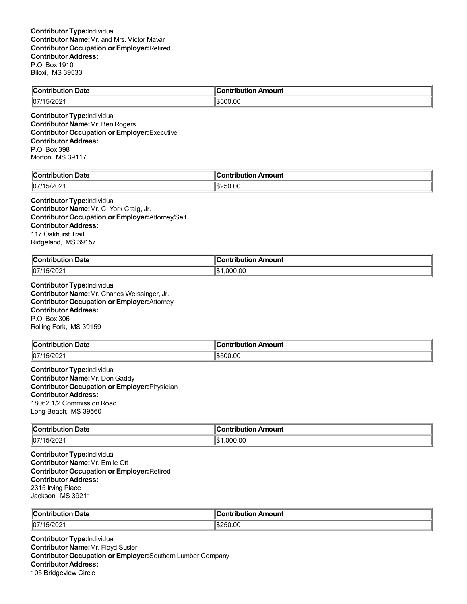| Contribution Date | .<br>∶ontribution<br>n Amount<br>…טט… |
|-------------------|---------------------------------------|
| 107/15/2021       | \$500.00                              |

**Contributor Type:**Individual **Contributor Name:**Mr. Ben Rogers **Contributor Occupation or Employer:**Executive **Contributor Address:** P.O. Box 398 Morton, MS 39117

| $\epsilon$<br>`ontribution<br>. Date<br>ributioi | $\overline{\phantom{a}}$<br>:ontribut<br>ribution Amount |
|--------------------------------------------------|----------------------------------------------------------|
| 1107<br>202                                      | ll\$250.00                                               |

**Contributor Type:**Individual **Contributor Name:**Mr. C. York Craig, Jr. **Contributor Occupation or Employer:**Attorney/Self **Contributor Address:** 117 Oakhurst Trail Ridgeland, MS 39157

| $\mathsf{C}$ ontribution<br>Date<br>ribution | --<br>đΓ<br>າ Amount<br>.<br>ribution<br>ш |
|----------------------------------------------|--------------------------------------------|
| 07/2                                         | 00،                                        |
| $\sim$ $\sim$ $\sim$                         | 1\$                                        |
| 15/2021                                      | .000                                       |

**Contributor Type:**Individual **Contributor Name:**Mr. Charles Weissinger, Jr. **Contributor Occupation or Employer:**Attorney **Contributor Address:** P.O. Box 306 Rolling Fork, MS 39159

| <b>Contribution Date</b> | ∣Contribution Amount |
|--------------------------|----------------------|
| $\parallel$ 07/15/2021   | \$500.00             |

**Contributor Type:**Individual **Contributor Name:**Mr. DonGaddy **Contributor Occupation or Employer:**Physician **Contributor Address:** 18062 1/2 Commission Road Long Beach, MS 39560

| $\ $ Contribution<br><b>Date</b><br>. | Amount<br>. ibution<br>------ |
|---------------------------------------|-------------------------------|
| $  07/15/202^4$                       | '\$∥<br>.000.00               |

**Contributor Type:**Individual **Contributor Name:**Mr. Emile Ott **Contributor Occupation or Employer:**Retired **Contributor Address:** 2315 Irving Place Jackson, MS 39211

| $\ $ Contribution | Amount             |
|-------------------|--------------------|
| <b>Date</b>       | antuiku tian       |
| .                 | 'IUO.              |
|                   |                    |
| 07/2<br>15/2021   | .00<br>250.<br>۰π. |

**Contributor Type:**Individual **Contributor Name:**Mr. Floyd Susler **Contributor Occupation or Employer:**Southern Lumber Company **Contributor Address:** 105 Bridgeview Circle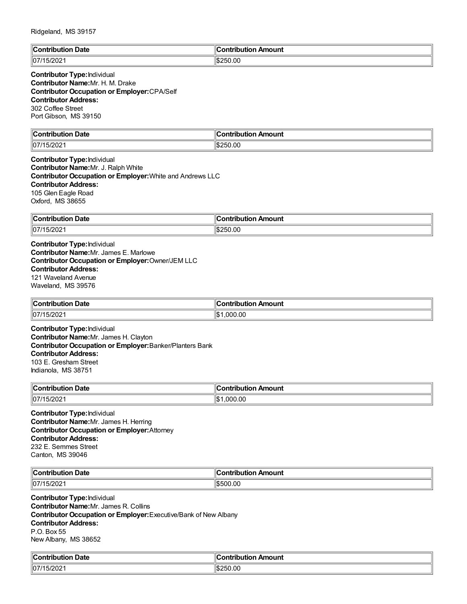| $\ $ Cor<br>Date<br>`ontribut | Amount<br><b>Antribution</b> |
|-------------------------------|------------------------------|
| 07/15<br><b>CUZ</b>           | ll\$250.00                   |

| <b>Contributor Type: Individual</b>                 |  |
|-----------------------------------------------------|--|
| <b>Contributor Name:</b> Mr. H. M. Drake            |  |
| <b>Contributor Occupation or Employer:</b> CPA/Self |  |
| <b>Contributor Address:</b>                         |  |
| 302 Coffee Street                                   |  |
| Port Gibson, MS 39150                               |  |

| $\mathbb{I}$ C<br><b>Date</b><br>ົດຕີ<br>-----<br>. | <b>\moun\</b><br>$\sim$ $\sim$<br>-----<br>---- |
|-----------------------------------------------------|-------------------------------------------------|
| $\parallel$ 07/1<br>$  -$<br>∠∪∠<br>ີ               | .00<br>ורי<br>۰п.<br>.                          |

**Contributor Type:**Individual **Contributor Name:**Mr. J. Ralph White **Contributor Occupation or Employer:**White and Andrews LLC **Contributor Address:** 105 Glen Eagle Road Oxford, MS 38655

| ∥Cor<br><b>Date</b><br>IDU.<br>-u0P - | 11<br>ribution Amount<br>.<br>-.om. |
|---------------------------------------|-------------------------------------|
| 07/1<br>∴⊇∩⊆<br>12 U Z                | 00.,<br>١¢۰<br>יי                   |

**Contributor Type:**Individual **Contributor Name:**Mr. James E. Marlowe **Contributor Occupation or Employer:**Owner/JEM LLC **Contributor Address:** 121 Waveland Avenue Waveland, MS 39576

| ้า Date<br><b>Contribution</b> | ∶ontribution Amount     |
|--------------------------------|-------------------------|
| 07/15/202                      | .000.00<br>$\mathbf{A}$ |

**Contributor Type:**Individual **Contributor Name:**Mr. James H. Clayton **Contributor Occupation or Employer:**Banker/Planters Bank **Contributor Address:** 103 E. Gresham Street Indianola, MS 38751

| ∥Coı<br>⊦Date<br>.<br>Jutior | Amount<br>---<br>----<br>----<br>וטו |
|------------------------------|--------------------------------------|
| 07/15/202                    | ∥\$∶<br>.000.00                      |

**Contributor Type:**Individual **Contributor Name:**Mr. James H. Herring **Contributor Occupation or Employer:**Attorney **Contributor Address:** 232 E. Semmes Street Canton, MS 39046

| ЧC∟<br>Date<br>$\sim$ - $\sim$ $\sim$ $\sim$<br>. | ົ <sub>ີ</sub> ™rribution .<br>Amount |
|---------------------------------------------------|---------------------------------------|
| $ 07/15/202\rangle$                               | 500.00<br>14.50 M                     |

**Contributor Type:**Individual **Contributor Name:**Mr. James R. Collins **Contributor Occupation or Employer:**Executive/Bank of New Albany **Contributor Address:** P.O. Box 55 New Albany, MS 38652

| م ا<br>ribution Date:<br>`ontribution<br>$\overline{\phantom{a}}$ | ∥Contribution Amount |
|-------------------------------------------------------------------|----------------------|
| $-$ 1000<br>  07/<br>15/2021                                      | ll\$250.00           |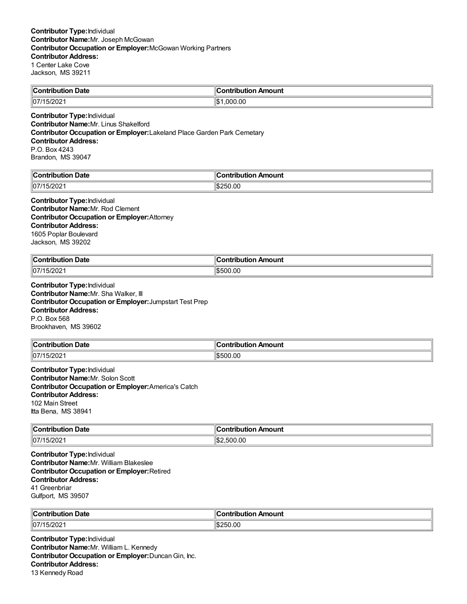| $\mathsf{C}_{\mathsf{C}}$<br>Date<br><b>ribution</b> | <b>Contribution</b><br>Amount |
|------------------------------------------------------|-------------------------------|
| 07/15/202                                            | ∥\$<br>.000.00                |

**Contributor Type:**Individual **Contributor Name:**Mr. Linus Shakelford **Contributor Occupation or Employer:**Lakeland Place Garden Park Cemetary **Contributor Address:** P.O. Box 4243 Brandon, MS 39047

| llC<br>Jate<br>…∴∩n*∵<br>----<br>----- | 10<br>Amount<br>---<br>- - - |
|----------------------------------------|------------------------------|
| 07/1<br>∣୰୵୰୵                          | ۱¢<br>יי<br>.                |

#### **Contributor Type:**Individual **Contributor Name:**Mr. Rod Clement **Contributor Occupation or Employer:**Attorney **Contributor Address:** 1605 Poplar Boulevard Jackson, MS 39202

| ∥Cont<br>Date<br>ribution<br>$ -$ | Amount<br>ution<br>. |
|-----------------------------------|----------------------|
| 07/15/202                         | \$500.00             |

**Contributor Type:**Individual **Contributor Name:**Mr. Sha Walker, III **Contributor Occupation or Employer:**Jumpstart Test Prep **Contributor Address:** P.O. Box 568 Brookhaven, MS 39602

| ∥Con<br>Date<br>.<br>nn | <b>Amount</b><br>. |
|-------------------------|--------------------|
| 07/1                    | .00                |
| 15/202                  | \$500              |

**Contributor Type:**Individual **Contributor Name:**Mr. Solon Scott **Contributor Occupation or Employer:**America's Catch **Contributor Address:** 102 Main Street Itta Bena, MS 38941

| $\ $ Contribution | Amount         |
|-------------------|----------------|
| Date              | .              |
| .                 |                |
| 107/15/2021       | IS:<br>.500.00 |

**Contributor Type:**Individual **Contributor Name:**Mr. William Blakeslee **Contributor Occupation or Employer:**Retired **Contributor Address:** 41 Greenbriar Gulfport, MS 39507

| $^{\circ}$ Contribution<br><b>Date</b> | Amount<br>a mbuila mbi a m<br>nuuuu |
|----------------------------------------|-------------------------------------|
| 07/2<br>15/2021                        | $\sim$<br><b>250.00</b><br>٦Ъ.      |

**Contributor Type:**Individual **Contributor Name:**Mr. William L. Kennedy **Contributor Occupation or Employer:**DuncanGin, Inc. **Contributor Address:** 13 Kennedy Road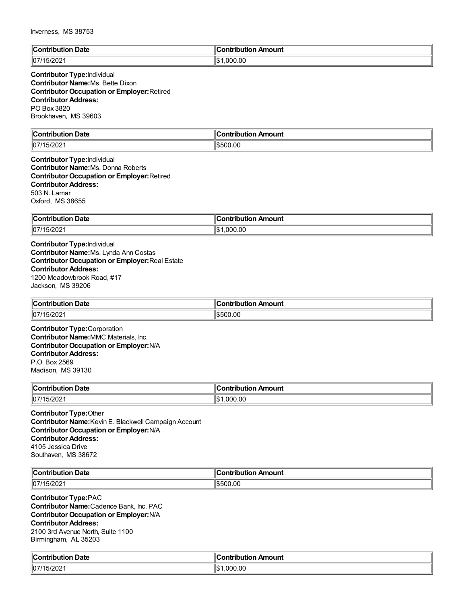| $\mathbb{I}$ C                       | <b>Contribution</b>    |
|--------------------------------------|------------------------|
| Date                                 | Amount                 |
| …ontributior                         | auon e                 |
| .                                    |                        |
| 07/15/202<br>. J $\angle$ UZ $\cdot$ | ,000.00<br>۱m۰.<br>I-D |

#### **Contributor Type:**Individual **Contributor Name:**Ms. Bette Dixon **Contributor Occupation or Employer:**Retired **Contributor Address:** PO Box 3820 Brookhaven, MS 39603

| $\mathbb{I}$ C | Amount       |
|----------------|--------------|
| Date           | `ontribution |
| Contribution   |              |
|                |              |
| $\ 07/15/20$   | 1\$500.00    |

**Contributor Type:**Individual **Contributor Name:**Ms. Donna Roberts **Contributor Occupation or Employer:**Retired **Contributor Address:** 503 N. Lamar Oxford, MS 38655

| ∥Con<br>Date<br>.      | Amount<br>----<br>.<br>---<br>. . |
|------------------------|-----------------------------------|
| $\parallel$ 07/15/2021 | 11\$<br>000.00.                   |

**Contributor Type:**Individual **Contributor Name:**Ms. Lynda Ann Costas **Contributor Occupation or Employer:**Real Estate **Contributor Address:** 1200 Meadowbrook Road, #17 Jackson, MS 39206

| ∥Con<br>Date<br>---<br>1011<br>. | Amount<br>antrihution |
|----------------------------------|-----------------------|
| 07/1<br>חכי<br>ZUZ               | .00<br>19500          |

**Contributor Type:**Corporation **Contributor Name:**MMC Materials, Inc. **Contributor Occupation or Employer:**N/A **Contributor Address:** P.O. Box 2569 Madison, MS 39130

| $\ $ Contribution<br><b>Date</b> | n Amount<br>`ontributio.<br>. |
|----------------------------------|-------------------------------|
| 07/1<br>15/2021                  | .000.00                       |

**Contributor Type:**Other **Contributor Name:**Kevin E. Blackwell Campaign Account **Contributor Occupation or Employer:**N/A **Contributor Address:** 4105 Jessica Drive Southaven, MS 38672

| ⊪∩                      | .         |
|-------------------------|-----------|
| Date                    | noum      |
| .                       |           |
| $\parallel$ 07/1<br>:uz | .OC<br>71 |

**Contributor Type:**PAC **Contributor Name:**Cadence Bank, Inc. PAC **Contributor Occupation or Employer:**N/A **Contributor Address:** 2100 3rd Avenue North, Suite 1100 Birmingham, AL 35203

| llC<br>Date<br>∴ontr<br>-----<br>пн<br>$ -$ | 10<br>- - <b>- - -</b> - -<br>Amount<br>-----<br>---<br><br>$\sim$ $\sim$ |
|---------------------------------------------|---------------------------------------------------------------------------|
| 15/202                                      | ∥\$∶                                                                      |
| 07/1                                        | 000.00                                                                    |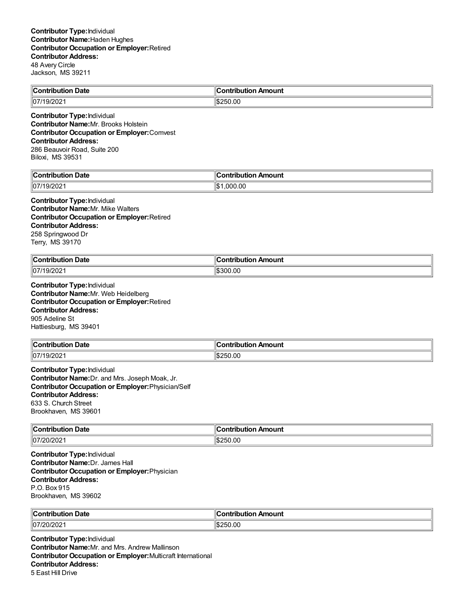| <b>Contribution Date</b> | Contribution Amount |
|--------------------------|---------------------|
| 107/19/2021              | 1\$250.00           |
| -<br>.                   |                     |

**Contributor Type:**Individual **Contributor Name:**Mr. Brooks Holstein **Contributor Occupation or Employer:**Comvest **Contributor Address:** 286 Beauvoir Road, Suite 200 Biloxi, MS 39531

| Date                               | `ontribut |
|------------------------------------|-----------|
| $\sim$ $\sim$ $\sim$ $\sim$ $\sim$ | Amount    |
| .                                  | ----      |
| $\parallel$ 07                     | .000.00   |
| <b>ZUZ</b>                         | ∥\$       |

#### **Contributor Type:**Individual **Contributor Name:**Mr. Mike Walters **Contributor Occupation or Employer:**Retired **Contributor Address:** 258 Springwood Dr Terry, MS 39170

| $\ $ Contribution           | . .                        |
|-----------------------------|----------------------------|
| า Date                      | <b>Contribution Amount</b> |
| 07/1  <br>.00000<br>/19/202 | \$300.00                   |

**Contributor Type:**Individual **Contributor Name:**Mr. Web Heidelberg **Contributor Occupation or Employer:**Retired **Contributor Address:** 905 Adeline St Hattiesburg, MS 39401

| $\ $ Contribution    | n Amount    |
|----------------------|-------------|
| <b>Date</b>          | ontribution |
| 07/19<br>/202<br>، ب | 250.00;     |

**Contributor Type:**Individual **Contributor Name:**Dr. and Mrs. Joseph Moak, Jr. **Contributor Occupation or Employer:**Physician/Self **Contributor Address:** 633 S. Church Street Brookhaven, MS 39601

| $\ $ Contribution<br><b>Date</b> | Amount<br><b>∍ontributio</b> r |
|----------------------------------|--------------------------------|
| //07/20/202                      | 250.00                         |
|                                  | ∕ הי                           |

**Contributor Type:**Individual **Contributor Name:**Dr. James Hall **Contributor Occupation or Employer:**Physician **Contributor Address:** P.O. Box 915 Brookhaven, MS 39602

| $\ $ Contribution     | a minihution.     |
|-----------------------|-------------------|
| <b>Date</b>           | ntribution Amount |
| 107/<br>20/202<br>י ש | 0.0               |

**Contributor Type:**Individual **Contributor Name:**Mr. and Mrs. Andrew Mallinson **Contributor Occupation or Employer:**Multicraft International **Contributor Address:** 5 East Hill Drive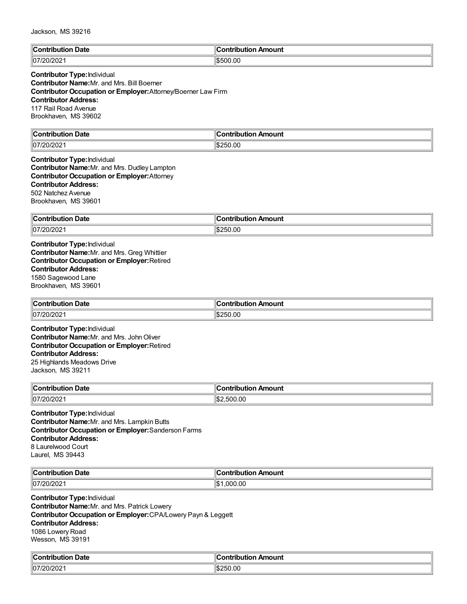| ∥C      | <b>Amount</b> |
|---------|---------------|
| Date    | $ -$          |
| ------- | -----         |
| ITIC    | ---           |
|         |               |
| 07/20   | 00.00         |
| SUIZUZ. | נ:מו          |

# **Contributor Type:**Individual

**Contributor Name:**Mr. and Mrs. Bill Boerner **Contributor Occupation or Employer:**Attorney/Boerner Law Firm **Contributor Address:** 117 Rail Road Avenue Brookhaven, MS 39602

| ∥Con<br>Date<br>. | 11<br>---<br>mount<br>----<br>----<br><br>. . |
|-------------------|-----------------------------------------------|
| 20/202<br> 07/T   | ۱¢۰<br>50.00<br>י<br>⊿הוו                     |

#### **Contributor Type:**Individual **Contributor Name:**Mr. and Mrs. Dudley Lampton **Contributor Occupation or Employer:**Attorney **Contributor Address:** 502 Natchez Avenue Brookhaven, MS 39601

| ∥Con<br>Date<br>---<br>. | าount<br>- - - |
|--------------------------|----------------|
| 07/20/                   | 00.(           |
| 20/202                   | ıl¢            |
|                          | אנ             |

**Contributor Type:**Individual **Contributor Name:**Mr. and Mrs. Greg Whittier **Contributor Occupation or Employer:**Retired **Contributor Address:** 1580 Sagewood Lane Brookhaven, MS 39601

| ∥Con'<br>Date<br>---<br>----<br>10ution<br>. | Amount<br>.<br>.     |
|----------------------------------------------|----------------------|
| //07/20/202                                  | .00<br>'IS.<br>-256. |

**Contributor Type:**Individual **Contributor Name:**Mr. and Mrs. JohnOliver **Contributor Occupation or Employer:**Retired **Contributor Address:** 25 Highlands Meadows Drive Jackson, MS 39211

| $\infty$ ontribution<br><b>Date</b><br><b>IDULIO</b><br>. | n Amount<br>ontribution |
|-----------------------------------------------------------|-------------------------|
| 07/20/202                                                 | .500.00<br>ຳປະ          |

**Contributor Type:**Individual **Contributor Name:**Mr. and Mrs. Lampkin Butts **Contributor Occupation or Employer:**Sanderson Farms **Contributor Address:** 8 Laurelwood Court Laurel, MS 39443

| $\mathbb{R}$<br>Date<br>- -- ---- - - - - - - - -<br>. | Amount<br>.      |
|--------------------------------------------------------|------------------|
| 07/20/202                                              | .00<br>⊩⊄<br>nnr |

**Contributor Type:**Individual **Contributor Name:**Mr. and Mrs. Patrick Lowery **Contributor Occupation or Employer:**CPA/Lowery Payn & Leggett **Contributor Address:** 1086 Lowery Road Wesson, MS 39191

| ∥Cω                | :ontribution     |
|--------------------|------------------|
| Contribution Date: | ribution Amount: |
| 07/20/202          | S250.00          |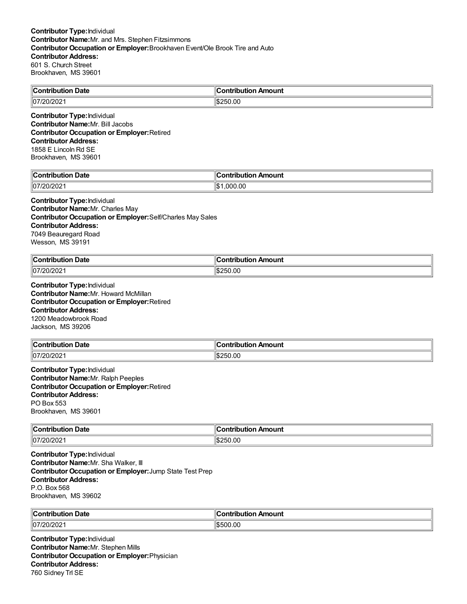| $\ $ Contribut  | ⊞Contri <u>bur</u> |
|-----------------|--------------------|
| ribution Date   | ribution Amount    |
| ۱đ<br>1107<br>ີ | ,,<br>'.uu         |

**Contributor Type:**Individual **Contributor Name:**Mr. Bill Jacobs **Contributor Occupation or Employer:**Retired **Contributor Address:** 1858 E Lincoln Rd SE Brookhaven, MS 39601

| <b>Date</b>    | Amount       |
|----------------|--------------|
| 'ontribution   | `ontribution |
| 7.00.000       | .000.00      |
| $\parallel$ 07 | ∣∣∧          |
| 20/202         | ۱J           |

#### **Contributor Type:**Individual **Contributor Name:**Mr. Charles May

**Contributor Occupation or Employer:**Self/Charles May Sales **Contributor Address:** 7049 Beauregard Road Wesson, MS 39191

| $\sf{IC}$ ontri<br>Date | ontribution<br>Amount |
|-------------------------|-----------------------|
| /20/202<br> 07/         | \$250.00              |

**Contributor Type:**Individual **Contributor Name:**Mr. Howard McMillan **Contributor Occupation or Employer:**Retired **Contributor Address:** 1200 Meadowbrook Road Jackson, MS 39206

| $\ $ Contribution      | n Amount    |
|------------------------|-------------|
| Date                   | ontribution |
| 07/20/<br>20<br>72 U Z | 250.00;     |

**Contributor Type:**Individual **Contributor Name:**Mr. Ralph Peeples **Contributor Occupation or Employer:**Retired **Contributor Address:** PO Box 553 Brookhaven, MS 39601

| → Date            | Amount       |
|-------------------|--------------|
| <b>∣</b> Contribu | ח∩itrih⊔ti∩n |
| . .oution         |              |
| 107/20/2021       | \$250.00     |

**Contributor Type:**Individual **Contributor Name:**Mr. Sha Walker, III **Contributor Occupation or Employer:**Jump State Test Prep **Contributor Address:** P.O. Box 568 Brookhaven, MS 39602

| ∥Conf<br>Date<br>----<br>ribution | bution Amount<br>. |
|-----------------------------------|--------------------|
| 07/20/                            | .00                |
| '0/202                            | ר:                 |

**Contributor Type:**Individual **Contributor Name:**Mr. Stephen Mills **Contributor Occupation or Employer:**Physician **Contributor Address:** 760 Sidney Trl SE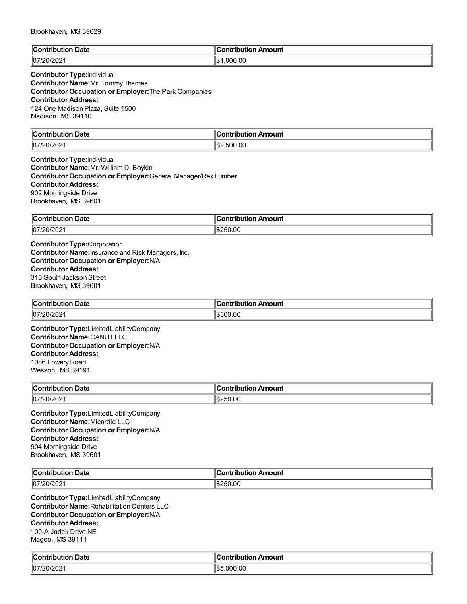| llC                                                 | Amount         |
|-----------------------------------------------------|----------------|
| <b>Date</b>                                         | .ontribution.  |
| ∴∩n*                                                | нюг.           |
| 'ih⊔ti∩n                                            | ш              |
| .                                                   |                |
| $\parallel$ 07 $\prime$ <sup>-</sup><br>.וני<br>∠∪∠ | .000.00<br>۱ф. |

#### **Contributor Type:**Individual **Contributor Name:**Mr. Tommy Thames **Contributor Occupation or Employer:**The Park Companies **Contributor Address:** 124 One Madison Plaza, Suite 1500 Madison, MS 39110

| $\mathbb{C}$<br>า Date<br><b>Contributior</b> | ribution Amount<br>:ontribution |
|-----------------------------------------------|---------------------------------|
| 07/20/202                                     | :⊅اا                            |
| .                                             | .500.00                         |

**Contributor Type:**Individual **Contributor Name:**Mr. William D. Boykin **Contributor Occupation or Employer:**General Manager/Rex Lumber **Contributor Address:** 902 Morningside Drive Brookhaven, MS 39601

| ∥Con<br>.<br>----<br>Date | ution Amount<br>" a manila ribr.<br>. |
|---------------------------|---------------------------------------|
| 07/T<br>uzuz              | :250.00<br>I.D.                       |

**Contributor Type:**Corporation **Contributor Name:**Insurance and Risk Managers, Inc. **Contributor Occupation or Employer:**N/A **Contributor Address:** 315 South Jackson Street Brookhaven, MS 39601

| $\mathsf{C}$ ontribution | . Ir            |
|--------------------------|-----------------|
| າ Date                   | ribution Amount |
| ribuuor                  | .               |
| ⊪ບ∪.                     | .               |
| 07/T<br>//20/202         | \$500.00        |

**Contributor Type:**LimitedLiabilityCompany **Contributor Name:**CANU LLLC **Contributor Occupation or Employer:**N/A **Contributor Address:** 1086 Lowery Road Wesson, MS 39191

| $\ $ Contribution | ution Amount |
|-------------------|--------------|
| Date              | satribut     |
| 07/20/202         | 250.00       |

**Contributor Type:**LimitedLiabilityCompany **Contributor Name:**Micardie LLC **Contributor Occupation or Employer:**N/A **Contributor Address:** 904 Morningside Drive Brookhaven, MS 39601

| $\mathbb{C}$<br>Date<br><b>Contributior</b><br>. IDU' | ontribution<br>Amount |
|-------------------------------------------------------|-----------------------|
| 07/2 <sup>c</sup><br>1491494                          | :50.00<br>התר<br>w    |

**Contributor Type:**LimitedLiabilityCompany **Contributor Name:**Rehabilitation Centers LLC **Contributor Occupation or Employer:**N/A **Contributor Address:** 100-A Jadek Drive NE Magee, MS 39111

| $\mathbb{R}$                                     | <b>Antribution</b> |
|--------------------------------------------------|--------------------|
| ution Date                                       | Amount             |
| .                                                | IINUUUII /         |
| $\sim$ $\sim$ $\sim$<br>$\parallel$ 07<br>UIZUZ. | .000.00<br>١œ      |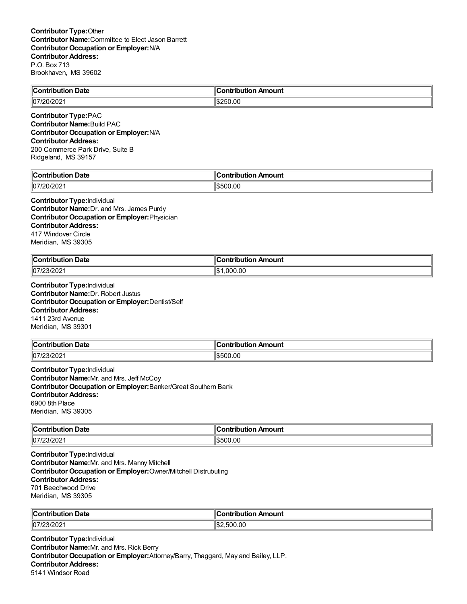| $\blacksquare$ Contribution | า Amount            |
|-----------------------------|---------------------|
| <b>Date</b>                 | <b>Contribution</b> |
| 107/20/2021                 | \$250.00            |

**Contributor Type:**PAC **Contributor Name:**Build PAC **Contributor Occupation or Employer:**N/A **Contributor Address:** 200 Commerce Park Drive, Suite B

Ridgeland, MS 39157

| Date<br>$\sim$ $\sim$<br>.<br>$\sim$ $\sim$ $\sim$ $\sim$ $\sim$ $\sim$ $\sim$ | mount<br>'ontribut<br>--- |
|--------------------------------------------------------------------------------|---------------------------|
| $\mathsf{d} \mathsf{C}$                                                        | ٠.                        |
| WZUZ.                                                                          | 00.00                     |
| ιu                                                                             | 1.D.                      |

#### **Contributor Type:**Individual **Contributor Name:**Dr. and Mrs. James Purdy **Contributor Occupation or Employer:**Physician **Contributor Address:** 417 Windover Circle Meridian, MS 39305

| $\mathsf{C}_{\mathsf{Onfrihi}}$ | Amount          |
|---------------------------------|-----------------|
| Date                            | ------          |
| .                               | ----            |
|                                 | ----            |
| 107/23/202                      | ∥\$∶<br>.000.00 |

**Contributor Type:**Individual **Contributor Name:**Dr. Robert Justus **Contributor Occupation or Employer:**Dentist/Self **Contributor Address:** 1411 23rd Avenue Meridian, MS 39301

| <b>Contribution Date</b> | <b>Contribution</b><br>n Amount |
|--------------------------|---------------------------------|
| $ 07/23/202\rangle$      | \$500.00                        |

**Contributor Type:**Individual **Contributor Name:**Mr. and Mrs. Jeff McCoy **Contributor Occupation or Employer:**Banker/Great Southern Bank **Contributor Address:** 6900 8th Place Meridian, MS 39305

| → Date<br><b>∣</b> Contribu<br>. .oution<br>. | Amount<br>ח∩itrih⊔ti∩n |
|-----------------------------------------------|------------------------|
| 107/23/2021                                   | \$500.00               |

**Contributor Type:**Individual **Contributor Name:**Mr. and Mrs. Manny Mitchell **Contributor Occupation or Employer:**Owner/Mitchell Distrubuting **Contributor Address:** 701 Beechwood Drive Meridian, MS 39305

| $\ $ Contributio<br><b>Date</b><br>. | ontribution Amount |
|--------------------------------------|--------------------|
| 107/23/202                           | 2.500.00<br>1S2    |

**Contributor Type:**Individual **Contributor Name:**Mr. and Mrs. Rick Berry **Contributor Occupation or Employer:**Attorney/Barry, Thaggard, May and Bailey, LLP. **Contributor Address:** 5141 Windsor Road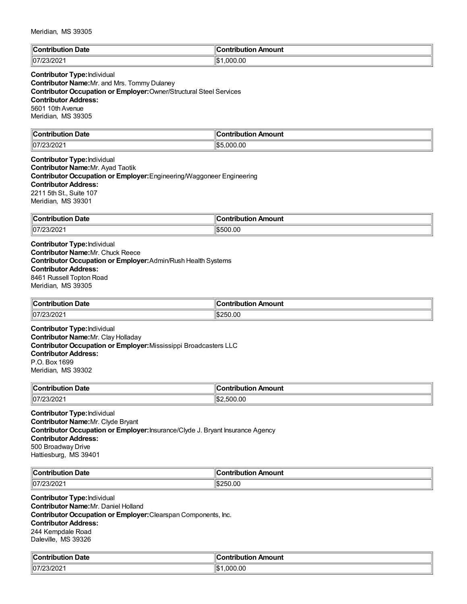| $\ $ Contribution | Amount               |
|-------------------|----------------------|
| Date              | `antrihutian         |
| .                 |                      |
| $\ 07/23/20$      | .000.00<br>lc<br>ا ت |

### **Contributor Type:**Individual

**Contributor Name:**Mr. and Mrs. Tommy Dulaney **Contributor Occupation or Employer:**Owner/Structural Steel Services **Contributor Address:** 5601 10th Avenue Meridian, MS 39305

| $\ $ Contri<br>Date              | Amount<br>`ontribution |
|----------------------------------|------------------------|
| 07 <sup>'</sup><br>$\sim$<br>ັບ∠ | ,000.00<br>∦\$ا<br>.   |

**Contributor Type:**Individual **Contributor Name:**Mr. Ayad Taotik **Contributor Occupation or Employer:**Engineering/Waggoneer Engineering **Contributor Address:** 2211 5th St., Suite 107 Meridian, MS 39301

| ∥Con<br>Date<br>ïbut<br>.<br>1011 | Amount<br>.<br>----<br>. ID' |
|-----------------------------------|------------------------------|
| 07/T<br>70. ا<br>77231202         | 0.0                          |

**Contributor Type:**Individual **Contributor Name:**Mr. Chuck Reece **Contributor Occupation or Employer:**Admin/Rush Health Systems **Contributor Address:** 8461 Russell Topton Road Meridian, MS 39305

| ∥Con'<br>Date<br>-------<br>---<br>1010 | <b>Amount</b><br>. |
|-----------------------------------------|--------------------|
| 107/23/202                              | .00<br>۱ß.<br>75U. |

**Contributor Type:**Individual **Contributor Name:**Mr. Clay Holladay **Contributor Occupation or Employer:**Mississippi Broadcasters LLC **Contributor Address:** P.O. Box 1699 Meridian, MS 39302

| $\sim$ ontribus.<br>Date<br>. | Amount<br>.<br>71                         |
|-------------------------------|-------------------------------------------|
| 07/2 <sup>2</sup><br>231202   | .00<br>$\overline{\phantom{a}}$<br>$\sim$ |

**Contributor Type:**Individual **Contributor Name:**Mr. Clyde Bryant **Contributor Occupation or Employer:**Insurance/Clyde J. Bryant Insurance Agency **Contributor Address:** 500 Broadway Drive Hattiesburg, MS 39401

| ∥Coı<br>⊦ Date<br>. | ı Amount<br>a mboile chia m<br>™∪on⊾<br>puuo |
|---------------------|----------------------------------------------|
| 07/2<br>2UZ         | $\sim$<br>$^{\prime}$<br>.UU                 |

**Contributor Type:**Individual **Contributor Name:**Mr. Daniel Holland **Contributor Occupation or Employer:**Clearspan Components, Inc. **Contributor Address:** 244 Kempdale Road Daleville, MS 39326

| Date<br><b>SUPPLIES</b><br>ution<br>. | <b>Contribution</b><br>Amount<br>$\sim$ $\sim$ |
|---------------------------------------|------------------------------------------------|
| $ 07/23/202\rangle$                   | .000.00<br>۰ ۱۱<br>IФ                          |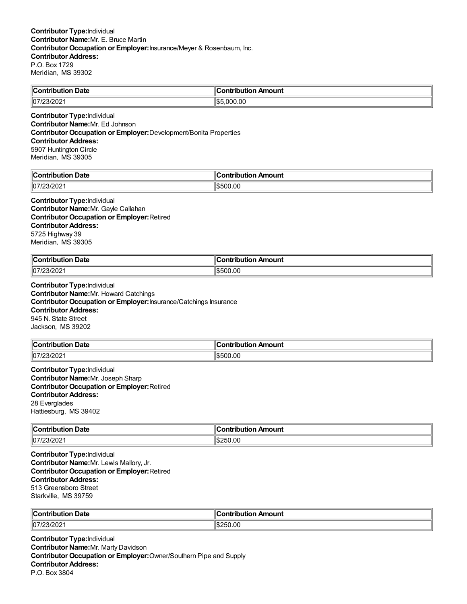| ∥Coı<br>. Date<br>ontribution | Amount<br>.<br>.                 |
|-------------------------------|----------------------------------|
| 07/23/202                     | 11 Q L<br>00.00<br>. റററ<br>'IsD |

#### **Contributor Type:**Individual **Contributor Name:**Mr. Ed Johnson **Contributor Occupation or Employer:**Development/Bonita Properties **Contributor Address:** 5907 Huntington Circle Meridian, MS 39305

| .                          | `ontribution |
|----------------------------|--------------|
| `ontribution               | n Amount     |
| υaτe                       | JIIOI        |
| .                          | I IIJL       |
| $\parallel$ 07<br>– ગ∠∪∠ ⊧ | \$500.00     |

#### **Contributor Type:**Individual **Contributor Name:**Mr. Gayle Callahan **Contributor Occupation or Employer:**Retired

**Contributor Address:** 5725 Highway 39 Meridian, MS 39305

| $\ $ Contribution<br>Date<br>. | 11<br>∩ntı<br>Amount<br>aha mai a sa<br>ורזו |
|--------------------------------|----------------------------------------------|
| 07/23/2021                     | \$500.00                                     |

#### **Contributor Type:**Individual **Contributor Name:**Mr. Howard Catchings **Contributor Occupation or Employer:**Insurance/Catchings Insurance **Contributor Address:** 945 N. State Street Jackson, MS 39202

| ∥Conι.<br>Date<br><b>ribution</b> | ribution Amount<br>. |
|-----------------------------------|----------------------|
| 07/2 <br>00. ر<br>ے∪∡וט:          | .00                  |

**Contributor Type:**Individual **Contributor Name:**Mr. Joseph Sharp **Contributor Occupation or Employer:**Retired **Contributor Address:** 28 Everglades Hattiesburg, MS 39402

| $\ $ Contribution | Amount       |
|-------------------|--------------|
| <b>Date</b>       | `ontribution |
|                   | ли           |
| 07/23/202         | \$250.00     |

**Contributor Type:**Individual **Contributor Name:**Mr. Lewis Mallory, Jr. **Contributor Occupation or Employer:**Retired **Contributor Address:** 513 Greensboro Street Starkville, MS 39759

| $\mathcal{L}_{\mathbf{C}}$<br>Date<br>. | .<br>Amount        |
|-----------------------------------------|--------------------|
| $\parallel$ 07/2<br>23/202              | 50.OC<br>ъ.<br>ייי |

**Contributor Type:**Individual **Contributor Name:**Mr. Marty Davidson **Contributor Occupation or Employer:**Owner/Southern Pipe and Supply **Contributor Address:** P.O. Box 3804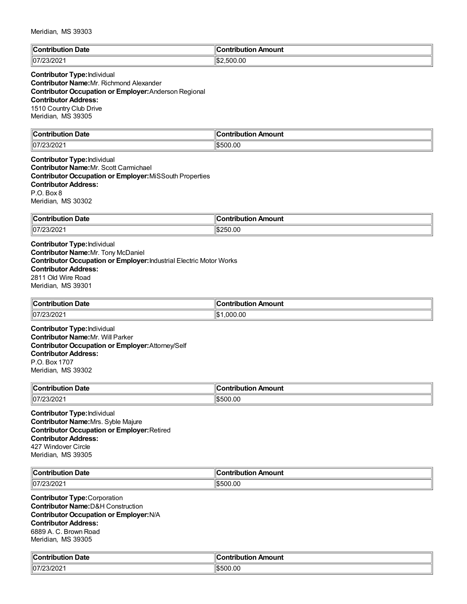| $\mathbb{I}$ C<br>Date<br>:ontributic<br>. | <b>Contribution</b><br>Amount |
|--------------------------------------------|-------------------------------|
| $\parallel$ 07/23/202                      | 2,500.00<br>∣√D.∕             |

## **Contributor Type:**Individual **Contributor Name:**Mr. Richmond Alexander

**Contributor Occupation or Employer:**Anderson Regional **Contributor Address:** 1510 Country Club Drive

Meridian, MS 39305

| $\mathbb{I}$ C<br>Jate<br>and the production of | <b>Amount</b><br><b>AMP</b><br>----<br>------ |
|-------------------------------------------------|-----------------------------------------------|
| 07/2 <sup>2</sup><br>- 94                       | 0.00                                          |

**Contributor Type:**Individual **Contributor Name:**Mr. Scott Carmichael **Contributor Occupation or Employer:**MiSSouth Properties **Contributor Address:** P.O. Box 8 Meridian, MS 30302

| ∥Con                      | ution Amount              |
|---------------------------|---------------------------|
| Date                      |                           |
| ibut                      | ----                      |
| .                         | וטו                       |
| 07/T<br>. 2U.<br>77231202 | 0.00<br>∶ا∂ا<br>יי<br>ыn. |

**Contributor Type:**Individual **Contributor Name:**Mr. Tony McDaniel **Contributor Occupation or Employer:**Industrial Electric Motor Works **Contributor Address:** 2811 Old Wire Road Meridian, MS 39301

| $\overline{ }$<br><b>Date</b><br>∴Contribufi∕ | . .<br>ı Amount<br><b>CONTINUES</b><br>ibution |
|-----------------------------------------------|------------------------------------------------|
| 107/23/202                                    | .00<br>1\$<br>იიი                              |

**Contributor Type:**Individual **Contributor Name:**Mr. Will Parker **Contributor Occupation or Employer:**Attorney/Self **Contributor Address:** P.O. Box 1707 Meridian, MS 39302

| ∥Con<br>Date<br>- - -<br>----<br>1011<br>Ή | ı Amount<br>wila mina w<br>⊡uO∟ |
|--------------------------------------------|---------------------------------|
| 107/23/202                                 | .00<br>500                      |

**Contributor Type:**Individual **Contributor Name:**Mrs. Syble Majure **Contributor Occupation or Employer:**Retired **Contributor Address:** 427 Windover Circle Meridian, MS 39305

| $\ $ Cont<br>Date<br>.           | ı<br>Amount<br>----- |
|----------------------------------|----------------------|
| 07 <sup>′</sup><br>2.3/20<br>∠∪∠ | 0.0<br>1\$500        |

**Contributor Type:**Corporation **Contributor Name:**D&H Construction **Contributor Occupation or Employer:**N/A **Contributor Address:** 6889 A. C. Brown Road Meridian, MS 39305

| $\epsilon$<br>Date<br>contributior، ا<br>IN.<br>. | <b>Contribution</b><br>Amount<br>. |
|---------------------------------------------------|------------------------------------|
| $7000000$<br>1107<br>2312021                      | \$500.00                           |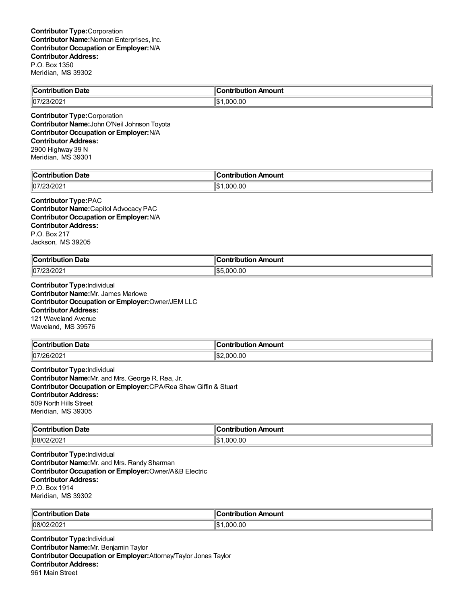| <b>Contribution Date</b> | $\parallel$ Contribution Amount |
|--------------------------|---------------------------------|
| $ 07/23/202\rangle$      | ⊪\$՝<br>.000.00                 |
|                          |                                 |

**Contributor Type:**Corporation **Contributor Name:**JohnO'Neil Johnson Toyota **Contributor Occupation or Employer:**N/A **Contributor Address:** 2900 Highway 39 N Meridian, MS 39301

| $\mathbb{R}$<br><b>*ribution Date</b><br>$\sim$ $\sim$ $\sim$ $\sim$ | Contribution Amount |
|----------------------------------------------------------------------|---------------------|
| 00000                                                                | .000.00             |
| $\parallel$ 07                                                       | ᡰ᠊                  |
| 312UZ.                                                               | I-D                 |

#### **Contributor Type:**PAC

**Contributor Name:**Capitol Advocacy PAC **Contributor Occupation or Employer:**N/A **Contributor Address:** P.O. Box 217 Jackson, MS 39205

| <b>Contribution Date</b> | 'on Amount                  |
|--------------------------|-----------------------------|
| .                        | ∴ontributioش                |
| 07/23/2021               | $  \mathbf{C}  $<br>.000.00 |

**Contributor Type:**Individual **Contributor Name:**Mr. James Marlowe **Contributor Occupation or Employer:**Owner/JEM LLC **Contributor Address:** 121 Waveland Avenue Waveland, MS 39576

| ¶Cont<br><b>Date</b><br>ıtribution | . .<br>ır<br><b>ibution</b><br>າ Amount<br>.<br>. |
|------------------------------------|---------------------------------------------------|
| 107/26/202                         | 000.00<br>IS.                                     |

**Contributor Type:**Individual **Contributor Name:**Mr. and Mrs. George R. Rea, Jr. **Contributor Occupation or Employer:**CPA/Rea Shaw Giffin & Stuart **Contributor Address:** 509 North Hills Street Meridian, MS 39305

| → Date                           | Amount                               |
|----------------------------------|--------------------------------------|
| $\mathsf{C}_{\mathsf{Onfrithl}}$ | ntributh.                            |
| $\cdots$                         | .                                    |
| $ -$                             |                                      |
| 08/02/202                        | $\mathbf{A}$<br>0.000.00<br>w<br>שו. |

**Contributor Type:**Individual **Contributor Name:**Mr. and Mrs. Randy Sharman **Contributor Occupation or Employer:**Owner/A&B Electric **Contributor Address:** P.O. Box 1914 Meridian, MS 39302

| ။င.<br>Date<br>. | <br>.<br>nount     |
|------------------|--------------------|
| 08/0;<br>1202    | .00<br>⊪ct∽<br>nnr |

**Contributor Type:**Individual **Contributor Name:**Mr. Benjamin Taylor **Contributor Occupation or Employer:**Attorney/Taylor Jones Taylor **Contributor Address:** 961 Main Street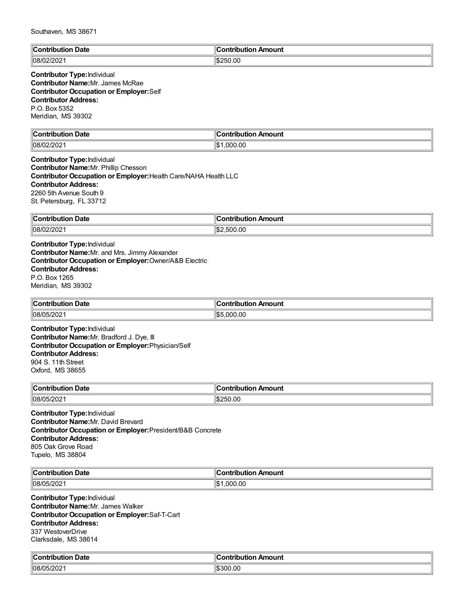| $\mathbb{I}$ C<br>Date<br>∴^ntrih⊔r<br>ш<br>. | <b>Contribution</b><br>Amount |
|-----------------------------------------------|-------------------------------|
| 08/02<br>- 202                                | \$250.00                      |

#### **Contributor Type:**Individual **Contributor Name:**Mr. James McRae **Contributor Occupation or Employer:**Self **Contributor Address:** P.O. Box 5352 Meridian, MS 39302

| llC<br>Date<br>∴∩ntr<br>-----<br>---- | $\overline{\phantom{a}}$<br>`ontribut<br>Amount<br>---- |
|---------------------------------------|---------------------------------------------------------|
| 08/0                                  | 0.00                                                    |
| 72 U Z                                | ∥\$                                                     |
|                                       | nog                                                     |

**Contributor Type:**Individual **Contributor Name:**Mr. Phillip Chesson **Contributor Occupation or Employer:**Health Care/NAHA Health LLC **Contributor Address:** 2260 5th Avenue South 9 St. Petersburg, FL 33712

| ∥Con<br><b>Date</b><br>--------<br><b>IDULION</b> | 'ribution Amount<br><b><i><u>A</u> A</i></b> |
|---------------------------------------------------|----------------------------------------------|
| 08/02<br>ж<br>ZUZ                                 | .00<br>:⊪ ا<br>--                            |

**Contributor Type:**Individual **Contributor Name:**Mr. and Mrs. Jimmy Alexander **Contributor Occupation or Employer:**Owner/A&B Electric **Contributor Address:** P.O. Box 1265 Meridian, MS 39302

| ⋯<br>. Date<br>$\cdots$ ontribution<br>ribuuor<br>ືບ∪⊾ | ∶ontribution Amount                    |
|--------------------------------------------------------|----------------------------------------|
| 108/05/202<br>120∠∵                                    | 00. (<br>$\sim$ $\sim$<br>. റററ<br>ישו |

**Contributor Type:**Individual **Contributor Name:**Mr. Bradford J. Dye, III **Contributor Occupation or Employer:**Physician/Self **Contributor Address:** 904 S. 11th Street Oxford, MS 38655

| ∥Con<br>Date<br>----<br>.<br>юп | <b>Amoun</b><br>ontributio |
|---------------------------------|----------------------------|
| 108/05/202                      | 250.00<br>ъ.               |

**Contributor Type:**Individual **Contributor Name:**Mr. David Brevard **Contributor Occupation or Employer:**President/B&B Concrete **Contributor Address:** 805 Oak Grove Road Tupelo, MS 38804

| ∜С∟                            | . .                  |
|--------------------------------|----------------------|
| Date                           | ı Amount             |
|                                | <b>∠ontributio</b> r |
| $\parallel$ 08/05/2021<br>- UZ | .00<br>nnn<br>Ψ      |

**Contributor Type:**Individual **Contributor Name:**Mr. James Walker **Contributor Occupation or Employer:**Saf-T-Cart **Contributor Address:** 337 WestoverDrive Clarksdale, MS 38614

| $\mathbb{R}$<br>ੋontribution Date         | <b>Contribution Amount</b> |
|-------------------------------------------|----------------------------|
| $5 - 1000$<br>ி∩8∧<br>16<br><i>_ט⊾ו</i> ט | \$300.00                   |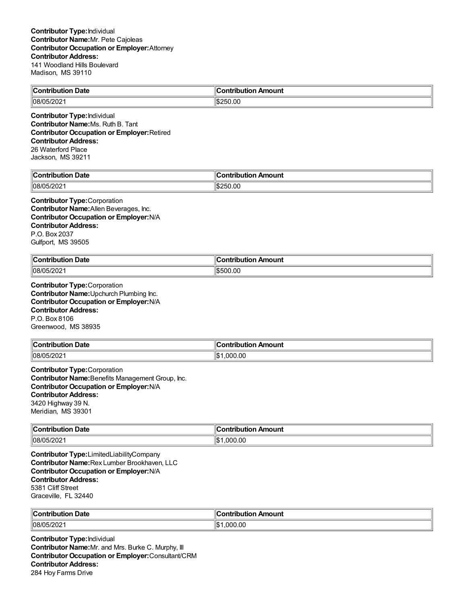| ⊪r<br>Date<br>$\sim$ $\sim$ $\sim$ $\sim$<br>.      | $\epsilon$<br>Amount<br>→ntrihutu.<br>11 A 13 |
|-----------------------------------------------------|-----------------------------------------------|
| 5/202<br>$\ln 8$<br>$\overline{\phantom{a}}$<br>∠∪∠ | 1\$250.00                                     |

**Contributor Type:**Individual **Contributor Name:**Ms. Ruth B. Tant **Contributor Occupation or Employer:**Retired **Contributor Address:** 26 Waterford Place Jackson, MS 39211

| ¶C.<br>Date<br>∴on*<br>'ibution | ontribution<br>ı Amount |
|---------------------------------|-------------------------|
| 108/C<br>05/202                 | 50.00                   |

#### **Contributor Type:**Corporation **Contributor Name:**Allen Beverages, Inc. **Contributor Occupation or Employer:**N/A **Contributor Address:** P.O. Box 2037 Gulfport, MS 39505

| ി∩∩<br>Date<br>.        | "<br>---<br>.<br>----<br>----<br>un.<br>. |
|-------------------------|-------------------------------------------|
| 08/05/20<br><i>____</i> | lc<br>0.0C<br>יר<br>ה הו                  |

**Contributor Type:**Corporation **Contributor Name:**Upchurch Plumbing Inc. **Contributor Occupation or Employer:**N/A **Contributor Address:** P.O. Box 8106 Greenwood, MS 38935

| $\ $ Contribution<br>-<br>Date<br>וטשו | . .<br>n Amount<br>,ontribution |
|----------------------------------------|---------------------------------|
| $ 08/05/202\rangle$                    | 000.00                          |

**Contributor Type:**Corporation **Contributor Name:**Benefits Management Group, Inc. **Contributor Occupation or Employer:**N/A **Contributor Address:** 3420 Highway 39 N. Meridian, MS 39301

| $\ $ Contribution   | Amount              |
|---------------------|---------------------|
| Date                | .                   |
| .                   |                     |
| $ 08/05/202\rangle$ | Ш¢<br>.000.00<br>⊔ت |

**Contributor Type:**LimitedLiabilityCompany **Contributor Name:**Rex Lumber Brookhaven, LLC **Contributor Occupation or Employer:**N/A **Contributor Address:** 5381 Cliff Street Graceville, FL 32440

| ∥Cor      | Amount             |
|-----------|--------------------|
| ∣ Date    | <b>CONTRACTOR</b>  |
| .         | .                  |
| 08/05/202 | .00<br>.000<br>I\$ |

**Contributor Type:**Individual **Contributor Name:**Mr. and Mrs. Burke C. Murphy, III **Contributor Occupation or Employer:**Consultant/CRM **Contributor Address:** 284 Hoy Farms Drive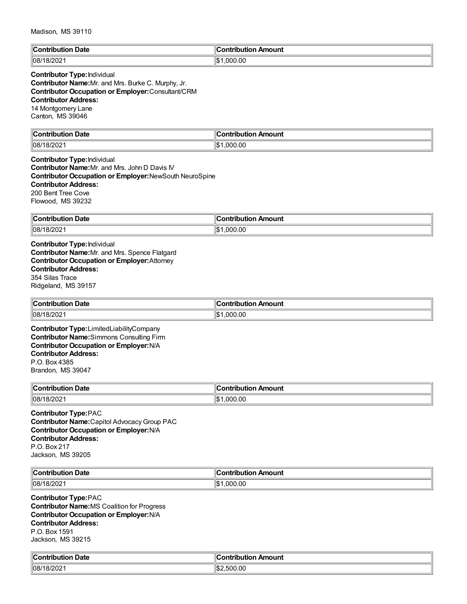| llC.<br>Date<br>. .<br>-------<br>. | Amount<br>'a mbuile i ibi a m<br>. . |
|-------------------------------------|--------------------------------------|
| פחמו<br>/l08<br>'87.<br>∠∪∠         | ∣∣∩∿<br>000.00.<br>⊺ס ה              |

#### **Contributor Type:**Individual

**Contributor Name:**Mr. and Mrs. Burke C. Murphy, Jr. **Contributor Occupation or Employer:**Consultant/CRM **Contributor Address:** 14 Montgomery Lane Canton, MS 39046

| llC.<br>Date<br>:ontributio<br>10 m<br>. | .<br>Amount<br>inn |
|------------------------------------------|--------------------|
| $\parallel$ 08/1                         | ,000.00            |
| <b>UILUL</b>                             | ۱ф.                |
|                                          | I-D                |

#### **Contributor Type:**Individual **Contributor Name:**Mr. and Mrs. John D Davis IV **Contributor Occupation or Employer:**NewSouth NeuroSpine **Contributor Address:** 200 Bent Tree Cove Flowood, MS 39232

| ∥Con          | "               |
|---------------|-----------------|
| <b>Date</b>   | ---             |
| ribution      | ribution Amount |
| 08/18<br>/202 | ∥\$∶<br>000.00  |

**Contributor Type:**Individual **Contributor Name:**Mr. and Mrs. Spence Flatgard **Contributor Occupation or Employer:**Attorney **Contributor Address:** 354 Silas Trace Ridgeland, MS 39157

| <b>Contribution Date</b> | `ontribution Amount |
|--------------------------|---------------------|
| 08/18/2021               | .000.00<br>16       |

**Contributor Type:**LimitedLiabilityCompany **Contributor Name:**Simmons Consulting Firm **Contributor Occupation or Employer:**N/A **Contributor Address:** P.O. Box 4385 Brandon, MS 39047

| ∣∣ี<br>Date<br>.         | <br>----<br>------<br>™II∪UIII |
|--------------------------|--------------------------------|
| 08/2<br>170 <sub>4</sub> | Ш¢<br>൷<br>$\mathbf{u}$        |

**Contributor Type:**PAC **Contributor Name:**Capitol AdvocacyGroup PAC **Contributor Occupation or Employer:**N/A **Contributor Address:** P.O. Box 217 Jackson, MS 39205

| $\ $ Cont<br>Date<br>----<br>.           | Amount<br>.<br>⊔ti∩n |
|------------------------------------------|----------------------|
| $\cdots$<br>/l08<br>18ı.<br>21<br>UI LUL | 0.00<br>იიი<br>שוי   |

**Contributor Type:**PAC **Contributor Name:**MS Coalition for Progress **Contributor Occupation or Employer:**N/A **Contributor Address:** P.O. Box 1591 Jackson, MS 39215

| ∥Contr'<br>Date<br>. ibution | :ontribution Amount              |
|------------------------------|----------------------------------|
| 08/1<br>18/202               | da.<br>500.00<br>50 K.<br>∕ دا.ا |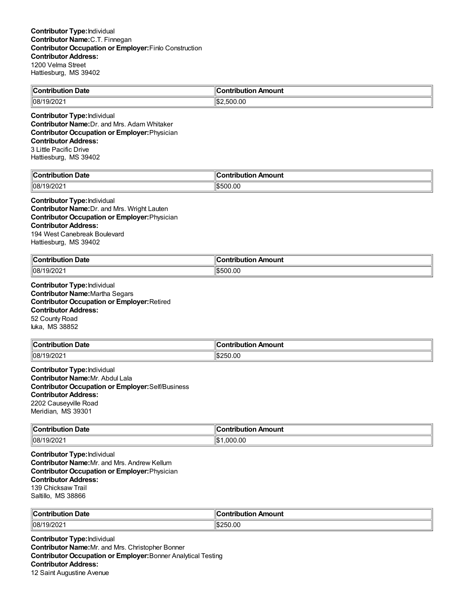| $\mathsf{C}$ ontribution | ∴ontributior                     |
|--------------------------|----------------------------------|
| <b>Date</b>              | Amount                           |
| 19/202<br>  08/1         | .00<br>ା⊄″<br><b>-00</b><br>. ור |

**Contributor Type:**Individual **Contributor Name:**Dr. and Mrs. Adam Whitaker **Contributor Occupation or Employer:**Physician **Contributor Address:** 3 Little Pacific Drive Hattiesburg, MS 39402

| `nni         | $\mathbf{r}$ $\mathbf{r}$ |
|--------------|---------------------------|
| -----        | <b>\mount</b>             |
| ------       | ----                      |
| <b>Date</b>  | -----                     |
| $ 08\rangle$ | 0.00                      |
| ZUZ          | : ה                       |

#### **Contributor Type:**Individual **Contributor Name:**Dr. and Mrs. Wright Lauten **Contributor Occupation or Employer:**Physician **Contributor Address:**

194 West Canebreak Boulevard Hattiesburg, MS 39402

| ∥Cor<br>ontribution Date | <sub>'</sub> n Amount<br>a www.laret<br>utio"<br>1D |
|--------------------------|-----------------------------------------------------|
| $\parallel$ 08/19        | 00.(                                                |
| 0.000                    | ١æ                                                  |
| 9/2021 ا                 | ור                                                  |

**Contributor Type:**Individual **Contributor Name:**Martha Segars **Contributor Occupation or Employer:**Retired **Contributor Address:** 52 County Road Iuka, MS 38852

| <b>Contribution</b> | ⊿∩ Amount            |
|---------------------|----------------------|
| Date                | contribution         |
| 08/1<br>19/202      | :50.00<br>ントー<br>ыn. |

**Contributor Type:**Individual **Contributor Name:**Mr. Abdul Lala **Contributor Occupation or Employer:**Self/Business **Contributor Address:** 2202 Causeyville Road Meridian, MS 39301

| ∥Cor<br><b>Date</b><br>ontribution<br>. | Amount<br>--------<br>----<br>וטו |
|-----------------------------------------|-----------------------------------|
| 08/19/202                               | ∥\$<br>000.00.                    |

**Contributor Type:**Individual **Contributor Name:**Mr. and Mrs. Andrew Kellum **Contributor Occupation or Employer:**Physician **Contributor Address:** 139 Chicksaw Trail Saltillo, MS 38866

| ∣∣ี            | Amount                     |
|----------------|----------------------------|
| Date           | -- Industria de la context |
| .              |                            |
| 08/1<br>19/202 | 50.OC<br>ה הי<br>,         |

**Contributor Type:**Individual **Contributor Name:**Mr. and Mrs. Christopher Bonner **Contributor Occupation or Employer:**Bonner Analytical Testing **Contributor Address:** 12 Saint Augustine Avenue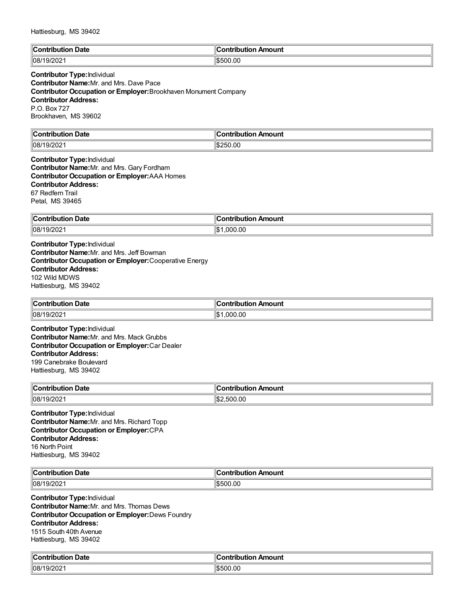| $\mathbb{I}$ C          | <b>Amount</b> |
|-------------------------|---------------|
| <b>Date</b>             | --------      |
| ™°                      | ''^"          |
| .                       |               |
| 08/1<br>. Q.I<br>9/2021 | \$500.00      |

# **Contributor Type:**Individual

**Contributor Name:**Mr. and Mrs. Dave Pace **Contributor Occupation or Employer:**Brookhaven Monument Company **Contributor Address:** P.O. Box 727 Brookhaven, MS 39602

| ∥Col             | Amount         |
|------------------|----------------|
| Date             | 'antributti an |
| a mbuila mbi a m |                |
| .                | $\sim$ $\sim$  |
| 08/19            | 250.00         |
| 9/202            | 1.DZ           |

**Contributor Type:**Individual **Contributor Name:**Mr. and Mrs. Gary Fordham **Contributor Occupation or Employer:**AAA Homes **Contributor Address:** 67 Redfern Trail Petal, MS 39465

| <b>Contribution</b><br><b>Date</b> | <br>---------<br>ution Amount<br>. IDU |
|------------------------------------|----------------------------------------|
| .9/2021<br>108/19/                 | .00<br>۱¢<br>nni<br>ыu                 |

**Contributor Type:**Individual **Contributor Name:**Mr. and Mrs. Jeff Bowman **Contributor Occupation or Employer:**Cooperative Energy **Contributor Address:** 102 Wild MDWS Hattiesburg, MS 39402

| ∥Con'<br><b>Date</b><br>rıou<br>1011 | sabela dia a<br>ribution Amount |
|--------------------------------------|---------------------------------|
| $\parallel$ 08/1<br>/202             | $\sim$<br>റററ<br>۱۴۰<br>w       |

**Contributor Type:**Individual **Contributor Name:**Mr. and Mrs. Mack Grubbs **Contributor Occupation or Employer:**Car Dealer **Contributor Address:** 199 Canebrake Boulevard Hattiesburg, MS 39402

| ∣∣ี<br>Date<br>`ontribution<br>∣∪∪ | Amount<br>.<br>ш |
|------------------------------------|------------------|
| 08/1                               | 500.00           |
| 19/202                             | נ ור:            |

**Contributor Type:**Individual **Contributor Name:**Mr. and Mrs. Richard Topp **Contributor Occupation or Employer:**CPA **Contributor Address:** 16 North Point Hattiesburg, MS 39402

| ∥C.<br><b>Date</b><br>. Am<br>--wilau tier<br>ITIOI<br> | Amount<br>.<br>Ш |
|---------------------------------------------------------|------------------|
| 08/1                                                    | 00.00            |
| . ت                                                     | ١æ               |
| ∠∪∠                                                     | י                |

**Contributor Type:**Individual **Contributor Name:**Mr. and Mrs. Thomas Dews **Contributor Occupation or Employer:**Dews Foundry **Contributor Address:** 1515 South 40th Avenue Hattiesburg, MS 39402

| $\ $ Contribut      | ∥Contr                |
|---------------------|-----------------------|
| ribution Date       | ribution Amount       |
| ∥08/'<br>ا ۷۷۷ ان . | $\sim$<br>.ut<br>ı.n. |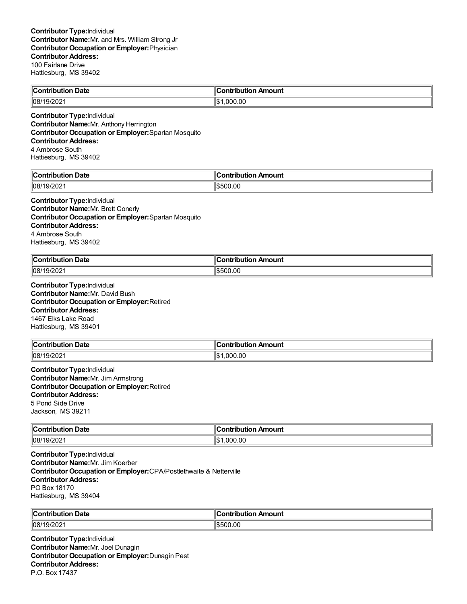| ∥Coı<br><br>Date<br>. .<br>ontribution | :ontribution<br>⊦Amount |
|----------------------------------------|-------------------------|
| $ 08/19/202\rangle$                    | .000.00<br>۱Φ۰          |
|                                        |                         |

**Contributor Type:**Individual **Contributor Name:**Mr. Anthony Herrington **Contributor Occupation or Employer:**Spartan Mosquito **Contributor Address:** 4 Ambrose South Hattiesburg, MS 39402

| Jate<br>$\sim$<br>------------- | 10<br>Amouni<br>. . <b>.</b><br>----<br>--- |
|---------------------------------|---------------------------------------------|
| $ 08\rangle$<br>-UZ             | Ιđ<br>יר<br>.ut<br>ה הו                     |

**Contributor Type:**Individual **Contributor Name:**Mr. Brett Conerly **Contributor Occupation or Employer:**Spartan Mosquito **Contributor Address:** 4 Ambrose South Hattiesburg, MS 39402

| ∥Cor             | --                  |
|------------------|---------------------|
| ontribution Date | <b>Contribution</b> |
| .                | n Amount            |
| 08/19/2021       | 1\$500.00           |

**Contributor Type:**Individual **Contributor Name:**Mr. David Bush **Contributor Occupation or Employer:**Retired **Contributor Address:** 1467 Elks Lake Road Hattiesburg, MS 39401

| $\ $ Contribution | า Amount                     |
|-------------------|------------------------------|
| ำ Date            | ∴ontribution.                |
| 08/19/202         | 0.000.00<br>$H$ $\sim$<br>1W |

**Contributor Type:**Individual **Contributor Name:**Mr. Jim Armstrong **Contributor Occupation or Employer:**Retired **Contributor Address:** 5 Pond Side Drive Jackson, MS 39211

| <b>Contribution Date</b> | n Amount<br>ontribution. |
|--------------------------|--------------------------|
| 08/19/202                | 1.000.00<br>w<br>0۰.     |

**Contributor Type:**Individual **Contributor Name:**Mr. Jim Koerber **Contributor Occupation or Employer:**CPA/Postlethwaite & Netterville **Contributor Address:** PO Box 18170 Hattiesburg, MS 39404

| ∥Con<br>Date<br><b><i>The Secret Secrets</i></b><br>ΊI<br>т в г.<br>- - - | Amount<br>--------------  |
|---------------------------------------------------------------------------|---------------------------|
| 08/1<br>19/202<br>. u r                                                   | .oc<br>$\sim$<br>הה<br>יי |

**Contributor Type:**Individual **Contributor Name:**Mr. Joel Dunagin **Contributor Occupation or Employer:**Dunagin Pest **Contributor Address:** P.O. Box 17437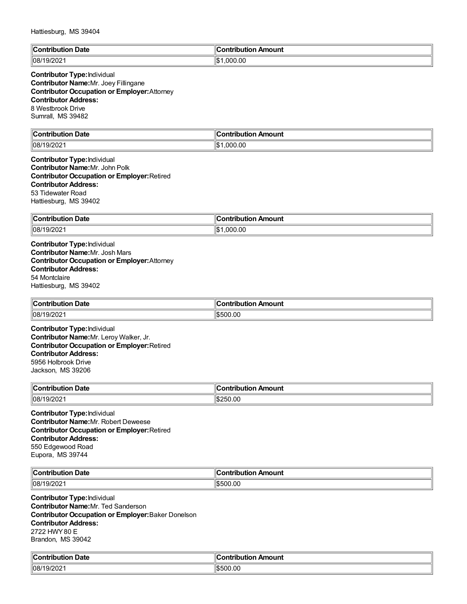| Hattiesburg, MS 39404 |  |
|-----------------------|--|
|-----------------------|--|

| ∥Cω<br>Contribution Date:                                  | Contribution Amount   |
|------------------------------------------------------------|-----------------------|
| $\sim$ ' $\sim$ $\sim$ $\sim$<br> 108/1<br>ו גו<br>19/2021 | .000.00<br>۱m۰.<br>ыn |

## **Contributor Type:**Individual **Contributor Name:**Mr. Joey Fillingane **Contributor Occupation or Employer:**Attorney **Contributor Address:** 8 Westbrook Drive Sumrall, MS 39482

| $\mathbb{R}$<br><b>Date</b><br>.<br>trihi ition | Amount         |
|-------------------------------------------------|----------------|
| 08/1<br>. C 17<br>- UZ :                        | 000.00.<br>1\$ |

#### **Contributor Type:**Individual **Contributor Name:**Mr. John Polk **Contributor Occupation or Employer:**Retired **Contributor Address:** 53 Tidewater Road Hattiesburg, MS 39402

| Contribut<br><b>Date</b> | .<br>Amount<br>---<br>$\sim$ $\sim$ $\sim$ $\sim$ $\sim$ $\sim$ |
|--------------------------|-----------------------------------------------------------------|
| 108/19/2<br>19/202       | 00.ر<br>۱¢<br>nnr<br>ا سا                                       |

**Contributor Type:**Individual **Contributor Name:**Mr. Josh Mars **Contributor Occupation or Employer:**Attorney **Contributor Address:** 54 Montclaire Hattiesburg, MS 39402

| $\ $ Contribution | Amount                         |
|-------------------|--------------------------------|
| -                 | - - - - - - - - -              |
| Date              | וטו                            |
|                   |                                |
| 08/19/202         | ົາ0.00<br>$\sqrt{2}$<br>וו ורי |

**Contributor Type:**Individual **Contributor Name:**Mr. Leroy Walker, Jr. **Contributor Occupation or Employer:**Retired **Contributor Address:** 5956 Holbrook Drive Jackson, MS 39206

| $\overline{ }$ | Amount         |
|----------------|----------------|
| Date           | .              |
| `ontribution   | ----           |
| .              | Ή              |
| 08/1<br>19/202 | .00<br>ιœ<br>י |

**Contributor Type:**Individual **Contributor Name:**Mr. Robert Deweese **Contributor Occupation or Employer:**Retired **Contributor Address:** 550 Edgewood Road Eupora, MS 39744

| llC.                                       | Amount     |
|--------------------------------------------|------------|
| Date                                       | →ntributio |
|                                            | . .        |
| ∘מחר <i>ו</i> ם<br>  08/7<br>' 97.<br>20 Z | 500.00     |

**Contributor Type:**Individual **Contributor Name:**Mr. Ted Sanderson **Contributor Occupation or Employer:**Baker Donelson **Contributor Address:** 2722 HWY80 E Brandon, MS 39042

| من<br>Date<br>`on'<br>ribuuoi | Amount<br>`ontribut<br>----<br>upullON . |
|-------------------------------|------------------------------------------|
| 08                            | 00.00                                    |
| 9/2021                        | 1550                                     |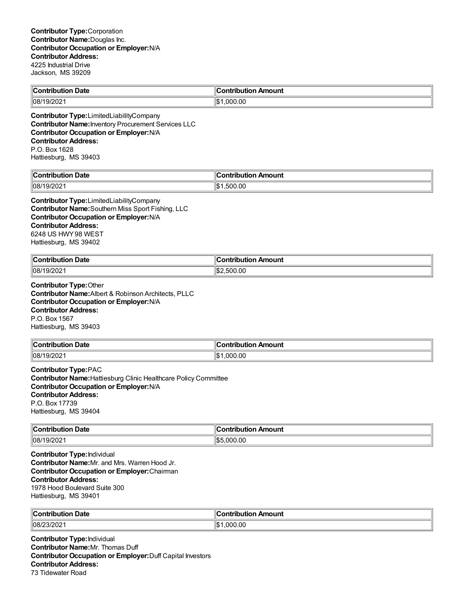| <b>Contribution Date</b> | $\ $ Contribution Amount |
|--------------------------|--------------------------|
| 08/19/2021               | ା\$1<br>.000.00          |
|                          |                          |

**Contributor Type:**LimitedLiabilityCompany **Contributor Name:**Inventory Procurement Services LLC **Contributor Occupation or Employer:**N/A **Contributor Address:** P.O. Box 1628 Hattiesburg, MS 39403

| $\ $ Contribut<br>Date<br>ribution | on Amount<br>.<br>IDL<br>ми⊾ |
|------------------------------------|------------------------------|
| 08/1                               | ∥\$։                         |
| 9/202                              | .00                          |
| . ur                               | .50C                         |

**Contributor Type:**LimitedLiabilityCompany **Contributor Name:**Southern Miss Sport Fishing, LLC **Contributor Occupation or Employer:**N/A **Contributor Address:** 6248 US HWY98 WEST Hattiesburg, MS 39402

| <b>Contribution Date</b> | Contribution Amount |
|--------------------------|---------------------|
| 08/19/2021               | .500.00             |

**Contributor Type:**Other **Contributor Name:**Albert & Robinson Architects, PLLC **Contributor Occupation or Employer:**N/A **Contributor Address:** P.O. Box 1567 Hattiesburg, MS 39403

| ∥Con<br>Date<br>.<br>rınn     | Amount<br>⊔ti∩n<br>----- |
|-------------------------------|--------------------------|
| 08/15<br>112N2<br>u<br>14 U 4 | .00<br>nnr<br>ıъ         |

**Contributor Type:**PAC **Contributor Name:**Hattiesburg Clinic Healthcare Policy Committee **Contributor Occupation or Employer:**N/A **Contributor Address:** P.O. Box 17739 Hattiesburg, MS 39404

| $\ $ Contribu<br><b>Date</b><br>. ibutior | ∕∩ Amount<br>----<br>---------<br>лu<br>יטו |
|-------------------------------------------|---------------------------------------------|
| $ 08/19/202\rangle$                       | ۱¢<br>00. (<br>$\sim$<br>! ) ( ) (          |

**Contributor Type:**Individual **Contributor Name:**Mr. and Mrs. Warren Hood Jr. **Contributor Occupation or Employer:**Chairman **Contributor Address:** 1978 Hood Boulevard Suite 300 Hattiesburg, MS 39401

| ∜Con<br>Date        | antribution<br>Amount |
|---------------------|-----------------------|
| $ 08/23/202\rangle$ | .000.00<br>۱\$∖       |

**Contributor Type:**Individual **Contributor Name:**Mr. Thomas Duff **Contributor Occupation or Employer:**Duff Capital Investors **Contributor Address:** 73 Tidewater Road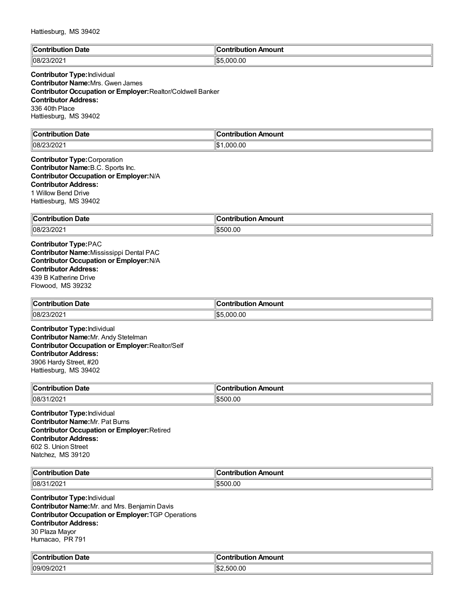| ⊪∩          | Amount        |
|-------------|---------------|
| Date        | `ontribution  |
| .           |               |
| 08/<br>- UZ | ‼\$<br>000.00 |

## **Contributor Type:**Individual **Contributor Name:**Mrs. Gwen James **Contributor Occupation or Employer:**Realtor/Coldwell Banker **Contributor Address:** 336 40th Place Hattiesburg, MS 39402

| llC.<br>Date<br>. | Amount<br>. |
|-------------------|-------------|
| 08/               | ll₾         |
| $\sim$ $\sim$     | .000.00     |
| '3/202            | ישו         |

#### **Contributor Type:**Corporation **Contributor Name:**B.C. Sports Inc. **Contributor Occupation or Employer:**N/A **Contributor Address:** 1 Willow Bend Drive Hattiesburg, MS 39402

| ∥Con           | ı      |
|----------------|--------|
| Date           | Amount |
| ----           | ----   |
| ----           | .      |
| .              | יטו    |
| $ 08/2\rangle$ | .00    |
| פחרו           | ำ∩∿    |
| 12 U Z         | יי     |

**Contributor Type:**PAC **Contributor Name:**Mississippi Dental PAC **Contributor Occupation or Employer:**N/A **Contributor Address:** 439 B Katherine Drive Flowood, MS 39232

| <b>Contribution Date</b> | ontribution Amount |
|--------------------------|--------------------|
| $ 08/23/202 \rangle$     | 5.000.00<br>1¢ 5   |

**Contributor Type:**Individual **Contributor Name:**Mr. Andy Stetelman **Contributor Occupation or Employer:**Realtor/Self **Contributor Address:** 3906 Hardy Street, #20 Hattiesburg, MS 39402

| ∥Con<br>Date<br>.<br>1011 | <b>Amoun</b><br>ontributio |
|---------------------------|----------------------------|
| $ 108/3 \rangle$<br>/202  | \$500.00                   |

**Contributor Type:**Individual **Contributor Name:**Mr. Pat Burns **Contributor Occupation or Employer:**Retired **Contributor Address:** 602 S. Union Street Natchez, MS 39120

| $\mathbb{C}$        | →ntributio    |
|---------------------|---------------|
| Date                | Amount        |
| .                   | . .           |
| 08/<br>∴ר∩ריו<br>UZ | 500.00<br>ווא |

**Contributor Type:**Individual **Contributor Name:**Mr. and Mrs. Benjamin Davis **Contributor Occupation or Employer:**TGP Operations **Contributor Address:** 30 Plaza Mayor Humacao, PR 791

| من<br>ribution Date.<br>`ontribution | <b>Contribution Amount</b>      |
|--------------------------------------|---------------------------------|
| 0.000<br>109/0<br>. J <i>JIZ</i> UZT | م دا ا<br>00.00<br>5UN<br>l√D ∕ |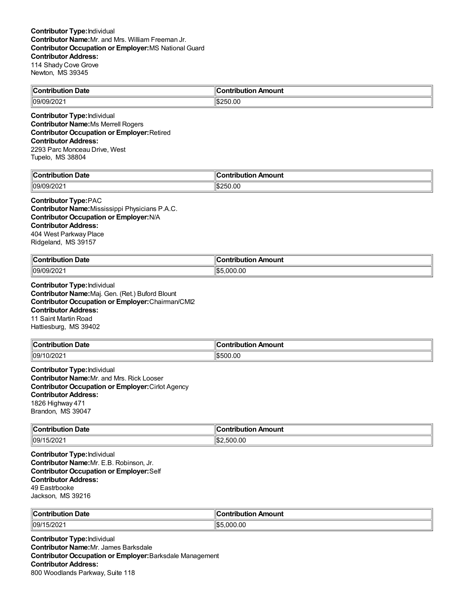#### **Contributor Type:**Individual **Contributor Name:**Mr. and Mrs. William Freeman Jr. **Contributor Occupation or Employer:**MS National Guard **Contributor Address:** 114 Shady Cove Grove Newton, MS 39345

| $\ C\ $<br>Date<br>∶ontribution | 'ontribution<br>ontribution Amount |
|---------------------------------|------------------------------------|
| 09/09<br><b>UUILUL</b>          | \$250.00                           |

**Contributor Type:**Individual **Contributor Name:**Ms Merrell Rogers **Contributor Occupation or Employer:**Retired **Contributor Address:** 2293 Parc Monceau Drive, West Tupelo, MS 38804

| . .             | --                                        |
|-----------------|-------------------------------------------|
| ∟ Date          | <b>\mount</b>                             |
| `ontribution    | `ontribution                              |
| .               | л.                                        |
| .               | $\sim$ $\sim$ $\sim$ $\sim$ $\sim$ $\sim$ |
| ™ng#.<br>72 U Z | 5250.00                                   |

# **Contributor Type:**PAC

**Contributor Name:**Mississippi Physicians P.A.C. **Contributor Occupation or Employer:**N/A **Contributor Address:** 404 West Parkway Place Ridgeland, MS 39157

| $\ Cor$<br>ontribution Date<br>___ | n Amount<br>∴ontributioش |
|------------------------------------|--------------------------|
| 09/09/202                          | 川むん<br>.000.00           |

**Contributor Type:**Individual **Contributor Name:**Maj. Gen. (Ret.) Buford Blount **Contributor Occupation or Employer:**Chairman/CMI2 **Contributor Address:** 11 Saint Martin Road Hattiesburg, MS 39402

| "Contribution"<br><b>Date</b> | .lr<br>Amount<br>.<br>ian |
|-------------------------------|---------------------------|
| 09/1                          | .00                       |
| 0/202                         | $\parallel$ \$500         |

**Contributor Type:**Individual **Contributor Name:**Mr. and Mrs. Rick Looser **Contributor Occupation or Employer:**Cirlot Agency **Contributor Address:** 1826 Highway 471 Brandon, MS 39047

| $\ $ Contribution<br>Date<br>. | Amount<br>---------<br>ורזו |
|--------------------------------|-----------------------------|
| 09/15/202                      | 00.00. ل<br>11.S.<br>500    |

**Contributor Type:**Individual **Contributor Name:**Mr. E.B. Robinson, Jr. **Contributor Occupation or Employer:**Self **Contributor Address:** 49 Eastrbooke Jackson, MS 39216

| ∜C⊾                       | Amount                               |
|---------------------------|--------------------------------------|
| Date                      | .                                    |
| - -- ---- - - - - - - - - | ⊶ис.                                 |
| .                         |                                      |
| 09/1<br>5/202             | ا به ا<br>$\sim$<br>nnn<br>יי<br>.ut |

**Contributor Type:**Individual **Contributor Name:**Mr. James Barksdale **Contributor Occupation or Employer:**Barksdale Management **Contributor Address:** 800 Woodlands Parkway, Suite 118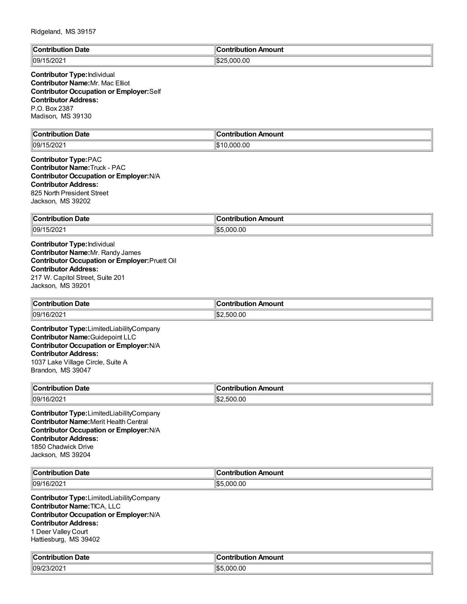| $\epsilon$<br>-<br>`ontribi<br>$\cdots$<br>Date | Amount<br><b>Contribution</b> |
|-------------------------------------------------|-------------------------------|
| $\sim$<br> 09/<br>212UZ                         | 000.00                        |

**Contributor Type:**Individual **Contributor Name:**Mr. Mac Elliot **Contributor Occupation or Employer:**Self **Contributor Address:** P.O. Box 2387 Madison, MS 39130

| $\blacksquare$ Contribution | . .                  |
|-----------------------------|----------------------|
| Date                        | ∥Contribution Amount |
| 5/202<br>  09/1<br>I JIZUZ. | ᡰ᠊<br>.000.00        |

**Contributor Type:**PAC **Contributor Name:**Truck - PAC **Contributor Occupation or Employer:**N/A **Contributor Address:** 825 North President Street Jackson, MS 39202

| ∥Con<br><b>Date</b><br>ribution | ribution Amount<br>∴ont |
|---------------------------------|-------------------------|
| 109/15/2021                     | 000.00<br>∥¢г<br>I.D.   |

**Contributor Type:**Individual **Contributor Name:**Mr. Randy James **Contributor Occupation or Employer:**Pruett Oil **Contributor Address:** 217 W. Capitol Street, Suite 201 Jackson, MS 39201

| ∥Conf<br><b>Date</b><br>tribution : | n Amount<br>ontribution |
|-------------------------------------|-------------------------|
| 109/16/202                          | 00.ر<br>50C             |

**Contributor Type:**LimitedLiabilityCompany **Contributor Name:**Guidepoint LLC **Contributor Occupation or Employer:**N/A **Contributor Address:** 1037 Lake Village Circle, Suite A Brandon, MS 39047

| ∥Coı<br>⊦ Date<br>.<br>'OUtion.<br>___ | Amount<br>-----<br>---<br>----<br> |
|----------------------------------------|------------------------------------|
| $\parallel$ 09/1<br>6/2021             | 00.ر<br>∜\$∵<br>$\sim$<br>יי ה     |

**Contributor Type:**LimitedLiabilityCompany **Contributor Name:**Merit Health Central **Contributor Occupation or Employer:**N/A **Contributor Address:** 1850 Chadwick Drive Jackson, MS 39204

| llC.<br>Date<br>utic<br>.<br>. | Amount<br>.<br>---- |
|--------------------------------|---------------------|
| 09/1                           | $\sim$              |
| ำ ไรง                          | ገ00.00              |
| LUZ.                           | - -                 |

**Contributor Type:**LimitedLiabilityCompany **Contributor Name:**TICA, LLC **Contributor Occupation or Employer:**N/A **Contributor Address:** 1 Deer Valley Court

Hattiesburg, MS 39402

| م ا،<br><b>Date</b><br>`on<br>----<br>- -<br>. | nount<br>. <b>.</b>     |
|------------------------------------------------|-------------------------|
| $\sim$ $\sim$<br>  09/<br>3/202                | .00<br>La<br>nnn<br>⊪⊾∽ |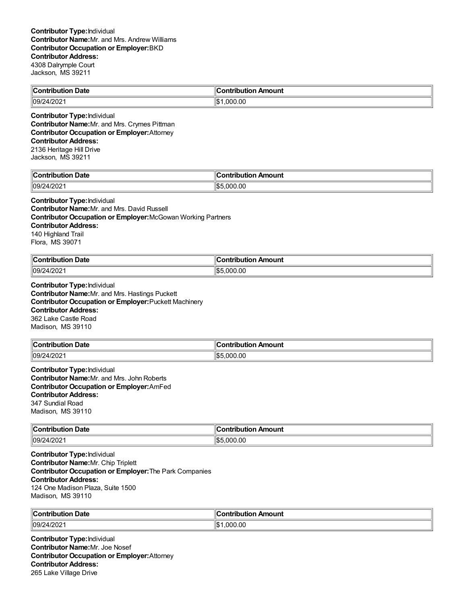| $\ C\ $      | n Amount            |
|--------------|---------------------|
| า Date       | <u>aaninin u</u>    |
| Contribution | .                   |
| 09/24/2021   | ll¢<br>.00<br>. nnr |

**Contributor Type:**Individual **Contributor Name:**Mr. and Mrs. Crymes Pittman **Contributor Occupation or Employer:**Attorney **Contributor Address:** 2136 Heritage Hill Drive

Jackson, MS 39211

| $\sim$                                        | $\overline{\phantom{a}}$ |
|-----------------------------------------------|--------------------------|
|                                               | <b><i>COMPANY</i></b>    |
| ------                                        | --------                 |
| -------                                       | .                        |
| Jate                                          | ulll                     |
| .                                             |                          |
| 100 <sup>o</sup><br>$\ln 9/2$<br>71<br>12 U Z | IS.<br>00.00             |

#### **Contributor Type:**Individual

**Contributor Name:**Mr. and Mrs. David Russell **Contributor Occupation or Employer:**McGowan Working Partners **Contributor Address:** 140 Highland Trail Flora, MS 39071

| llC:<br>Date<br>$\sim$ $\sim$ $\sim$ $\sim$ $\sim$ $\sim$ | <b>\moun</b> t<br>-----<br>. |
|-----------------------------------------------------------|------------------------------|
| פחמו                                                      | 11\$!                        |
| 109/                                                      | .00                          |
| ν.                                                        | $\sim$                       |
| ن ۱۳۷۷،                                                   | ! ) ( ) (                    |

**Contributor Type:**Individual **Contributor Name:**Mr. and Mrs. Hastings Puckett **Contributor Occupation or Employer:**Puckett Machinery **Contributor Address:** 362 Lake Castle Road Madison, MS 39110

| $\mathsf{C}_{\mathsf{C}}$<br><b>Date</b><br>. | . In<br>Amount<br>ian<br>. |
|-----------------------------------------------|----------------------------|
| $\parallel$ 09/2                              | .00                        |
| 1000                                          | იიი                        |
| 120 <sub>2</sub>                              | IS5                        |

**Contributor Type:**Individual **Contributor Name:**Mr. and Mrs. John Roberts **Contributor Occupation or Employer:**AmFed **Contributor Address:** 347 Sundial Road Madison, MS 39110

| <b>Contribution Date</b> | า Amount<br>ontribution. |
|--------------------------|--------------------------|
| 109/24/2021              | \$5,000.00               |

**Contributor Type:**Individual **Contributor Name:**Mr. Chip Triplett **Contributor Occupation or Employer:**The Park Companies **Contributor Address:** 124 One Madison Plaza, Suite 1500 Madison, MS 39110

| ∥Con<br><b>Date</b><br>.<br><b>The contract of the Contract of the Contract of the Contract of the Contract of The Contract of The Contract of The Contract of The Contract of The Contract of The Contract of The Contract of The Contract of The Contract </b><br>ribution: | ۵C<br>Amount<br>.<br>nouuor |
|-------------------------------------------------------------------------------------------------------------------------------------------------------------------------------------------------------------------------------------------------------------------------------|-----------------------------|
| 09/2<br>$\cdots$<br>-21<br>. 7 J Z UZ                                                                                                                                                                                                                                         | .000.00<br>1\$              |

**Contributor Type:**Individual **Contributor Name:**Mr. Joe Nosef **Contributor Occupation or Employer:**Attorney **Contributor Address:** 265 Lake Village Drive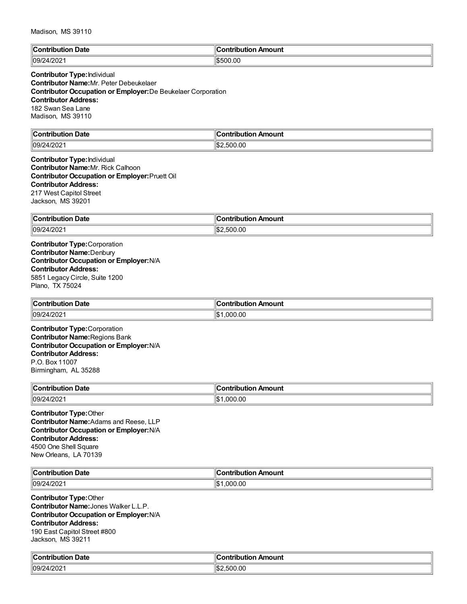Madison, MS 39110

| $\mathbb{C}$   | <b>\mount</b> |
|----------------|---------------|
| <b>Date</b>    | .             |
|                |               |
| 09/24/<br>LUZ. | \$500.00      |

## **Contributor Type:**Individual **Contributor Name:**Mr. Peter Debeukelaer **Contributor Occupation or Employer:**De Beukelaer Corporation **Contributor Address:** 182 Swan Sea Lane Madison, MS 39110

| $\mathbb{R}$                              | .                   |
|-------------------------------------------|---------------------|
| <b>Date</b>                               | noun                |
| $\sim$ $\sim$ $\sim$ $\sim$ $\sim$ $\sim$ |                     |
| 09/24<br>$1202 -$                         | IS.<br>.UU<br>ו ורי |

#### **Contributor Type:**Individual **Contributor Name:**Mr. Rick Calhoon **Contributor Occupation or Employer:**Pruett Oil **Contributor Address:** 217 West Capitol Street Jackson, MS 39201

| ∥Contrib<br>Date<br>$\cdots$<br>. IDULIO <sup>r</sup> | Amount<br>.<br>-----<br>וחו |
|-------------------------------------------------------|-----------------------------|
| $ 09/24\rangle$<br>ר∩ריו<br>412 U Z                   | ∥\$;<br>.500.00             |

**Contributor Type:**Corporation **Contributor Name:**Denbury **Contributor Occupation or Employer:**N/A **Contributor Address:** 5851 Legacy Circle, Suite 1200 Plano, TX 75024

| Contribution Date           | .ontributior<br>ก Amount |
|-----------------------------|--------------------------|
| 109/2<br>רחריו<br>. t/ZUZ ' | 0.00<br>000              |

**Contributor Type:**Corporation **Contributor Name:**Regions Bank **Contributor Occupation or Employer:**N/A **Contributor Address:** P.O. Box 11007 Birmingham, AL 35288

| $\infty$ ontribution<br>Date<br>. | n Amount<br>ontribution |
|-----------------------------------|-------------------------|
| 09/24/2021                        | .000.00                 |

**Contributor Type:**Other **Contributor Name:**Adams and Reese, LLP **Contributor Occupation or Employer:**N/A **Contributor Address:** 4500 One Shell Square New Orleans, LA 70139

| $\ $ Contribution<br><b>Date</b><br>. .Jution | ้วทtribution Amount |
|-----------------------------------------------|---------------------|
| 4/202<br> 109/2<br>.מכ״                       | .000.00<br>١¢       |

**Contributor Type:**Other **Contributor Name:**Jones Walker L.L.P. **Contributor Occupation or Employer:**N/A **Contributor Address:** 190 East Capitol Street #800 Jackson, MS 39211

| $\mathbb{C}$<br>Date<br>. : ontribution | Amount<br>`ontribution |
|-----------------------------------------|------------------------|
| 09/24/2021                              | :\$∥<br>.500.00        |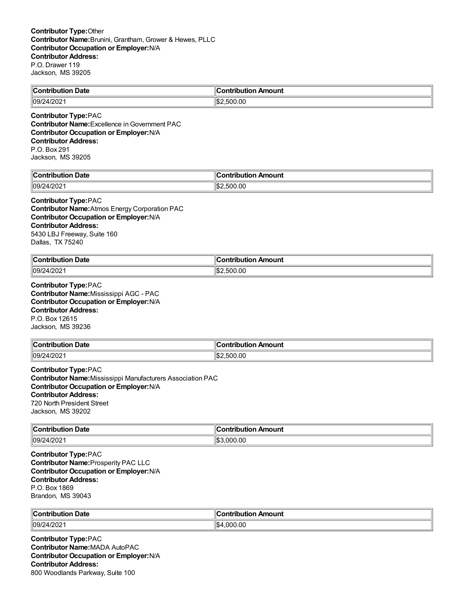| $\ $ Contribution<br>Date | ı<br>. .<br>Amount<br><b>⇔ontributior</b> |
|---------------------------|-------------------------------------------|
| 4/202                     | .500.00                                   |
| 09/24                     | ىدا:                                      |

**Contributor Type:**PAC **Contributor Name:** Excellence in Government PAC **Contributor Occupation or Employer:**N/A **Contributor Address:** P.O. Box 291 Jackson, MS 39205

| Jate<br>'nп<br>-------------<br>. | 10<br>---<br><b>\mount</b><br>----<br>--- |
|-----------------------------------|-------------------------------------------|
| 09/<br>ി മറ്റ<br>7202             | 11\$2<br>.00<br>$\sim$<br>--              |

## **Contributor Type:**PAC

**Contributor Name:**Atmos Energy Corporation PAC **Contributor Occupation or Employer:**N/A **Contributor Address:** 5430 LBJ Freeway, Suite 160 Dallas, TX 75240

| <b>Contribution Date</b> | ∵antrihution —<br>n Amount |
|--------------------------|----------------------------|
| 09/2                     | 00.ر                       |
| 1000                     | ໍ^^                        |
| <sup>.</sup> 2021-"      | ור:                        |

**Contributor Type:**PAC **Contributor Name:**Mississippi AGC - PAC **Contributor Occupation or Employer:**N/A **Contributor Address:** P.O. Box 12615 Jackson, MS 39236

| $\mathsf{C}_{\mathsf{C}}$<br><b>Date</b><br>. | . In<br>Amount<br>ian<br>. |
|-----------------------------------------------|----------------------------|
| $\parallel$ 09/2                              | .00                        |
| 1000                                          | :\$ا⊺                      |
| . ∠∪2∵                                        | .500                       |

**Contributor Type:**PAC **Contributor Name:**Mississippi Manufacturers Association PAC **Contributor Occupation or Employer:**N/A **Contributor Address:** 720 North President Street Jackson, MS 39202

| ∥Con<br>Jate<br>זהו<br>. | moun.    |
|--------------------------|----------|
| 09/2<br>ж<br>472 U Z     | .00<br>п |

**Contributor Type:**PAC **Contributor Name:**Prosperity PAC LLC **Contributor Occupation or Employer:**N/A **Contributor Address:** P.O. Box 1869 Brandon, MS 39043

| $\sim$ ontribution<br>Date<br>. | Amount<br>.<br>. . uv. .     |
|---------------------------------|------------------------------|
| $ 09/24\rangle$<br>4/202        | $\sim$<br>⊿רי<br>.000<br>.uu |

**Contributor Type:**PAC **Contributor Name:**MADA AutoPAC **Contributor Occupation or Employer:**N/A **Contributor Address:** 800 Woodlands Parkway, Suite 100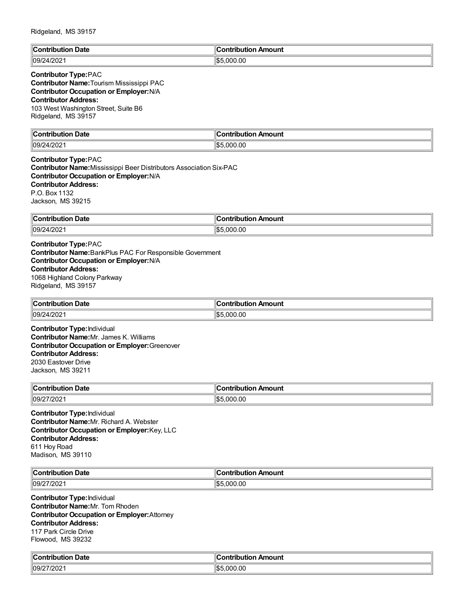| ∶ontribution Date | Contribution Amount        |
|-------------------|----------------------------|
| 109/24/2021       | \$5.000.00<br>$\mathbb{R}$ |

## **Contributor Type:**PAC

**Contributor Name:**Tourism Mississippi PAC **Contributor Occupation or Employer:**N/A **Contributor Address:** 103 West Washington Street, Suite B6 Ridgeland, MS 39157

| <b>Contribution Date</b> | Contribution Amount |
|--------------------------|---------------------|
| 09/24/202                | むに<br>\$5.000.00    |

#### **Contributor Type:**PAC **Contributor Name:**Mississippi Beer Distributors Association Six-PAC **Contributor Occupation or Employer:**N/A **Contributor Address:** P.O. Box 1132 Jackson, MS 39215

| ∥Con'<br>Date<br><b>ibution</b> | Amount<br>---<br>$   -$<br>----<br>וחו |
|---------------------------------|----------------------------------------|
| 09/24                           | 00.00                                  |
| 'יחכ                            | ا ⊄ا                                   |
| t/ZUZ                           | . UUU                                  |
|                                 | ьв.                                    |

**Contributor Type:**PAC **Contributor Name:**BankPlus PAC For Responsible Government **Contributor Occupation or Employer:**N/A **Contributor Address:** 1068 Highland Colony Parkway Ridgeland, MS 39157

| ∥Con<br>Date<br>----<br>ומו<br>. | Amount<br>s sa baile cuite a sa<br>$\sim$ $\sim$ $\sim$ $\sim$ $\sim$ |
|----------------------------------|-----------------------------------------------------------------------|
| 09/2                             | $\sim$                                                                |
| ,,                               | ا ما                                                                  |
| -UZ                              | nnr                                                                   |
|                                  | υ٧.                                                                   |

**Contributor Type:**Individual **Contributor Name:**Mr. James K. Williams **Contributor Occupation or Employer:**Greenover **Contributor Address:** 2030 Eastover Drive Jackson, MS 39211

| ∣∣ี<br>Date<br>`ontribution<br>∣∪∪ | Amount<br>ำntrihut⊪. |
|------------------------------------|----------------------|
| 109/27/202                         | .000.00<br>⋯…<br>איש |

**Contributor Type:**Individual **Contributor Name:**Mr. Richard A. Webster **Contributor Occupation or Employer:**Key, LLC **Contributor Address:** 611 Hoy Road Madison, MS 39110

| llC<br>Date<br>----<br>. | Amount<br>.<br>.<br>----- |
|--------------------------|---------------------------|
| 09/7<br>ZUZ              | $\sim$<br>00.00^          |

**Contributor Type:**Individual **Contributor Name:**Mr. Tom Rhoden **Contributor Occupation or Employer:**Attorney **Contributor Address:** 117 Park Circle Drive Flowood, MS 39232

| من<br>Date<br>`nn<br>ributioi | Amount<br>:ontribut<br>----<br>upullON. |
|-------------------------------|-----------------------------------------|
| 27/202                        | 000.00                                  |
| 109/2                         | ا⊈!                                     |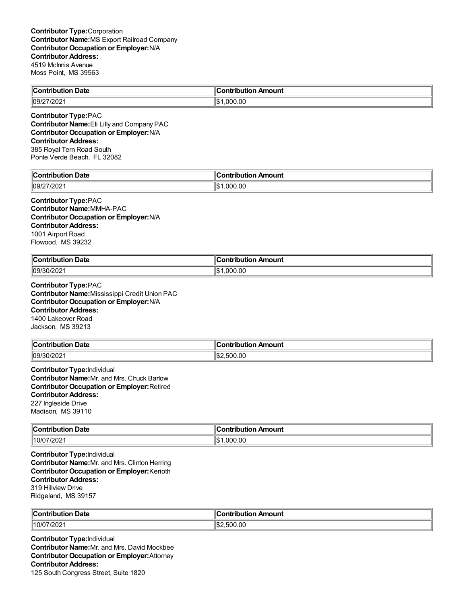| <b>Contribution Date</b>               | ∥Contribution Amount |
|----------------------------------------|----------------------|
| 7/202 <sup>.</sup><br>$\parallel$ 09/2 | .000.00<br>٦Ъ        |
|                                        |                      |

**Contributor Type:**PAC **Contributor Name:**Eli Lilly and Company PAC **Contributor Occupation or Employer:**N/A **Contributor Address:** 385 Royal Tern Road South Ponte Verde Beach, FL 32082

| Date<br>'ontribution<br>. | ı<br>`ontribution<br>Amount |
|---------------------------|-----------------------------|
| 27/202                    | ∥\$                         |
| '109/2                    | .000.00                     |

#### **Contributor Type:**PAC **Contributor Name:**MMHA-PAC **Contributor Occupation or Employer:**N/A **Contributor Address:** 1001 Airport Road Flowood, MS 39232

| ∥Cor<br>Date<br>ontribution<br>. | 10<br>Amount<br>∩ntı<br>-----<br>.<br>IDI<br>___ |
|----------------------------------|--------------------------------------------------|
| 109/30/2021                      | ∥\$։<br>.000.00                                  |

**Contributor Type:**PAC **Contributor Name:**Mississippi Credit Union PAC **Contributor Occupation or Employer:**N/A **Contributor Address:** 1400 Lakeover Road Jackson, MS 39213

| <b>Contribution</b><br>. Date | 'ontribution Amount   |
|-------------------------------|-----------------------|
| 09/3 <sup>c</sup><br>$'$ ∠∪∠  | 00. (<br>ໍ^^<br>נ ור: |

**Contributor Type:**Individual **Contributor Name:**Mr. and Mrs. Chuck Barlow **Contributor Occupation or Employer:**Retired **Contributor Address:** 227 Ingleside Drive Madison, MS 39110

| llC.<br><b>Date</b><br>$\sim$ $\sim$ $\sim$ $\sim$ $\sim$<br>. | 11<br>onti<br>Amount<br>----<br>----<br>ribution |
|----------------------------------------------------------------|--------------------------------------------------|
| 07/202                                                         | ∥\$                                              |
| 10/C                                                           | .000.00                                          |

**Contributor Type:**Individual **Contributor Name:**Mr. and Mrs. Clinton Herring **Contributor Occupation or Employer:**Kerioth **Contributor Address:** 319 Hillview Drive Ridgeland, MS 39157

| $\mathbb{R}$<br>Date<br>. | $-0.1122$<br>.<br>----<br>ounı<br>$\sim$ $\sim$ $\sim$ $\sim$ $\sim$ $\sim$ |
|---------------------------|-----------------------------------------------------------------------------|
| 110/0<br>7202             | n,<br>יי ה<br>.UU                                                           |

**Contributor Type:**Individual **Contributor Name:**Mr. and Mrs. David Mockbee **Contributor Occupation or Employer:**Attorney **Contributor Address:** 125 South Congress Street, Suite 1820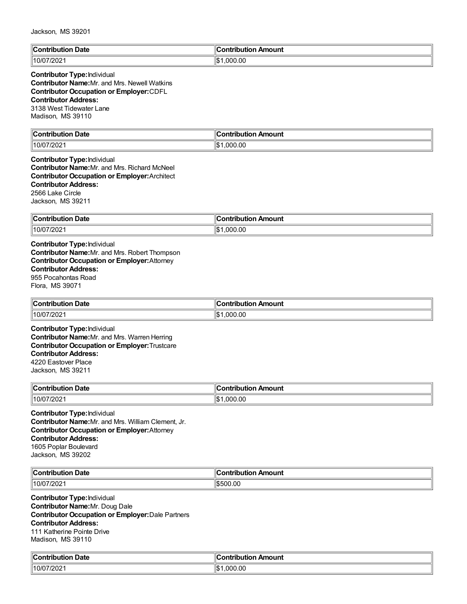| $\ $ Contribution | : ontribution         |
|-------------------|-----------------------|
| Date              | ntribution Amount     |
| 10/07/2021        | .000.00<br>ዛሮ 1<br>IФ |

# **Contributor Type:**Individual

**Contributor Name:**Mr. and Mrs. Newell Watkins **Contributor Occupation or Employer:**CDFL **Contributor Address:** 3138 West Tidewater Lane Madison, MS 39110

| ∥Contri<br>Date<br>.<br>. | "<br>.<br>Amount<br>----<br>.<br>пи |
|---------------------------|-------------------------------------|
| 7/202                     | ∥\$։                                |
| 10/0                      | .000.00                             |

### **Contributor Type:**Individual **Contributor Name:**Mr. and Mrs. Richard McNeel **Contributor Occupation or Employer:**Architect **Contributor Address:** 2566 Lake Circle Jackson, MS 39211

| Contribution | antrihut.                                 |
|--------------|-------------------------------------------|
| Date         | Amount                                    |
| . .          | ---                                       |
|              | $\sim$ $\sim$ $\sim$ $\sim$ $\sim$ $\sim$ |
| 10/07/2021∣  | ۰.<br>.000.00<br>ıъ                       |

**Contributor Type:**Individual **Contributor Name:**Mr. and Mrs. Robert Thompson **Contributor Occupation or Employer:**Attorney **Contributor Address:** 955 Pocahontas Road Flora, MS 39071

| $\ $ Contribution<br>Date | ontribution Amount  |
|---------------------------|---------------------|
| 10/07/202 <sup>*</sup>    | $\sim$<br>۱۹۰<br>നസ |

**Contributor Type:**Individual **Contributor Name:**Mr. and Mrs. Warren Herring **Contributor Occupation or Employer:**Trustcare **Contributor Address:** 4220 Eastover Place Jackson, MS 39211

| llCoı<br>⊦Date<br>.<br>м | Amount<br>.              |
|--------------------------|--------------------------|
| 10/07/2021               | ⊪c<br>0.00<br>nnı<br>م ا |

**Contributor Type:**Individual **Contributor Name:**Mr. and Mrs. William Clement, Jr. **Contributor Occupation or Employer:**Attorney **Contributor Address:** 1605 Poplar Boulevard Jackson, MS 39202

| llC<br>υaτε<br>.                   | 10<br>າount<br>----<br>. |
|------------------------------------|--------------------------|
| $\parallel$ 10/C<br>$\sim$<br>'ZU∠ | .00<br>.500              |

**Contributor Type:**Individual **Contributor Name:**Mr. Doug Dale **Contributor Occupation or Employer:**Dale Partners **Contributor Address:** 111 Katherine Pointe Drive Madison, MS 39110

| من<br>ribution Date.<br>`ontribution | :ontribution<br>ribution Amount |
|--------------------------------------|---------------------------------|
| 7/202                                | ∥\$                             |
| 110/0                                | .000.00                         |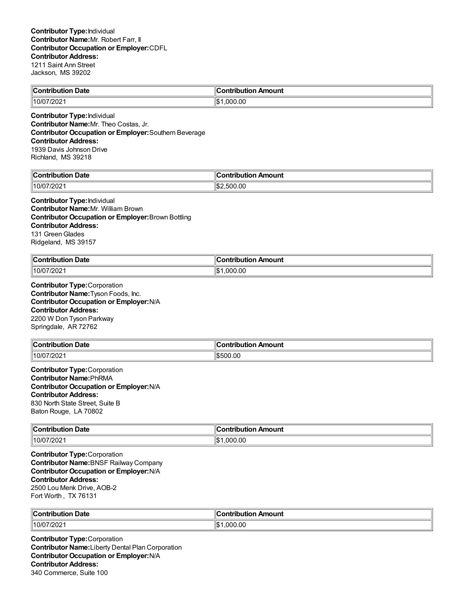| <b>Contribution Date</b> | "<br>n Amount<br>.:ontribution<br>וטו |
|--------------------------|---------------------------------------|
| 10/07/2021               | ∥\$։<br>.000.00                       |

**Contributor Type:**Individual **Contributor Name:**Mr. Theo Costas, Jr. **Contributor Occupation or Employer:**Southern Beverage **Contributor Address:** 1939 Davis Johnson Drive Richland, MS 39218

| من                  | :ontribution |
|---------------------|--------------|
| Date                | Amount       |
| <b>Contribution</b> | -ribution .  |
| 7/202               | ′/\$         |
| $ 10/0^{-}$         | :500.00      |

#### **Contributor Type:**Individual **Contributor Name:**Mr. William Brown **Contributor Occupation or Employer:**Brown Bottling **Contributor Address:** 131 Green Glades Ridgeland, MS 39157

| $\mathsf{C}_\mathsf{Onfri}$<br>Date<br>. | "<br>---<br><b>mount</b><br>----<br>--- |
|------------------------------------------|-----------------------------------------|
| 7/202                                    | 11\$                                    |
| 10/0                                     | .000.00                                 |

**Contributor Type:**Corporation **Contributor Name:**Tyson Foods, Inc. **Contributor Occupation or Employer:**N/A **Contributor Address:** 2200 W Don Tyson Parkway Springdale, AR 72762

| ∥Coi<br>. .<br>Date<br>a manila mina m | <b>\mount</b><br>---- |
|----------------------------------------|-----------------------|
| 10/07/2021                             | 00.00<br>١æ           |

#### **Contributor Type:**Corporation **Contributor Name:**PhRMA **Contributor Occupation or Employer:**N/A **Contributor Address:** 830 North State Street, Suite B Baton Rouge, LA 70802

| <b>Contribution Date</b> | n Amount<br>:ontribution |
|--------------------------|--------------------------|
| $\parallel$ 10/07/2021   | 1.000.00<br>12           |

**Contributor Type:**Corporation **Contributor Name:**BNSF Railway Company **Contributor Occupation or Employer:**N/A **Contributor Address:** 2500 Lou Menk Drive, AOB-2 Fort Worth , TX 76131

| ∥Coı<br>. Date<br>.                      | ı Amount<br>a shekarati a sa<br>∪onti<br>nouuor |
|------------------------------------------|-------------------------------------------------|
| $^{\prime\prime}$ 10/07/ $\sim$<br>//202 | $\sim$<br>നന<br>''ሰ.<br>.ut                     |

**Contributor Type:**Corporation **Contributor Name:**Liberty Dental Plan Corporation **Contributor Occupation or Employer:**N/A **Contributor Address:** 340 Commerce, Suite 100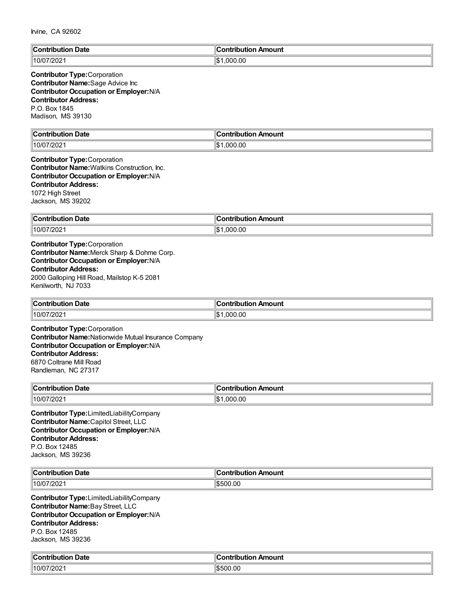| $\mathbb{R}$          | <b>Contribution</b>                      |
|-----------------------|------------------------------------------|
| Date                  | Amount                                   |
| :ontributio           | uuvii                                    |
|                       |                                          |
| $  10/07/202 \rangle$ | .000.00<br>$H \wedge \mathcal{A}$<br>I-D |

## **Contributor Type:**Corporation **Contributor Name:**Sage Advice Inc **Contributor Occupation or Employer:**N/A **Contributor Address:** P.O. Box 1845 Madison, MS 39130

| <b>Contribution Date</b> | ∥Contribution Amount |
|--------------------------|----------------------|
| $\parallel$ 10/07/2021   | ∣∣∧<br>.000.00<br>۱J |

**Contributor Type:**Corporation **Contributor Name:**Watkins Construction, Inc. **Contributor Occupation or Employer:**N/A **Contributor Address:** 1072 High Street Jackson, MS 39202

| ∥Con<br>Date<br>ribution                  | Amount<br>.<br>----<br>יטו |
|-------------------------------------------|----------------------------|
| 10/0<br>$^{\prime\prime}$ 202 $^{\prime}$ | .000.00<br>۱IC<br>ا سا     |

**Contributor Type:**Corporation **Contributor Name:**Merck Sharp & Dohme Corp. **Contributor Occupation or Employer:**N/A **Contributor Address:** 2000 Galloping Hill Road, Mailstop K-5 2081 Kenilworth, NJ 7033

| $\sim$ $\sim$<br>$\ $ Contribution<br><b>Date</b> | ontribution Amount |
|---------------------------------------------------|--------------------|
| $^{\prime\prime}$ 10/07.                          | .000.00            |
| //202                                             | 1\$                |

**Contributor Type:**Corporation **Contributor Name:**Nationwide Mutual Insurance Company **Contributor Occupation or Employer:**N/A **Contributor Address:** 6870 Coltrane Mill Road Randleman, NC 27317

| ∣∣ี        | ı Amount      |
|------------|---------------|
| Date       | .             |
| .          | ibution       |
| 10/07/2021 | 000.00<br>1\$ |

**Contributor Type:**LimitedLiabilityCompany **Contributor Name:**Capitol Street, LLC **Contributor Occupation or Employer:**N/A **Contributor Address:** P.O. Box 12485 Jackson, MS 39236

| ∥C.<br>Date<br>`ontribi<br>utior<br>. | …ontributio<br>Amount |
|---------------------------------------|-----------------------|
| 1000<br>$\parallel$ 10/C<br>720Z      | 1\$500.00             |

**Contributor Type:**LimitedLiabilityCompany **Contributor Name:**Bay Street, LLC **Contributor Occupation or Employer:**N/A **Contributor Address:** P.O. Box 12485 Jackson, MS 39236

| . .<br>. Date<br>'ontribution<br>ributk<br>. | --<br>Amount<br>`ontribution |
|----------------------------------------------|------------------------------|
| 10/07/2021                                   | \$500.00                     |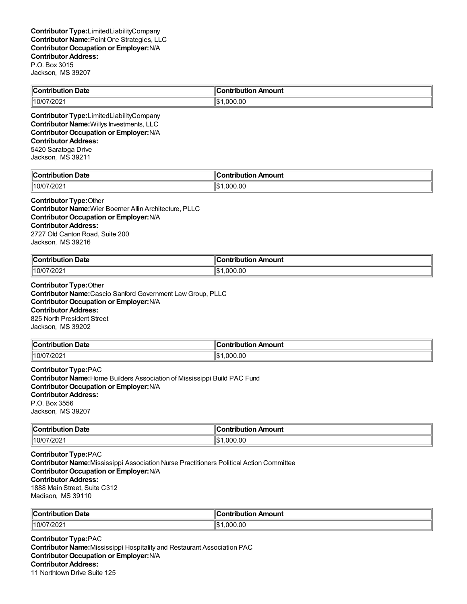| $\ $ Con                                 | Amount                 |
|------------------------------------------|------------------------|
| Date                                     | .                      |
| rihution                                 | ----                   |
| $\sqrt{2}$<br>$\parallel$ 10/C<br>14 U.C | Ш¢<br>.00<br>nnı<br>ыu |

**Contributor Type:**LimitedLiabilityCompany **Contributor Name:**Willys Investments, LLC **Contributor Occupation or Employer:**N/A **Contributor Address:** 5420 Saratoga Drive

Jackson, MS 39211

| llC<br>Jate<br>$-$<br>- - --<br>. | 11<br>10un'<br>- - - |
|-----------------------------------|----------------------|
| 7/202<br>10/0.                    | ∥\$։<br>00.00<br>nnr |

#### **Contributor Type:**Other

**Contributor Name:**Wier Boerner Allin Architecture, PLLC **Contributor Occupation or Employer:**N/A **Contributor Address:** 2727 Old Canton Road, Suite 200 Jackson, MS 39216

| ∥Coı<br>Date<br>antrihutian<br>эшкэк<br>. | --<br>Amount<br><b>∍ontributior</b> ∼ |
|-------------------------------------------|---------------------------------------|
| 10/07/2021∥                               | 1.000.00<br>۱Ъ                        |

**Contributor Type:**Other **Contributor Name:**Cascio Sanford Government Law Group, PLLC **Contributor Occupation or Employer:**N/A **Contributor Address:** 825 North President Street Jackson, MS 39202

| $\ $ Contribution     | n Amount    |
|-----------------------|-------------|
| <b>Date</b>           | ontribution |
| 10/0<br>1/200<br>140Z | 00.,<br>იიი |

**Contributor Type:**PAC **Contributor Name:**Home Builders Association of Mississippi Build PAC Fund **Contributor Occupation or Employer:**N/A **Contributor Address:** P.O. Box 3556 Jackson, MS 39207

| ∥Con<br>Date<br>. | nount<br>----<br>----- |
|-------------------|------------------------|
| ∥10/0             | $\sim$                 |
| רחריו             | ١ß٠                    |
| 1202.             | റററ                    |

**Contributor Type:**PAC **Contributor Name:**Mississippi Association Nurse Practitioners Political Action Committee **Contributor Occupation or Employer:**N/A **Contributor Address:** 1888 Main Street, Suite C312 Madison, MS 39110

| <b>Cont</b><br><br>Date<br>outior | Amount<br>.      |
|-----------------------------------|------------------|
| 7/202<br>  10/07/                 | იიი<br>יחו<br>הו |

**Contributor Type:**PAC **Contributor Name:**Mississippi Hospitality and Restaurant Association PAC **Contributor Occupation or Employer:**N/A **Contributor Address:** 11 Northtown Drive Suite 125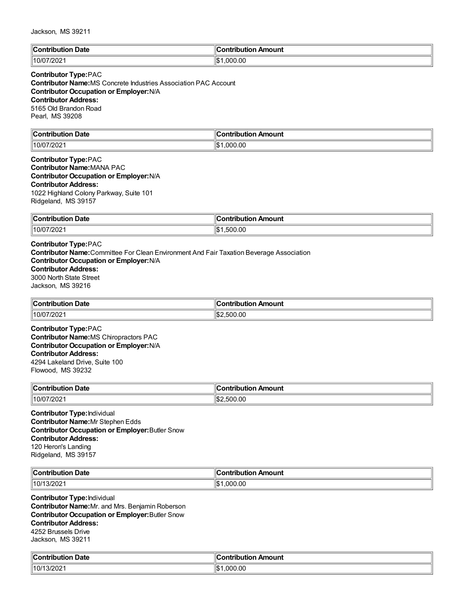| ⊪c<br>Date<br>$-20.5$<br>. | 'animia dia a<br>Amount |
|----------------------------|-------------------------|
| `^^<br>10/0<br>720∠        | ∥\$<br>.000.00          |

# **Contributor Type:**PAC

**Contributor Name:**MS Concrete Industries Association PAC Account **Contributor Occupation or Employer:**N/A **Contributor Address:** 5165 Old Brandon Road Pearl, MS 39208

| <b>Contribution Date</b> | ∥Contribution Amount |
|--------------------------|----------------------|
| $\parallel$ 10/07/2021   | ∣∣∧<br>.000.00<br>۱J |

#### **Contributor Type:**PAC **Contributor Name:**MANA PAC **Contributor Occupation or Employer:**N/A **Contributor Address:** 1022 Highland Colony Parkway, Suite 101 Ridgeland, MS 39157

| ∥Con'                            | ---------                     |
|----------------------------------|-------------------------------|
| <b>Date</b>                      | ution Amount                  |
| ribution .                       | יטו                           |
| $^{\prime}/202^{\prime}$<br>10/0 | .00<br>۱¢<br>$\sim$<br>וו ורי |

# **Contributor Type:**PAC

**Contributor Name:**Committee For Clean Environment And Fair Taxation Beverage Association **Contributor Occupation or Employer:**N/A

# **Contributor Address:**

3000 North State Street Jackson, MS 39216

| ∣∣ี<br>. Date<br>l`ontribution.<br>ribuuor<br>મ્⊍∪. | . Ir<br>ribution Amount<br>.<br>. |
|-----------------------------------------------------|-----------------------------------|
| 10/0<br>7202                                        | .500.00<br>IS.                    |

**Contributor Type:**PAC **Contributor Name:**MS Chiropractors PAC **Contributor Occupation or Employer:**N/A **Contributor Address:** 4294 Lakeland Drive, Suite 100 Flowood, MS 39232

| $\infty$ ontribution<br>Date<br>. | n Amount<br>ontribution |
|-----------------------------------|-------------------------|
| 10/07/2021                        | .500.00                 |

**Contributor Type:**Individual **Contributor Name:**Mr Stephen Edds **Contributor Occupation or Employer:**Butler Snow **Contributor Address:** 120 Heron's Landing Ridgeland, MS 39157

| $\mathsf{C}_{\mathsf{C}}$<br>Date<br>.<br>$ -$ | . .<br>Amount<br>a mbuile u di e r |
|------------------------------------------------|------------------------------------|
| 10/7<br>3/202                                  | '\$∥<br>00.00<br>nnn               |

**Contributor Type:**Individual **Contributor Name:**Mr. and Mrs. Benjamin Roberson **Contributor Occupation or Employer:**Butler Snow **Contributor Address:** 4252 Brussels Drive Jackson, MS 39211

| ∥Cor<br>`ontribution Date | --<br>Amount<br><b>Contribution</b> |
|---------------------------|-------------------------------------|
| 10/13/2021                | 1.000.00<br>ıъ                      |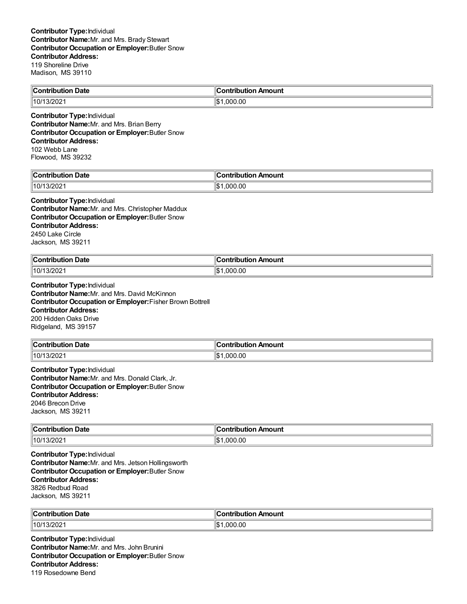| <b>Contribution Date</b> | . .<br>Contribution Amount |
|--------------------------|----------------------------|
| 3/202<br>,10/1           | .000.00                    |

**Contributor Type:**Individual **Contributor Name:**Mr. and Mrs. Brian Berry **Contributor Occupation or Employer:**Butler Snow **Contributor Address:** 102 Webb Lane Flowood, MS 39232

| . Date                     | $\overline{\phantom{a}}$ |
|----------------------------|--------------------------|
| `ontribution               | :ontribution             |
| ributioi                   | ribution Amount          |
| 1000<br>10/<br>. .<br>/202 | ∥\$<br>000.00.           |

#### **Contributor Type:**Individual

**Contributor Name:**Mr. and Mrs. Christopher Maddux **Contributor Occupation or Employer:**Butler Snow **Contributor Address:** 2450 Lake Circle Jackson, MS 39211

| <b>Contribution Date</b> | Contribution Amount |
|--------------------------|---------------------|
| 10/13/2021               | 000.00.١<br>۰⊅∥     |

**Contributor Type:**Individual **Contributor Name:**Mr. and Mrs. David McKinnon **Contributor Occupation or Employer:**Fisher Brown Bottrell **Contributor Address:** 200 Hidden Oaks Drive Ridgeland, MS 39157

| <b>Contribution Date</b> | ontribution Amount |
|--------------------------|--------------------|
| $\parallel$ 10/13/2021   | .00<br>.000        |

**Contributor Type:**Individual **Contributor Name:**Mr. and Mrs. Donald Clark, Jr. **Contributor Occupation or Employer:**Butler Snow **Contributor Address:** 2046 Brecon Drive Jackson, MS 39211

| → Date<br>$\ $ Contribution | Amount<br>ontribution |
|-----------------------------|-----------------------|
| $\parallel$ 10/13/2021      | 1.000.00<br>16<br>۱Ъ  |

**Contributor Type:**Individual **Contributor Name:**Mr. and Mrs. Jetson Hollingsworth **Contributor Occupation or Employer:**Butler Snow **Contributor Address:** 3826 Redbud Road Jackson, MS 39211

| ∥Cor<br>⊦ Date<br>. | <sub>'</sub> n Amount<br>- néribution -<br>⊹∪ont⊾<br>nouuor |
|---------------------|-------------------------------------------------------------|
| 10/1<br>3/202       | $\sim$<br>nnn<br>''ሰ.<br>.UU                                |

**Contributor Type:**Individual **Contributor Name:**Mr. and Mrs. John Brunini **Contributor Occupation or Employer:**Butler Snow **Contributor Address:** 119 Rosedowne Bend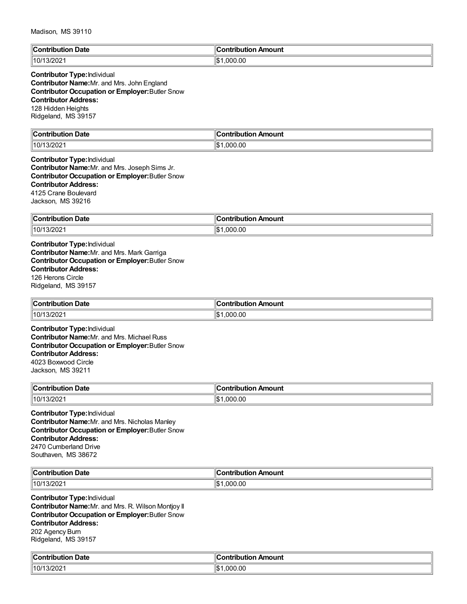| ∥C.<br>Date<br>Contribution<br><br>. | :ontribution Amount |
|--------------------------------------|---------------------|
| 1000                                 | 000.00، ،           |
| 10/1                                 | Πљ.                 |
| 13/2021                              | ыD                  |

# **Contributor Type:**Individual

**Contributor Name:**Mr. and Mrs. John England **Contributor Occupation or Employer:**Butler Snow **Contributor Address:** 128 Hidden Heights Ridgeland, MS 39157

| $\ $ Contribution<br>Date | `ontribution<br>Amount |
|---------------------------|------------------------|
| 3/202                     | ∥\$                    |
| $\parallel$ 10/ $\prime$  | .000.00                |

#### **Contributor Type:**Individual **Contributor Name:**Mr. and Mrs. Joseph Sims Jr. **Contributor Occupation or Employer:**Butler Snow **Contributor Address:** 4125 Crane Boulevard Jackson, MS 39216

| ∥Con∖<br><b>Date</b><br>tribution | ---------<br>ribution Amount |
|-----------------------------------|------------------------------|
| $\parallel$ 10/11<br>3/202        | .00<br>۱¢<br>ററ              |

**Contributor Type:**Individual **Contributor Name:**Mr. and Mrs. Mark Garriga **Contributor Occupation or Employer:**Butler Snow **Contributor Address:** 126 Herons Circle Ridgeland, MS 39157

| "Contribution"<br>Date | ۵C<br>ribution Amount<br>. |
|------------------------|----------------------------|
| 10/1<br>3/202          | .00<br>000<br>1\$          |

**Contributor Type:**Individual **Contributor Name:**Mr. and Mrs. Michael Russ **Contributor Occupation or Employer:**Butler Snow **Contributor Address:** 4023 Boxwood Circle Jackson, MS 39211

| $^{\circ}$ Contribution $\cdots$<br>Date<br>nouuor<br>. | ontribution<br>n Amount |
|---------------------------------------------------------|-------------------------|
| $10/13/202$ .                                           | .000.00                 |

**Contributor Type:**Individual **Contributor Name:**Mr. and Mrs. Nicholas Manley **Contributor Occupation or Employer:**Butler Snow **Contributor Address:** 2470 Cumberland Drive Southaven, MS 38672

| llC.                                             | Amount                                  |
|--------------------------------------------------|-----------------------------------------|
| Date                                             | .                                       |
| -----                                            |                                         |
| $\sim$ $\sim$ $\sim$ $\sim$ $\sim$ $\sim$ $\sim$ |                                         |
| 10/2<br>ZUZ.                                     | $\sim$ $\sim$<br>ากเ<br>.ut<br>۱.ħ<br>. |

**Contributor Type:**Individual **Contributor Name:**Mr. and Mrs. R. Wilson Montjoy II **Contributor Occupation or Employer:**Butler Snow **Contributor Address:** 202 Agency Burn Ridgeland, MS 39157

| $\ $ Contribut<br>Date<br>ution | on Amount<br>ontı<br>ibution |
|---------------------------------|------------------------------|
| 13/202                          | ∥\$                          |
| $\parallel$ 10/1                | 000.00.                      |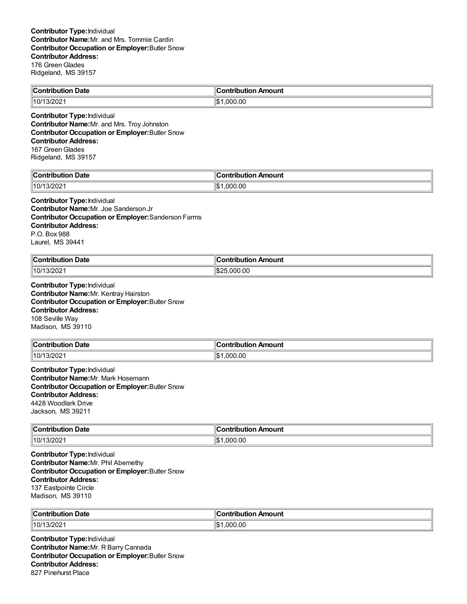| -<br>$\ $ Contribution<br><b>Date</b> | ۵C<br>Amount<br>ihution<br>--- |
|---------------------------------------|--------------------------------|
| $^{\prime\prime}$ 10/13/202 .         | .000.00<br>۱\$∙                |

**Contributor Type:**Individual **Contributor Name:**Mr. and Mrs. Troy Johnston **Contributor Occupation or Employer:**Butler Snow **Contributor Address:** 167 Green Glades Ridgeland, MS 39157

| Date<br>`on'<br>.<br>---- | 10<br>Amount<br>---<br>---<br>----<br> |
|---------------------------|----------------------------------------|
| 10/<br>. .<br>/202        | .00<br>∥\$<br>በበ                       |

# **Contributor Type:**Individual **Contributor Name:**Mr. Joe Sanderson Jr **Contributor Occupation or Employer:**Sanderson Farms **Contributor Address:**

P.O. Box 988 Laurel, MS 39441

| <b>Contribution</b><br><b>Date</b><br>. | $\blacksquare$ Contribution Amount |
|-----------------------------------------|------------------------------------|
| 3/2021                                  | .000.00                            |
| $\parallel$ 10/ $\prime$                | 11S2                               |

**Contributor Type:**Individual **Contributor Name:**Mr. Kentray Hairston **Contributor Occupation or Employer:**Butler Snow **Contributor Address:** 108 Seville Way Madison, MS 39110

| <b>Contribution Date</b> | . .<br>ır<br>∶ontribution Amount |
|--------------------------|----------------------------------|
| 10/13/2021               | .000.00<br>l\$                   |

**Contributor Type:**Individual **Contributor Name:**Mr. Mark Hosemann **Contributor Occupation or Employer:**Butler Snow **Contributor Address:** 4428 Woodlark Drive Jackson, MS 39211

| <b>Contribution Date</b> | n Amount<br>:ontribution |
|--------------------------|--------------------------|
| $\parallel$ 10/13/2021   | 1.000.00<br>12           |

**Contributor Type:**Individual **Contributor Name:**Mr. Phil Abernethy **Contributor Occupation or Employer:**Butler Snow **Contributor Address:** 137 Eastpointe Circle Madison, MS 39110

| $\mathsf{C}_{\mathsf{C}}$<br>Date<br>---------------- | Amount<br>anteria una c |
|-------------------------------------------------------|-------------------------|
| 10/1<br>3/202                                         | '\$∥<br>റററ<br>00.00    |

**Contributor Type:**Individual **Contributor Name:**Mr. R Barry Cannada **Contributor Occupation or Employer:**Butler Snow **Contributor Address:** 827 Pinehurst Place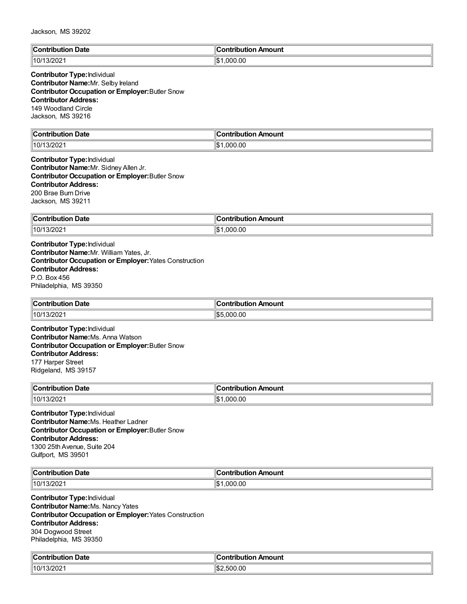| llC:<br>Date<br>$-7 - 7$<br>. | Amount<br>'a mbuile i ibi a m<br>. . |
|-------------------------------|--------------------------------------|
| 3/202<br>/10/                 | ∣∣∩∿<br>.000.00<br>۱۱۵               |

## **Contributor Type:**Individual **Contributor Name:**Mr. Selby Ireland **Contributor Occupation or Employer:**Butler Snow **Contributor Address:** 149 Woodland Circle Jackson, MS 39216

| $\mathbb{R}$<br>Jate<br>. | $-$ - a mass $-$<br>$-$<br>∵un. |
|---------------------------|---------------------------------|
| 10/1<br>.uz               | ١¢<br>.00<br>nnn<br>۱JD         |

#### **Contributor Type:**Individual **Contributor Name:**Mr. Sidney Allen Jr. **Contributor Occupation or Employer:**Butler Snow **Contributor Address:** 200 Brae Burn Drive Jackson, MS 39211

| ∥Con<br>Date<br>. | Amount<br>---<br>.<br>---- |
|-------------------|----------------------------|
| ∥10/1∶<br>3/202   | ∥\$<br>.000.00             |

**Contributor Type:**Individual **Contributor Name:**Mr. William Yates, Jr. **Contributor Occupation or Employer:**Yates Construction **Contributor Address:** P.O. Box 456 Philadelphia, MS 39350

| <b>Contribution</b><br>$\sim$<br>Date  | ır<br>ribution Amount<br>----<br>nu |
|----------------------------------------|-------------------------------------|
| $10/1$ <sup><math>\degree</math></sup> | 1\$5                                |
| 13/202                                 | .000.00                             |

**Contributor Type:**Individual **Contributor Name:**Ms. Anna Watson **Contributor Occupation or Employer:**Butler Snow **Contributor Address:** 177 Harper Street Ridgeland, MS 39157

| ∥Con<br><b>Date</b><br>.<br>юп<br>.  | . .<br>ontribution<br>Amount |
|--------------------------------------|------------------------------|
| $\parallel$ 10/1<br>$13/202^{\circ}$ | .000.00                      |

**Contributor Type:**Individual **Contributor Name:**Ms. Heather Ladner **Contributor Occupation or Employer:**Butler Snow **Contributor Address:** 1300 25th Avenue, Suite 204 Gulfport, MS 39501

| ∥Coı<br>าtribution Date<br>. | .<br>າ Amount<br>noution<br>ш |
|------------------------------|-------------------------------|
| 10/1                         | 000.00                        |
| 3/202                        | ١æ                            |
|                              | ۱J.                           |

**Contributor Type:**Individual **Contributor Name:**Ms. Nancy Yates **Contributor Occupation or Employer:**Yates Construction **Contributor Address:** 304 Dogwood Street Philadelphia, MS 39350

| م ا<br>ribution Date.<br>`ontribution | :ontribution<br>ribution Amount |
|---------------------------------------|---------------------------------|
| 13/202 <sup>.</sup>                   | ' \$։                           |
| 110/                                  | .500.00                         |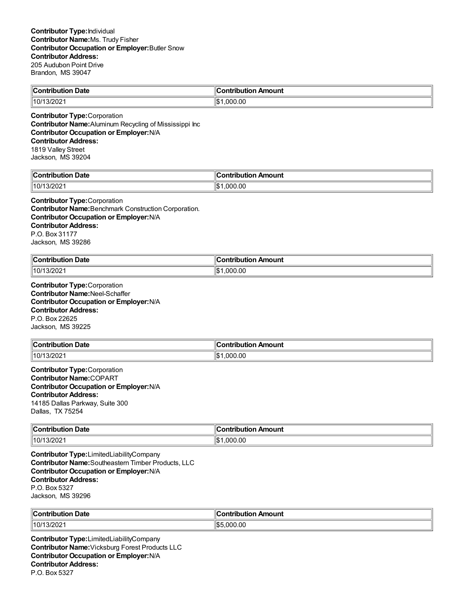| ∥Coi<br>. Date<br>antrihutian.<br>.<br>. | רווח\וntr<br>Amount<br>11 A 13 |
|------------------------------------------|--------------------------------|
| 10/1<br>3/2021                           | .000.00<br>۱с۰<br>שו.          |

**Contributor Type:**Corporation **Contributor Name:**Aluminum Recycling of Mississippi Inc **Contributor Occupation or Employer:**N/A **Contributor Address:** 1819 Valley Street Jackson, MS 39204

| Date<br>`on'<br>.<br>---- | 10<br>Amount<br>---<br>---<br>----<br> |
|---------------------------|----------------------------------------|
| 10/<br>. .<br>/202        | .00<br>∥\$<br>በበ                       |

#### **Contributor Type:**Corporation

**Contributor Name:**Benchmark Construction Corporation. **Contributor Occupation or Employer:**N/A **Contributor Address:** P.O. Box 31177 Jackson, MS 39286

| ∥Contı<br><b>Date</b><br>ribution: | :ontribution<br>n Amount |
|------------------------------------|--------------------------|
| 3/2021                             | .000.00                  |
| 10/1                               | ۰ ⊅ا                     |

**Contributor Type:**Corporation **Contributor Name:**Neel-Schaffer **Contributor Occupation or Employer:**N/A **Contributor Address:** P.O. Box 22625 Jackson, MS 39225

| Contribution Date | . .<br>n Amount<br>,ontribution |
|-------------------|---------------------------------|
| 10/1<br>3/202     | 000.00                          |

**Contributor Type:**Corporation **Contributor Name:**COPART **Contributor Occupation or Employer:**N/A **Contributor Address:** 14185 Dallas Parkway, Suite 300 Dallas, TX 75254

| $\ $ Contribution | Amount       |
|-------------------|--------------|
| <b>Date</b>       | `antoihutian |
| .                 |              |
| 10/1              | ∥\$          |
| 13/2021           | .000.00      |

**Contributor Type:**LimitedLiabilityCompany **Contributor Name:**Southeastern Timber Products, LLC **Contributor Occupation or Employer:**N/A **Contributor Address:** P.O. Box 5327 Jackson, MS 39296

| ∣∣ี            | ntribution Amount  |
|----------------|--------------------|
| <b>Date</b>    | .                  |
| ∥10/1<br>3/202 | ⊾⊅ا'<br>.00<br>nnn |

**Contributor Type:**LimitedLiabilityCompany **Contributor Name:**Vicksburg Forest Products LLC **Contributor Occupation or Employer:**N/A **Contributor Address:** P.O. Box 5327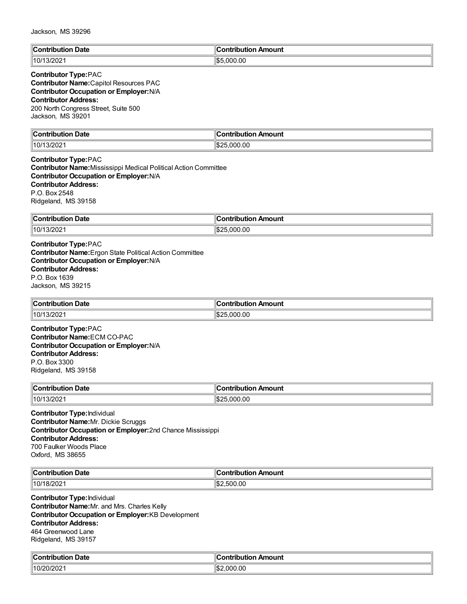| $\overline{\phantom{a}}$<br>Date<br>`nn'<br>tribution | <b>Contribution</b><br>ontribution Amount |
|-------------------------------------------------------|-------------------------------------------|
| 1000<br>10/<br>. .<br>13/2021                         | .000.00<br>⊓⊄ה                            |

## **Contributor Type:**PAC

**Contributor Name:**Capitol Resources PAC **Contributor Occupation or Employer:**N/A **Contributor Address:** 200 North Congress Street, Suite 500 Jackson, MS 39201

| $\ $ Contr<br>Jate<br>.<br>ŀi∩n | Amount<br><b>Contribution</b>                      |
|---------------------------------|----------------------------------------------------|
| 13/202<br>110/1                 | $H \wedge \wedge$<br>$\sim$<br>.000.00<br>⊿ال<br>. |

**Contributor Type:**PAC **Contributor Name:**Mississippi Medical Political Action Committee **Contributor Occupation or Employer:**N/A **Contributor Address:** P.O. Box 2548 Ridgeland, MS 39158

| ∥Con<br><b>Date</b><br>.<br>. | ĸ<br>Amount<br>----<br>----<br>IDULI |
|-------------------------------|--------------------------------------|
| 10/1<br>3/202                 | ïlœ<br>nnn nn                        |

**Contributor Type:**PAC **Contributor Name:**Ergon State Political Action Committee **Contributor Occupation or Employer:**N/A **Contributor Address:** P.O. Box 1639 Jackson, MS 39215

| ∥Cont<br>Date<br>----<br>- - -<br>rınur<br>ilon<br>. | Amount<br>----<br>.<br>___ |
|------------------------------------------------------|----------------------------|
| ∥10/1∶                                               | .000.00                    |
| 13/202                                               | IS:                        |

**Contributor Type:**PAC **Contributor Name:**ECM CO-PAC **Contributor Occupation or Employer:**N/A **Contributor Address:** P.O. Box 3300 Ridgeland, MS 39158

| ∥Con<br>Date<br>ribution                | <b>Amount</b><br>ontribution. |
|-----------------------------------------|-------------------------------|
| $\parallel$ 10/1<br>13/202 <sup>.</sup> | .000.00                       |

**Contributor Type:**Individual **Contributor Name:**Mr. Dickie Scruggs **Contributor Occupation or Employer:**2nd Chance Mississippi **Contributor Address:** 700 Faulker Woods Place Oxford, MS 38655

| llC.            | . In                                                        |
|-----------------|-------------------------------------------------------------|
| <b>Date</b>     | าount                                                       |
| ----            | .                                                           |
| .               | .                                                           |
| 10/<br>18<br>◡▵ | .00<br>ናበር<br>Im.<br>$\sim$<br>۱.۳.<br>$\sim$ $\sim$ $\sim$ |

**Contributor Type:**Individual **Contributor Name:**Mr. and Mrs. Charles Kelly **Contributor Occupation or Employer:**KB Development **Contributor Address:** 464 Greenwood Lane Ridgeland, MS 39157

| $\ $ Contribut          | "IC             |
|-------------------------|-----------------|
| Date                    | ribution Amount |
| ribution                | ontiض           |
| ∥10/20/202 <sup>.</sup> | 000.00<br>:⊯اا  |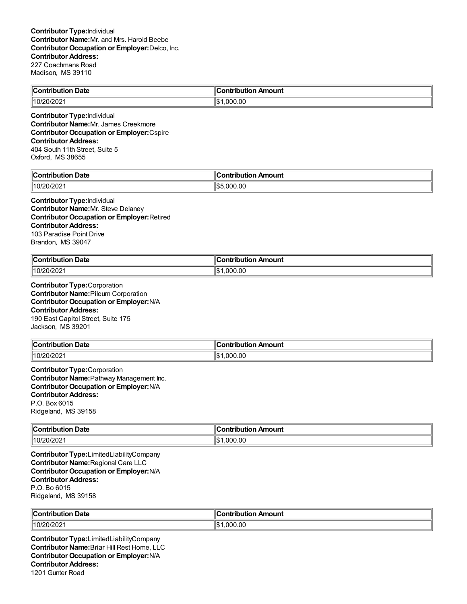| Contribution Date | Contribution Amount |
|-------------------|---------------------|
| 10/20/2021        | .000.00<br>' \$     |
|                   |                     |

**Contributor Type:**Individual **Contributor Name:**Mr. James Creekmore **Contributor Occupation or Employer:**Cspire **Contributor Address:** 404 South 11th Street, Suite 5 Oxford, MS 38655

| Date<br>$\cdots$ ontain.<br>.<br>. | 10<br>:ontribution<br>Amount |
|------------------------------------|------------------------------|
| 20/202<br>10/2 <sup>c</sup>        | .000.00<br>∥\$5              |

#### **Contributor Type:**Individual **Contributor Name:**Mr. Steve Delaney **Contributor Occupation or Employer:**Retired **Contributor Address:** 103 Paradise Point Drive Brandon, MS 39047

| ∥Cor<br>Date<br>a mbuila mbi a m<br>oution<br>. | 11<br>Amount<br>∩ntı<br>----<br>.<br>וטו |
|-------------------------------------------------|------------------------------------------|
| 10/20/2021                                      | .000.00<br>∥\$։                          |

**Contributor Type:**Corporation **Contributor Name:**Pileum Corporation **Contributor Occupation or Employer:**N/A **Contributor Address:** 190 East Capitol Street, Suite 175 Jackson, MS 39201

| ∥Contri | `ontributi |
|---------|------------|
| Date    | Amount     |
|         | .          |
| .       |            |
| 201200  | ∥¢         |
| 11 N I  | .000.00    |
| ∠∪∠     | ישו        |

**Contributor Type:**Corporation **Contributor Name:**Pathway Management Inc. **Contributor Occupation or Employer:**N/A **Contributor Address:** P.O. Box 6015 Ridgeland, MS 39158

| $\mathsf{C}$ ontribution<br><b>Date</b> | Amount<br><b>Contribution</b> |
|-----------------------------------------|-------------------------------|
| 10/20/202                               | ∣∣∧<br>,000.00<br>۱Þ.         |

**Contributor Type:**LimitedLiabilityCompany **Contributor Name:**Regional Care LLC **Contributor Occupation or Employer:**N/A **Contributor Address:** P.O. Bo 6015 Ridgeland, MS 39158

| ∥Cor      | . Ir              |
|-----------|-------------------|
| ⊦ Date    | ⊦Amount           |
| .         | .                 |
| ouuoi     | ihution           |
| 10/20/202 | .00<br>იიი<br>1\$ |

**Contributor Type:**LimitedLiabilityCompany **Contributor Name:**Briar Hill Rest Home, LLC **Contributor Occupation or Employer:**N/A **Contributor Address:** 1201 Gunter Road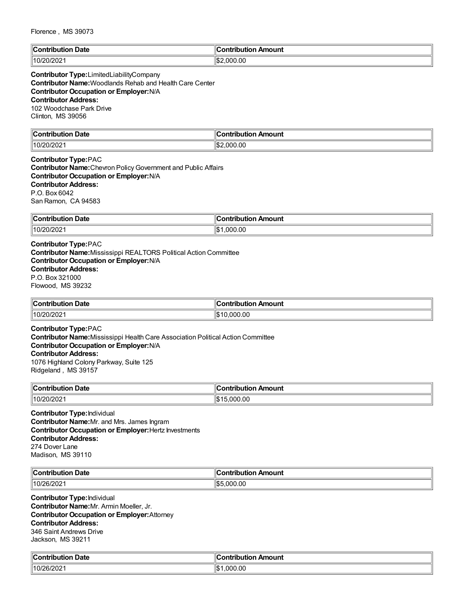| ∥C:<br>Date<br>$-20.5$<br>. | 'animia dia a<br>Amount |
|-----------------------------|-------------------------|
| $\sim$<br>″∩۱4<br>-∪∠       | 'l\$:<br>000.00         |

# **Contributor Type:**LimitedLiabilityCompany **Contributor Name:**Woodlands Rehab and Health Care Center **Contributor Occupation or Employer:**N/A **Contributor Address:** 102 Woodchase Park Drive Clinton, MS 39056

| llC<br>Jate<br>nn.<br>⊔ti∩n<br>----- | - -- --- - - - -<br><b>\moun\</b><br>$\mathbf{v}$ |
|--------------------------------------|---------------------------------------------------|
| `^^                                  | ll¢                                               |
| $\parallel$ 10/20                    | 00.00                                             |
| .vizvz                               | nnı                                               |
| u                                    | I-D.                                              |
| $\sim$ $\sim$ $\sim$ $\sim$ $\sim$   | $\sim$ $\sim$ $\sim$                              |

# **Contributor Type:**PAC **Contributor Name:**Chevron PolicyGovernment and Public Affairs

**Contributor Occupation or Employer:**N/A **Contributor Address:** P.O. Box 6042 San Ramon, CA 94583

| <b>Contribut</b><br><b>Date</b><br>ution | Amount<br>.<br>.<br>ΊD |
|------------------------------------------|------------------------|
| 10/20/2021                               | ١¢<br>.000.00          |

# **Contributor Type:**PAC

**Contributor Name:**Mississippi REALTORS Political Action Committee **Contributor Occupation or Employer:**N/A **Contributor Address:** P.O. Box 321000 Flowood, MS 39232

| <b>Date</b><br>$\ $ Contribution | . .<br>ır<br>วทtribution Amount |
|----------------------------------|---------------------------------|
| $ 10/2^r$<br>™/20∠               | .000.00<br>ΙŒ                   |

#### **Contributor Type:**PAC **Contributor Name:**Mississippi Health Care Association Political Action Committee **Contributor Occupation or Employer:**N/A **Contributor Address:** 1076 Highland Colony Parkway, Suite 125 Ridgeland , MS 39157

| ∥Con<br><b>Date</b><br>.<br>юп | Amount<br>.<br>----<br>ΊD |
|--------------------------------|---------------------------|
| 10/20/202′                     | 0.00<br>١đ                |

**Contributor Type:**Individual **Contributor Name:**Mr. and Mrs. James Ingram **Contributor Occupation or Employer:**Hertz Investments **Contributor Address:** 274 Dover Lane Madison, MS 39110

| $\mathsf{C}$             | Amount      |
|--------------------------|-------------|
| Date                     |             |
| $"10/$ ∠<br>"ນພ<br>6/202 | .OC<br>,,,, |

**Contributor Type:**Individual **Contributor Name:**Mr. Armin Moeller, Jr. **Contributor Occupation or Employer:**Attorney **Contributor Address:** 346 Saint Andrews Drive Jackson, MS 39211

| ∥Cω<br><b>Contribution Date</b> ∶ | Contribution Amount |
|-----------------------------------|---------------------|
| $10/26/202$ .                     | ∥\$<br>.000.00      |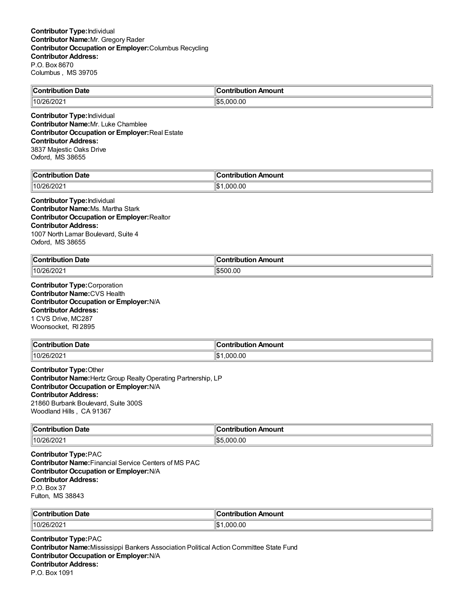| $\mathsf{I}\mathsf{C}\mathsf{n}$ nt<br>Date<br>ibution | Amount<br>…ontribution |
|--------------------------------------------------------|------------------------|
| 110 <sup>r</sup><br>לאדי.<br>∠∪                        | .000.00<br>  むに        |

**Contributor Type:**Individual **Contributor Name:**Mr. Luke Chamblee **Contributor Occupation or Employer:**Real Estate **Contributor Address:** 3837 Majestic Oaks Drive Oxford, MS 38655

| $\mathbb{C}$<br>Date<br>ົດຕີ<br>∵ıtı∩ı<br>------- | Amount                   |
|---------------------------------------------------|--------------------------|
| 110 <sup>r</sup><br>ጋፎ<br>-∪∠                     | ۱۱œ۰<br>.00<br>nnı<br>ьn |

**Contributor Type:**Individual **Contributor Name:**Ms. Martha Stark **Contributor Occupation or Employer:**Realtor **Contributor Address:** 1007 North Lamar Boulevard, Suite 4 Oxford, MS 38655

| ∥Cor<br>Date<br>antrihutian<br>ouuon.<br>. | ີ∩ntributi⊾<br>Amount |
|--------------------------------------------|-----------------------|
| 10/26/2021                                 | 1\$500.00             |

**Contributor Type:**Corporation **Contributor Name:**CVS Health **Contributor Occupation or Employer:**N/A **Contributor Address:** 1 CVS Drive, MC287 Woonsocket, RI 2895

| Contribution Date | ∶ontribution Amount     |
|-------------------|-------------------------|
| $10/26/20$ 'z .   | .00<br>.000<br>$-1 - 1$ |

**Contributor Type:**Other **Contributor Name:**HertzGroup RealtyOperating Partnership, LP **Contributor Occupation or Employer:**N/A **Contributor Address:** 21860 Burbank Boulevard, Suite 300S Woodland Hills , CA 91367

| ∥Con<br>Date<br>IMF<br>. | <b>moun</b><br>-- |
|--------------------------|-------------------|
| $10/26$ /                | .00               |
| ,,,                      | $\sim$            |
| 14 U 4                   | м                 |

**Contributor Type:**PAC **Contributor Name:**Financial Service Centers of MS PAC **Contributor Occupation or Employer:**N/A **Contributor Address:** P.O. Box 37 Fulton, MS 38843

| ∥Contrib               | $\mathbf{r}$   |
|------------------------|----------------|
| Date                   | Amount         |
| .                      | -----------    |
| .                      |                |
| $\parallel$ 10/26/2021 | 1\$<br>000.00. |

**Contributor Type:**PAC **Contributor Name:**Mississippi Bankers Association Political Action Committee State Fund **Contributor Occupation or Employer:**N/A **Contributor Address:** P.O. Box 1091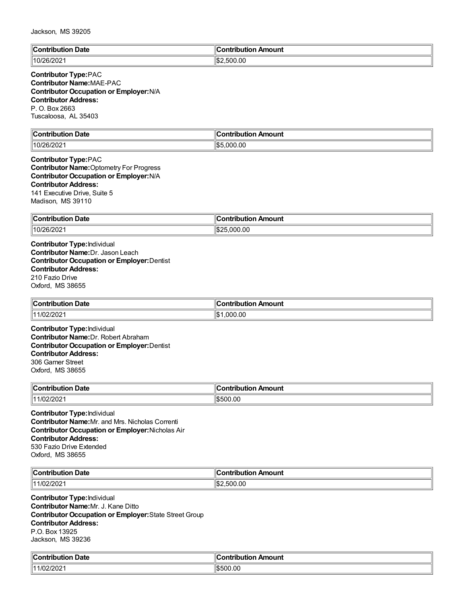| $\ $ Cor       | Amount            |
|----------------|-------------------|
| Date           | <u>aantuiku t</u> |
| . * ontribur   | .                 |
| 110/26/<br>-∪∠ | .500.00<br>JD /   |

#### **Contributor Type:**PAC **Contributor Name:**MAE-PAC **Contributor Occupation or Employer:**N/A **Contributor Address:** P. O. Box 2663 Tuscaloosa, AL 35403

| .<br>`ontribution<br><b>Date</b><br> | `ontribution<br>ution Amount<br>ישו |
|--------------------------------------|-------------------------------------|
| . .                                  | " –                                 |
| UI LUL                               | 000.00.                             |
| .                                    | ъ.                                  |

#### **Contributor Type:**PAC **Contributor Name:**Optometry For Progress **Contributor Occupation or Employer:**N/A **Contributor Address:** 141 Executive Drive, Suite 5 Madison, MS 39110

| ∣∽<br><b>Contribution Date</b><br>וטטו | llContribution ⊤<br>ribution Amount: |
|----------------------------------------|--------------------------------------|
| 10/26/20                               | ۱¢۰<br>000.00<br>، ۱٬۱۵              |

**Contributor Type:**Individual **Contributor Name:**Dr. Jason Leach **Contributor Occupation or Employer:**Dentist **Contributor Address:** 210 Fazio Drive Oxford, MS 38655

| ∥Cor                    | n Amount        |
|-------------------------|-----------------|
| <b>ontribution Date</b> | ontribution     |
| 11/02/2021              | .000.00<br>1.4. |

**Contributor Type:**Individual **Contributor Name:**Dr. Robert Abraham **Contributor Occupation or Employer:**Dentist **Contributor Address:** 306 Garner Street Oxford, MS 38655

| ∥Con<br><b>Date</b><br>.<br>юп<br>. | . .<br>ontribution<br>Amount |
|-------------------------------------|------------------------------|
| /202<br>11110c                      | \$500.00                     |

**Contributor Type:**Individual **Contributor Name:**Mr. and Mrs. Nicholas Correnti **Contributor Occupation or Employer:**Nicholas Air **Contributor Address:** 530 Fazio Drive Extended Oxford, MS 38655

| ∥C.<br>Date<br><b>A</b> $\sim$<br>.<br>-----<br>$\sim$ $\sim$ $\sim$ $\sim$ $\sim$ $\sim$ $\sim$ | s valutila i ilira va<br><b><i><u>AMAGEEST</u></i></b><br>ш<br>nount |
|--------------------------------------------------------------------------------------------------|----------------------------------------------------------------------|
| $\sqrt{2}$<br>$  4^{\prime}$<br>$^{\prime}$<br>∸∪∠<br>_____                                      | .00<br>١¢<br>$\sim$                                                  |

**Contributor Type:**Individual **Contributor Name:**Mr. J. Kane Ditto **Contributor Occupation or Employer:**State Street Group **Contributor Address:** P.O. Box 13925 Jackson, MS 39236

| من<br>ribution Date.<br>`ontribution | ∥Contribut<br>ribution Amount |
|--------------------------------------|-------------------------------|
| 1000<br>1/02/202 <sup>.</sup><br>44  | OO.OU<br>1.D.                 |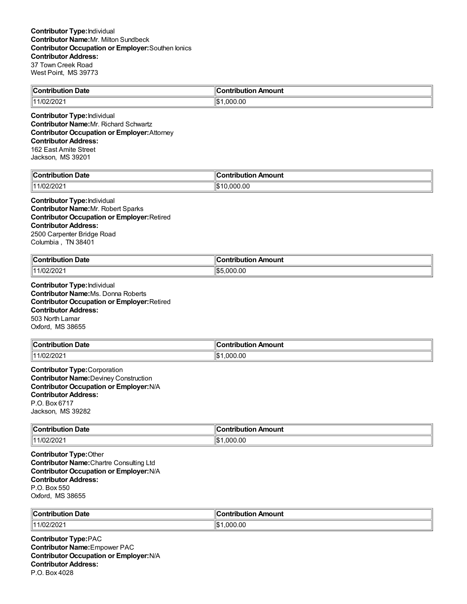| <b>Contribution</b><br>Date | ontribution Amount |
|-----------------------------|--------------------|
| רחריו                       | .00                |
| 14100                       | ים שו              |
| ∠∪∠                         | . ೧೧೧              |

**Contributor Type:**Individual **Contributor Name:**Mr. Richard Schwartz **Contributor Occupation or Employer:**Attorney **Contributor Address:** 162 East Amite Street Jackson, MS 39201

| llC<br>Jate<br>∴ontrih⊔r<br>---- | K<br>------<br><sub>'</sub> n Amount<br>----<br>----<br>וטו |
|----------------------------------|-------------------------------------------------------------|
| $\sqrt{2}$<br>1 2021/∠ر.         | חו<br>.00<br>и<br>יטו                                       |

**Contributor Type:**Individual **Contributor Name:**Mr. Robert Sparks **Contributor Occupation or Employer:**Retired **Contributor Address:** 2500 Carpenter Bridge Road Columbia , TN 38401

| <b>Contribution Date</b> | on Amount                   |
|--------------------------|-----------------------------|
| ___                      | ∶ontribution                |
| 11/02/2021               | $  \mathbf{C}  $<br>.000.00 |

**Contributor Type:**Individual **Contributor Name:**Ms. Donna Roberts **Contributor Occupation or Employer:**Retired **Contributor Address:** 503 North Lamar Oxford, MS 38655

| ⊩പ                                | .                       |
|-----------------------------------|-------------------------|
| Date                              | <b>AAIIA</b>            |
| - -- ----- - - - - - - - -        | <b>IOUI I</b>           |
| .                                 |                         |
| $\sqrt{2}$<br>$^{\prime}$<br>'ZUZ | ۱I¢<br>.00<br>റവ<br>⊪∪⊽ |

**Contributor Type:**Corporation **Contributor Name:**Deviney Construction **Contributor Occupation or Employer:**N/A **Contributor Address:** P.O. Box 6717 Jackson, MS 39282

| $\mathbb{C}$<br>Date<br>`ontribut<br>…uti∩‴ | Amount<br>nni<br>. |
|---------------------------------------------|--------------------|
| $\sqrt{2}$<br>  11<br>1/UZ/ZUZ-<br>.<br>.   | 1\$<br>000.00,۱    |

**Contributor Type:**Other **Contributor Name:**Chartre Consulting Ltd **Contributor Occupation or Employer:**N/A **Contributor Address:** P.O. Box 550 Oxford, MS 38655

| ∥Coı<br>. Date<br>.                | Amount<br>anika ukiwa w<br>- -- -<br>™uu.<br>___ |
|------------------------------------|--------------------------------------------------|
| 14.47<br>7202<br>ำ /เ .<br>$\cdot$ | $\sim$<br>. ۱۳<br>nnr<br>IЪ<br>.uu               |

**Contributor Type:**PAC **Contributor Name:**Empower PAC **Contributor Occupation or Employer:**N/A **Contributor Address:** P.O. Box 4028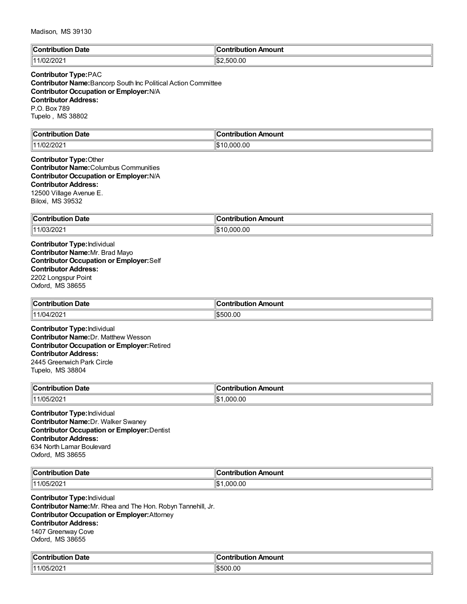| ∥Co⊧<br>Date<br><b>SARAIN LINEAR</b><br>.                         | "<br>---<br>noun'<br>----<br>----<br>. . |
|-------------------------------------------------------------------|------------------------------------------|
| פחריו<br>1 <i>A</i> A<br>$\sqrt{2}$<br>$^{\prime}$<br>720Z<br>''~ | ∥\$;<br>00.00<br>--                      |

# **Contributor Type:**PAC

**Contributor Name:**Bancorp South Inc Political Action Committee **Contributor Occupation or Employer:**N/A **Contributor Address:** P.O. Box 789 Tupelo , MS 38802

| .                  | .                   |
|--------------------|---------------------|
| ∥Cω                | '                   |
| Contribution Date: | Contribution Amount |
| 1001000            | ∣∣∧                 |
| 1144               | .000.00             |
| <u>1/UZ/202</u>    | ۱J                  |

#### **Contributor Type:**Other **Contributor Name:**Columbus Communities **Contributor Occupation or Employer:**N/A **Contributor Address:** 12500 Village Avenue E.

Biloxi, MS 39532

| llCoi<br><b>Date</b><br>.                       | Amount<br>--------<br>$\sim$ $\sim$ $\sim$<br>Ш |
|-------------------------------------------------|-------------------------------------------------|
| 200<br>$\overline{16}$<br>1 A A<br><i>אטאוט</i> | .00 G<br>הוי                                    |

**Contributor Type:**Individual **Contributor Name:**Mr. Brad Mayo **Contributor Occupation or Employer:**Self **Contributor Address:** 2202 Longspur Point Oxford, MS 38655

| ∥Contı<br><b>Date</b><br>. .Jution .<br>. | า Amount<br>ontribution |
|-------------------------------------------|-------------------------|
| 11/04/202 <i>*</i><br>14.4 R              | 6500.00                 |

**Contributor Type:**Individual **Contributor Name:**Dr. Matthew Wesson **Contributor Occupation or Employer:**Retired **Contributor Address:** 2445 Greenwich Park Circle Tupelo, MS 38804

| $\infty$ ontribution<br>Date<br>nouuoi<br>. | ontribution<br>n Amount |
|---------------------------------------------|-------------------------|
| 11/05/2021                                  | .000.00                 |

**Contributor Type:**Individual **Contributor Name:**Dr. Walker Swaney **Contributor Occupation or Employer:**Dentist **Contributor Address:** 634 North Lamar Boulevard Oxford, MS 38655

| ∥C<br><br>Date<br>.<br>ш<br>.     | .<br><b>\mount</b><br>ш |
|-----------------------------------|-------------------------|
| . 105<br>ה הי<br>  4<br>$\sim$ UZ | ۱¢<br>.00<br>ne.        |

**Contributor Type:**Individual **Contributor Name:**Mr. Rhea and The Hon. Robyn Tannehill, Jr. **Contributor Occupation or Employer:**Attorney **Contributor Address:** 1407 Greenway Cove Oxford, MS 38655

| $\blacksquare$ Contribution<br>Date | :ontribution Amount |
|-------------------------------------|---------------------|
| 11/05/202                           | 1\$500.00           |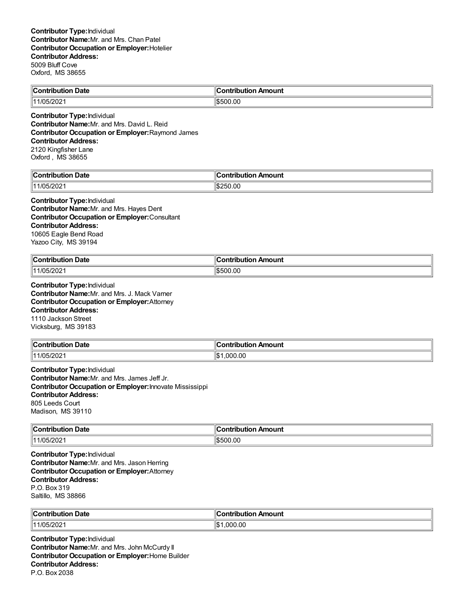| -<br>$\ $ Contribution<br><b>Date</b> | đΓ<br>Amount<br>.<br>. |
|---------------------------------------|------------------------|
| $\ $ 11/05/2021                       | \$500.00               |

**Contributor Type:**Individual **Contributor Name:**Mr. and Mrs. David L. Reid **Contributor Occupation or Employer:**Raymond James **Contributor Address:** 2120 Kingfisher Lane Oxford , MS 38655

| من<br>Date<br>`nn<br>.        | 10<br><b>Contribu</b> ′<br>on Amount<br>---- |
|-------------------------------|----------------------------------------------|
| 2000<br>1705<br>111<br>05/202 | :،⊪<br>$\sim$<br>ᄼ                           |

# **Contributor Type:**Individual

**Contributor Name:**Mr. and Mrs. Hayes Dent **Contributor Occupation or Employer:**Consultant **Contributor Address:** 10605 Eagle Bend Road Yazoo City, MS 39194

| ⊪r:<br>Date<br>$ -$<br>-------<br>. | . .<br>Amount<br>ontributior<br>___ |
|-------------------------------------|-------------------------------------|
| 5/202<br>10 <sub>h</sub><br>141     | 1\$500.00                           |

**Contributor Type:**Individual **Contributor Name:**Mr. and Mrs. J. Mack Varner **Contributor Occupation or Employer:**Attorney **Contributor Address:** 1110 Jackson Street Vicksburg, MS 39183

| ∥Cont                | .                         |
|----------------------|---------------------------|
| Date                 | ı Amount                  |
| tribution            | лю                        |
| /05/202 <sup>.</sup> | ۱\$∙                      |
| 11/0.5/7             | $\degree$ 000.0 $\degree$ |

**Contributor Type:**Individual **Contributor Name:**Mr. and Mrs. James Jeff Jr. **Contributor Occupation or Employer:**Innovate Mississippi **Contributor Address:** 805 Leeds Court Madison, MS 39110

| $\ $ Contribution | Amount                          |
|-------------------|---------------------------------|
| Date              | - -- --- - - - -                |
| .                 |                                 |
| 11/05/2021        | 0.00. ل<br>$\sqrt{2}$<br>וו ורי |

**Contributor Type:**Individual **Contributor Name:**Mr. and Mrs. Jason Herring **Contributor Occupation or Employer:**Attorney **Contributor Address:** P.O. Box 319 Saltillo, MS 38866

| <b>Date</b>       | ontribution Amount |
|-------------------|--------------------|
| $\ $ Contribution | Conti              |
| 11/05/2021        | .000.00<br>۱\$∙    |

**Contributor Type:**Individual **Contributor Name:**Mr. and Mrs. John McCurdy II **Contributor Occupation or Employer:**Home Builder **Contributor Address:** P.O. Box 2038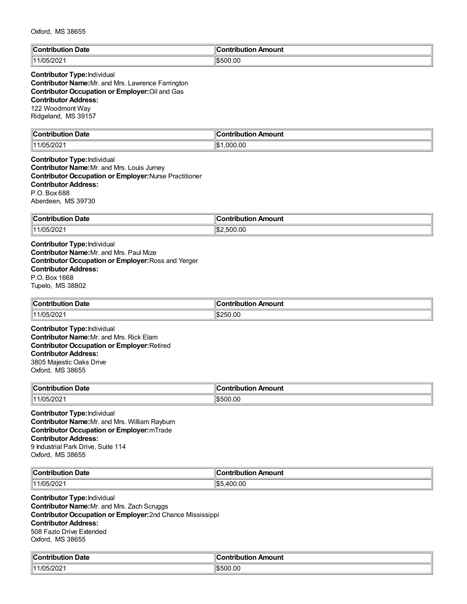| $\mathsf{C}_{\mathsf{O}}$ nti<br>. .<br>Date<br>tribution | $\overline{\phantom{a}}$<br>Amount<br>ontribution, |
|-----------------------------------------------------------|----------------------------------------------------|
| 1000<br>111<br>ᅚ<br>ב∪∠/ריי                               | \$500.00                                           |

# **Contributor Type:**Individual

**Contributor Name:**Mr. and Mrs. Lawrence Farrington **Contributor Occupation or Employer:**Oil and Gas **Contributor Address:** 122 Woodmont Way Ridgeland, MS 39157

| ∥C           |              |
|--------------|--------------|
| <b>Date</b>  | Amount       |
| …ontributior | `ontribution |
|              |              |
| $1/05/20$ ∠  | ∣∣∧          |
| 11           | 000.00,      |
|              | ۱J           |

**Contributor Type:**Individual **Contributor Name:**Mr. and Mrs. Louis Jurney **Contributor Occupation or Employer:**Nurse Practitioner **Contributor Address:** P.O. Box 688 Aberdeen, MS 39730

| $\sim$<br>Contribution<br><b>Date</b> | on Amount<br>`ontribut.<br>.<br> |
|---------------------------------------|----------------------------------|
| 11/05/2021                            | 500.00<br>۰۱ հ.<br>נור.          |

**Contributor Type:**Individual **Contributor Name:**Mr. and Mrs. Paul Mize **Contributor Occupation or Employer:**Ross and Yerger **Contributor Address:** P.O. Box 1668 Tupelo, MS 38802

| $^{\circ}$ Contribute. | ır                   |
|------------------------|----------------------|
| <b>Date</b>            | Amount               |
| ------                 | .                    |
| .                      | .                    |
| $\parallel$ 11/05/2021 | .00<br>۱S.<br>''250. |

**Contributor Type:**Individual **Contributor Name:**Mr. and Mrs. Rick Elam **Contributor Occupation or Employer:**Retired **Contributor Address:** 3805 Majestic Oaks Drive Oxford, MS 38655

| "Contribution"<br>Date<br>. | Amount<br>---------<br>----<br>T |
|-----------------------------|----------------------------------|
| $11/05/20$ <sub>2</sub> .   | 0.00<br>ורי                      |

**Contributor Type:**Individual **Contributor Name:**Mr. and Mrs. William Rayburn **Contributor Occupation or Employer:**mTrade **Contributor Address:** 9 Industrial Park Drive, Suite 114 Oxford, MS 38655

| $\mathbb{C}$ c<br>Date<br>.<br>. | Amount                                    |
|----------------------------------|-------------------------------------------|
| 111/05<br>∴05/2021،              | ∥n^ r<br>$\sim$<br>100<br>ıъ.<br>-<br>ט.י |

**Contributor Type:**Individual **Contributor Name:**Mr. and Mrs. Zach Scruggs **Contributor Occupation or Employer:**2nd Chance Mississippi **Contributor Address:** 508 Fazio Drive Extended Oxford, MS 38655

| $\mathbb{R}$<br>Date<br>.:ontributior<br>. | Amount<br>`ontribution |
|--------------------------------------------|------------------------|
| 1/05/202<br>  11                           | \$500.00               |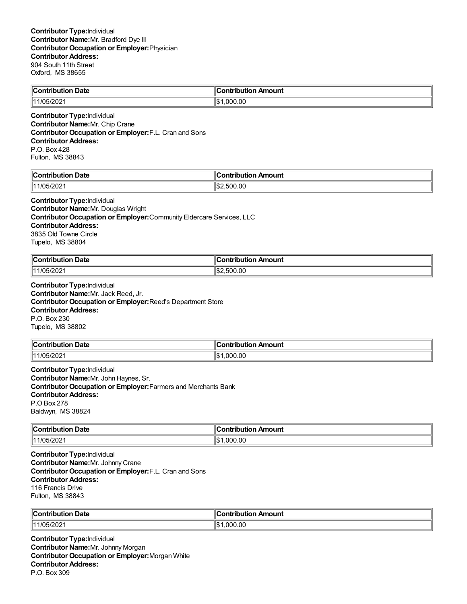| $\blacksquare$ Contribution<br>on Date | <b>Antribut</b><br>ution Amount<br>Ш |
|----------------------------------------|--------------------------------------|
| <u>ורחרו:</u><br>cuc                   | ll¢<br>.00<br>റററ                    |

**Contributor Type:**Individual **Contributor Name:**Mr. Chip Crane **Contributor Occupation or Employer:**F.L. Cran and Sons **Contributor Address:** P.O. Box 428 Fulton, MS 38843

| llC                             | 10                  |
|---------------------------------|---------------------|
| Date                            | <b>\mouni</b>       |
| .∩nf                            | ---                 |
| -----                           | ----                |
| ----                            | ---                 |
|                                 |                     |
| 1202<br>1/n <sub>L</sub><br>∠∪∠ | .00<br>ll\$:<br>. . |

#### **Contributor Type:**Individual

**Contributor Name:**Mr. Douglas Wright **Contributor Occupation or Employer:**Community Eldercare Services, LLC **Contributor Address:** 3835 Old Towne Circle Tupelo, MS 38804

| ∥c,<br>Date<br>- -- ---- - - -- - - - -<br>. | <b>\mount</b><br>. |
|----------------------------------------------|--------------------|
| 200<br>1105.<br>$^{\prime\prime}$ ∕∪∠        | .00<br>500         |

**Contributor Type:**Individual **Contributor Name:**Mr. Jack Reed, Jr. **Contributor Occupation or Employer:**Reed's Department Store **Contributor Address:** P.O. Box 230 Tupelo, MS 38802

| $\ $ Contribution      | n Amount     |
|------------------------|--------------|
| <b>Date</b>            | ontributior. |
| $\parallel$ 11/05/2021 | 00.,<br>იიი  |

**Contributor Type:**Individual **Contributor Name:**Mr. John Haynes, Sr. **Contributor Occupation or Employer:**Farmers and Merchants Bank **Contributor Address:** P.O Box 278 Baldwyn, MS 38824

| ∥Cor<br>Date<br>.<br>ור<br>опно<br>. | mount<br>---------           |
|--------------------------------------|------------------------------|
| $\parallel$ 11/05/2021               | ۱I¢<br>00.00<br>nnı<br>ال∙ا≀ |

**Contributor Type:**Individual **Contributor Name:**Mr. Johnny Crane **Contributor Occupation or Employer:**F.L. Cran and Sons **Contributor Address:** 116 Francis Drive Fulton, MS 38843

| ∣∣ี                    | ontribution                   |
|------------------------|-------------------------------|
| <b>Date</b>            | າ Amount                      |
| ∴ontributioش           | ∪onti                         |
| $\parallel$ 11/05/2021 | $\sim$<br>۱\$∙<br>.000<br>.ut |

**Contributor Type:**Individual **Contributor Name:**Mr. Johnny Morgan **Contributor Occupation or Employer:**Morgan White **Contributor Address:** P.O. Box 309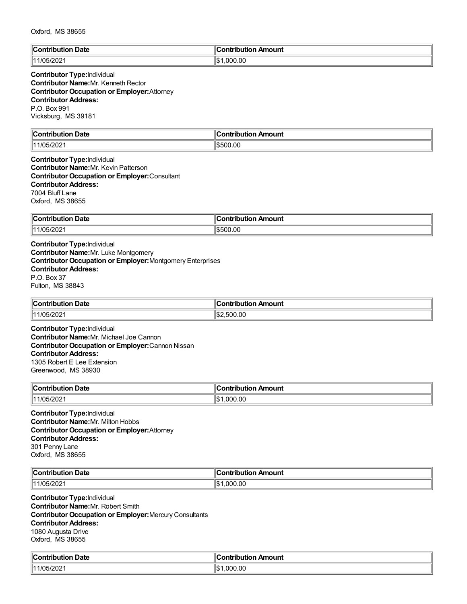| Oxford, MS 38655 |  |  |  |
|------------------|--|--|--|
|------------------|--|--|--|

| $\ $ Contributic<br>Date | Amount<br>`ontribution |
|--------------------------|------------------------|
| 10h                      | ∣∣∩∿                   |
| 144                      | .000.00                |
| -92                      | ıъ                     |

## **Contributor Type:**Individual **Contributor Name:**Mr. Kenneth Rector **Contributor Occupation or Employer:**Attorney **Contributor Address:** P.O. Box 991 Vicksburg, MS 39181

| $\mathbb{R}$<br>Date<br>.:ontributior | Amount<br>`antrihutian |
|---------------------------------------|------------------------|
| 1/05/202<br>111                       | \$500.00               |

**Contributor Type:**Individual **Contributor Name:**Mr. Kevin Patterson **Contributor Occupation or Employer:**Consultant **Contributor Address:** 7004 Bluff Lane Oxford, MS 38655

| <b>Contribution</b><br><b>Date</b> | --<br>--------------<br>ution Amount<br>. IDU |
|------------------------------------|-----------------------------------------------|
| 11/05/2021                         | 0.0<br>ו ורי                                  |

**Contributor Type:**Individual **Contributor Name:**Mr. Luke Montgomery **Contributor Occupation or Employer:**Montgomery Enterprises **Contributor Address:** P.O. Box 37 Fulton, MS 38843

| $\ $ Contribution<br>↑ Date | ı<br>Amount<br><b><i>CONTINUES</i></b><br>ibution<br>ш |
|-----------------------------|--------------------------------------------------------|
| 11/05/2021                  | 2,500.00<br>Ί\$:                                       |

**Contributor Type:**Individual **Contributor Name:**Mr. Michael Joe Cannon **Contributor Occupation or Employer:**Cannon Nissan **Contributor Address:** 1305 Robert E Lee Extension Greenwood, MS 38930

| ∥Con<br>Date<br>ribution | Amount<br>ontribution. |
|--------------------------|------------------------|
| $\parallel$ 11/05/2021   | .000.00<br>۱.۳         |

**Contributor Type:**Individual **Contributor Name:**Mr. Milton Hobbs **Contributor Occupation or Employer:**Attorney **Contributor Address:** 301 Penny Lane Oxford, MS 38655

| $\mathsf{IC}$ ontr $\mathsf{I}$ | Amount            |
|---------------------------------|-------------------|
| Date                            | ⇒ntrih⊔t⊪.        |
| --------                        | .                 |
| 10 <sub>h</sub><br>441          | 00.ر<br>nnn<br>١¢ |

**Contributor Type:**Individual **Contributor Name:**Mr. Robert Smith **Contributor Occupation or Employer:**Mercury Consultants **Contributor Address:** 1080 Augusta Drive Oxford, MS 38655

| م ا<br>ribution Date.<br>`ontribution | :ontribution<br>ribution Amount |
|---------------------------------------|---------------------------------|
| مممت<br>1/05/202<br>114               | ∥\$<br>.000.00                  |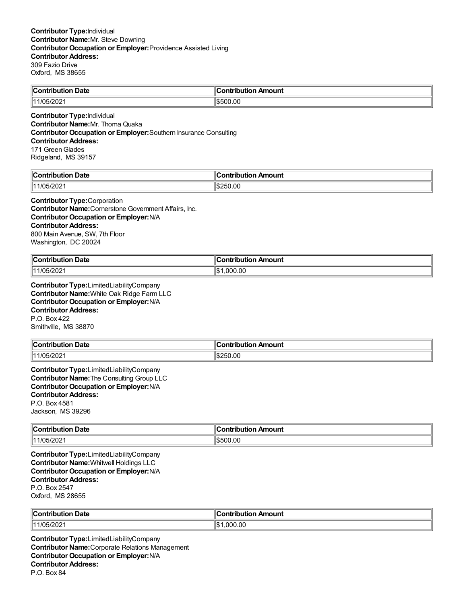| $\mathbb{C}$     | ı            |
|------------------|--------------|
| Date             | Amount       |
| Contribution     | :ontribution |
| 1/05/202<br>1144 | 1\$500.00    |

**Contributor Type:**Individual **Contributor Name:**Mr. Thoma Quaka **Contributor Occupation or Employer:**Southern Insurance Consulting **Contributor Address:** 171 Green Glades Ridgeland, MS 39157

| $\blacksquare$ Contribution<br>Date | "IC<br>Amount<br>a www.lard<br>----<br>10UUUN |
|-------------------------------------|-----------------------------------------------|
| $\parallel$ 11/05/202               | :⊯∥<br>.UC<br>.,,                             |

#### **Contributor Type:**Corporation

**Contributor Name:**Cornerstone Government Affairs, Inc. **Contributor Occupation or Employer:**N/A **Contributor Address:** 800 Main Avenue, SW, 7th Floor Washington, DC 20024

| ി∩∩<br>. Date<br>.<br>.      | --<br>Amount<br>… antries<br>⊔ti∩n |
|------------------------------|------------------------------------|
| 1/05/202 <sup>-</sup><br>144 | 000.00.۱<br><br>ıъ                 |

**Contributor Type:**LimitedLiabilityCompany **Contributor Name:**White Oak Ridge Farm LLC **Contributor Occupation or Employer:**N/A **Contributor Address:** P.O. Box 422 Smithville, MS 38870

| Contribution Date                   | . .<br>n Amount<br>ontribution |
|-------------------------------------|--------------------------------|
| $\sqrt{2}$<br>111/05<br>71<br>שגוטו | 250.00                         |

**Contributor Type:**LimitedLiabilityCompany **Contributor Name:**The Consulting Group LLC **Contributor Occupation or Employer:**N/A **Contributor Address:** P.O. Box 4581 Jackson, MS 39296

| ∥C.<br>Jate<br>antrih 1999<br>∵itic<br>. | Amount<br>. |
|------------------------------------------|-------------|
| 11/05/202 <br>.                          | 1\$500.00   |

**Contributor Type:**LimitedLiabilityCompany **Contributor Name:**Whitwell Holdings LLC **Contributor Occupation or Employer:**N/A **Contributor Address:** P.O. Box 2547 Oxford, MS 28655

| ∥Cor                   | . Ir               |
|------------------------|--------------------|
| ı Date                 | ı Amount           |
| .                      | .                  |
| ouuoi                  | ibution            |
| $\parallel$ 11/05/2021 | .00<br>nnn.<br>1\$ |

**Contributor Type:**LimitedLiabilityCompany **Contributor Name:**Corporate Relations Management **Contributor Occupation or Employer:**N/A **Contributor Address:** P.O. Box 84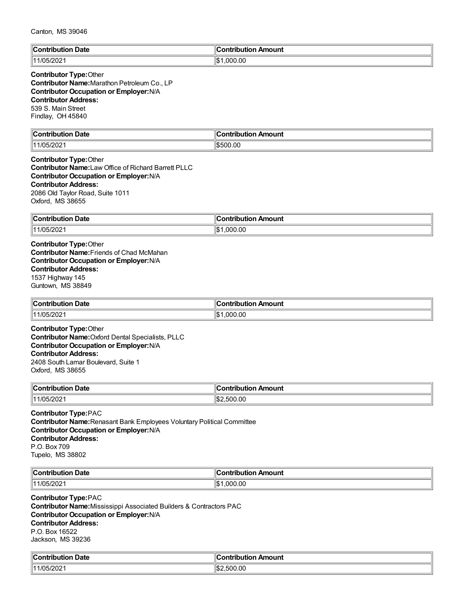#### Canton, MS 39046

| $\mathbb{I}$ C<br>Date<br>:ontributio | `ontribution<br>bution Amount |
|---------------------------------------|-------------------------------|
| 1/05/20<br>ll 1 1                     | ,000.00<br>⊪^<br>I-D          |

#### **Contributor Type:**Other **Contributor Name:**Marathon Petroleum Co., LP **Contributor Occupation or Employer:**N/A **Contributor Address:** 539 S. Main Street Findlay, OH 45840

| llC<br>Jate<br>$\ldots$ on $\ldots$<br>----<br>. | $\overline{\phantom{a}}$<br>Amount<br>----<br>--<br>- - -<br>. |
|--------------------------------------------------|----------------------------------------------------------------|
| $\parallel$ 11/05/2021                           | 00.00<br>$\mathbf{a}$<br>l-n:                                  |

## **Contributor Type:**Other

**Contributor Name:**Law Office of Richard Barrett PLLC **Contributor Occupation or Employer:**N/A **Contributor Address:** 2086 Old Taylor Road, Suite 1011 Oxford, MS 38655

| $\ $ Contribution<br>ı Date | 'antrihutian<br>n Amount<br>. .inuun. |
|-----------------------------|---------------------------------------|
| :19091                      | .000.00                               |
| $111/05/$ .                 | ۱¢                                    |
| שבוטי                       | ыD                                    |

**Contributor Type:**Other **Contributor Name:**Friends of Chad McMahan **Contributor Occupation or Employer:**N/A **Contributor Address:** 1537 Highway 145 Guntown, MS 38849

| $\ $ Contribution | ontribution     |
|-------------------|-----------------|
| <b>Date</b>       | . Amount        |
|                   | ⊶on.            |
| 11/05/2021        | .000.00<br>'\$ا |

**Contributor Type:**Other **Contributor Name:**Oxford Dental Specialists, PLLC **Contributor Occupation or Employer:**N/A **Contributor Address:** 2408 South Lamar Boulevard, Suite 1 Oxford, MS 38655

| ∥Con                                             | . .           |
|--------------------------------------------------|---------------|
| Date                                             | .             |
| - - -                                            | <b>\mount</b> |
| ----                                             | -------       |
| ומו                                              | ш             |
| $\sim$ $\sim$ $\sim$ $\sim$ $\sim$ $\sim$ $\sim$ |               |
| 1202<br>111/05<br>∠∪∠יר                          | .00<br>500.   |

#### **Contributor Type:**PAC

**Contributor Name:**Renasant Bank Employees Voluntary Political Committee **Contributor Occupation or Employer:**N/A **Contributor Address:** P.O. Box 709 Tupelo, MS 38802

| <b>Contribution Date</b> | `ontribution Amount    |
|--------------------------|------------------------|
| רחרו<br>1/05/202<br>144  | ۱¢<br>.00<br>nnı<br>ыD |

#### **Contributor Type:**PAC

**Contributor Name:**Mississippi Associated Builders & Contractors PAC **Contributor Occupation or Employer:**N/A **Contributor Address:** P.O. Box 16522 Jackson, MS 39236

| ∜C∟                | --             |
|--------------------|----------------|
| <b>Date</b>        | Amount         |
| `antributian       | `ontribution , |
| aullion :          | ___            |
| 5/202 <sup>.</sup> | ' \$։          |
| 111/05             | .500.00        |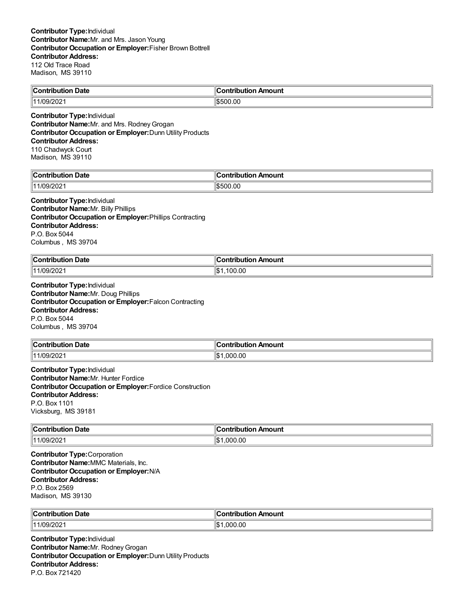| llC.<br>Jate<br>∴ontributior | `ontribution<br>Amount |
|------------------------------|------------------------|
| nc<br>114<br>.v.             | 00.00                  |

**Contributor Type:**Individual **Contributor Name:** Mr. and Mrs. Rodney Grogan **Contributor Occupation or Employer:**Dunn Utility Products **Contributor Address:** 110 Chadwyck Court

Madison, MS 39110

| llC                     | 11                        |
|-------------------------|---------------------------|
| Jate                    | ---                       |
| …∴∩n**`                 | mount                     |
| ----                    | ----                      |
| -----                   | ---                       |
| .                       |                           |
| $\ln \alpha$<br>/09/202 | 00. (<br>۱¢<br>יר<br>המוו |

**Contributor Type:**Individual **Contributor Name:**Mr. Billy Phillips **Contributor Occupation or Employer:**Phillips Contracting **Contributor Address:** P.O. Box 5044 Columbus , MS 39704

| $\mathsf{C}$ ontribution<br>Date<br>. | Amount<br>`ontribut⊪.<br>11 A 13 |
|---------------------------------------|----------------------------------|
| $\parallel$ 11/09/2021                | 00. (<br>$\mathbf{A}$<br>۱Ъ      |

**Contributor Type:**Individual **Contributor Name:**Mr. Doug Phillips **Contributor Occupation or Employer:**Falcon Contracting **Contributor Address:** P.O. Box 5044 Columbus , MS 39704

| <b>Contribution</b><br>ribution Date: | .<br>đΓ<br>ontribution Amount |
|---------------------------------------|-------------------------------|
| 111/09/2<br>.91202°                   | .00<br>l\$<br>000             |

**Contributor Type:**Individual **Contributor Name:**Mr. Hunter Fordice **Contributor Occupation or Employer:**Fordice Construction **Contributor Address:** P.O. Box 1101 Vicksburg, MS 39181

| $\ $ Contribution<br>Date<br>. | Amount<br><b><i><u>Product</u></i></b><br>-----<br>ורזו |
|--------------------------------|---------------------------------------------------------|
| $\parallel$ 11/09/2021         | ∥\$<br>.000.00                                          |

**Contributor Type:**Corporation **Contributor Name:**MMC Materials, Inc. **Contributor Occupation or Employer:**N/A **Contributor Address:** P.O. Box 2569 Madison, MS 39130

| ∜C⊾    | ı     |
|--------|-------|
| Date   | nount |
| .      | ----  |
| .      |       |
| .      |       |
| 144    | ٦\$   |
| 1/09/2 | .00   |
| 202    | იიი   |

**Contributor Type:**Individual **Contributor Name:** Mr. Rodney Grogan **Contributor Occupation or Employer:**Dunn Utility Products **Contributor Address:** P.O. Box 721420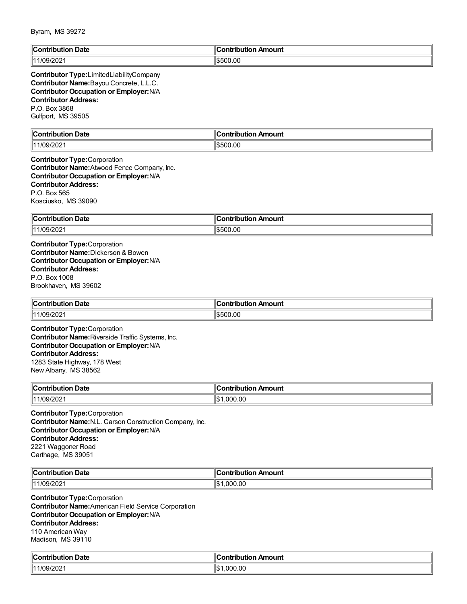| <b>Contribution Date</b>                                                                                                                                                                                                      | <b>Contribution Amount</b> |
|-------------------------------------------------------------------------------------------------------------------------------------------------------------------------------------------------------------------------------|----------------------------|
| 11/09/2021                                                                                                                                                                                                                    | \$500.00                   |
| Contributor Type:LimitedLiabilityCompany<br>Contributor Name: Bayou Concrete, L.L.C.<br><b>Contributor Occupation or Employer: N/A</b><br><b>Contributor Address:</b><br>P.O. Box 3868<br>Gulfport, MS 39505                  |                            |
| <b>Contribution Date</b>                                                                                                                                                                                                      | <b>Contribution Amount</b> |
| 11/09/2021                                                                                                                                                                                                                    | \$500.00                   |
| <b>Contributor Type: Corporation</b><br>Contributor Name: Atwood Fence Company, Inc.<br><b>Contributor Occupation or Employer: N/A</b><br><b>Contributor Address:</b><br>P.O. Box 565<br>Kosciusko, MS 39090                  |                            |
| <b>Contribution Date</b>                                                                                                                                                                                                      | <b>Contribution Amount</b> |
| 11/09/2021                                                                                                                                                                                                                    | \$500.00                   |
| <b>Contributor Type:</b> Corporation<br><b>Contributor Name: Dickerson &amp; Bowen</b><br>Contributor Occupation or Employer: N/A<br><b>Contributor Address:</b><br>P.O. Box 1008<br>Brookhaven, MS 39602                     |                            |
| <b>Contribution Date</b>                                                                                                                                                                                                      | <b>Contribution Amount</b> |
| 11/09/2021                                                                                                                                                                                                                    | \$500.00                   |
| <b>Contributor Type: Corporation</b><br>Contributor Name: Riverside Traffic Systems, Inc.<br>Contributor Occupation or Employer: N/A<br><b>Contributor Address:</b><br>1283 State Highway, 178 West<br>New Albany, MS 38562   |                            |
| Contribution Date                                                                                                                                                                                                             | Contribution Amount        |
| 11/09/2021                                                                                                                                                                                                                    | \$1,000.00                 |
| <b>Contributor Type:</b> Corporation<br>Contributor Name: N.L. Carson Construction Company, Inc.<br>Contributor Occupation or Employer: N/A<br><b>Contributor Address:</b><br>2221 Waggoner Road<br>Carthage, MS 39051        |                            |
| <b>Contribution Date</b>                                                                                                                                                                                                      | <b>Contribution Amount</b> |
| 11/09/2021                                                                                                                                                                                                                    | \$1,000.00                 |
| <b>Contributor Type:</b> Corporation<br><b>Contributor Name: American Field Service Corporation</b><br><b>Contributor Occupation or Employer: N/A</b><br><b>Contributor Address:</b><br>110 American Way<br>Madison, MS 39110 |                            |
| <b>Contribution Date</b>                                                                                                                                                                                                      | <b>Contribution Amount</b> |
| 11/09/2021                                                                                                                                                                                                                    | \$1,000.00                 |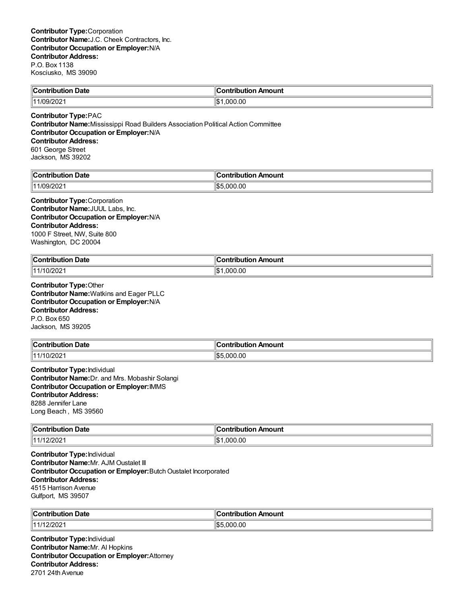| ∥Con'<br><b>Date</b><br>trihution | Amount<br>…ontributio∽ |
|-----------------------------------|------------------------|
| 111/09/202                        | 000.00. ا              |
| 7097Z0Z                           |                        |
|                                   | ıъ                     |

#### **Contributor Type:**PAC

**Contributor Name:**Mississippi Road Builders Association Political Action Committee **Contributor Occupation or Employer:**N/A **Contributor Address:** 601 George Street Jackson, MS 39202

| llC.         | <b>∪ontributior</b> |
|--------------|---------------------|
| Date         | Amount              |
| Contribution |                     |
| ື1/09/20∠∴   | .000.00             |
| 1144         | $\mathbf{Q}$        |

**Contributor Type:**Corporation **Contributor Name:**JUUL Labs, Inc. **Contributor Occupation or Employer:**N/A **Contributor Address:** 1000 F Street, NW, Suite 800 Washington, DC 20004

| <b>Contribution Date</b><br>. | . .<br><b>⊪Contributio</b> r<br>n Amount |
|-------------------------------|------------------------------------------|
| 11/10/2021                    | 000.00.1<br>ıъ                           |

**Contributor Type:**Other **Contributor Name:**Watkins and Eager PLLC **Contributor Occupation or Employer:**N/A **Contributor Address:** P.O. Box 650 Jackson, MS 39205

| $\mathsf{C}$ ontribution | م            |
|--------------------------|--------------|
|                          | Amount       |
| <b>Date</b>              | .ontributior |
| 11/10/2021               | 5.000.00     |

**Contributor Type:**Individual **Contributor Name:**Dr. and Mrs. Mobashir Solangi **Contributor Occupation or Employer:**IMMS **Contributor Address:** 8288 Jennifer Lane Long Beach , MS 39560

| $\ $ Contribution | <b>Amount</b>    |
|-------------------|------------------|
| Date              | - -- --- - - - - |
| .                 |                  |
| 11/12/202         | 11S<br>000.00    |

**Contributor Type:**Individual **Contributor Name:**Mr. AJM Oustalet III **Contributor Occupation or Employer:**Butch Oustalet Incorporated **Contributor Address:** 4515 Harrison Avenue Gulfport, MS 39507

| ∥Cont<br>. Date<br>tribution | ontribution Amount |
|------------------------------|--------------------|
| 111/12/202                   | .OC<br>റററ         |

**Contributor Type:**Individual **Contributor Name:**Mr. Al Hopkins **Contributor Occupation or Employer:**Attorney **Contributor Address:** 2701 24th Avenue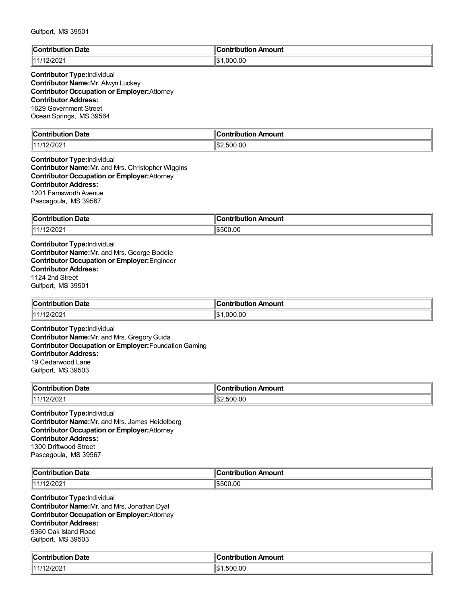| $\mathbb{C}$                        | <b>Contribution</b>   |
|-------------------------------------|-----------------------|
| <b>Date</b>                         | Amount                |
| …:ontributior                       |                       |
| .                                   |                       |
| פחמו<br>   1 1 1 1<br><i>LIL</i> UL | .000.00<br>ዛሮ 1<br>IФ |

#### **Contributor Type:**Individual **Contributor Name:**Mr. Alwyn Luckey **Contributor Occupation or Employer:**Attorney **Contributor Address:** 1629 Government Street

Ocean Springs, MS 39564

| llC:<br>Date<br>. | <b>\mount</b><br>$ -$<br>.<br>-- |
|-------------------|----------------------------------|
| ാറി<br>11<br>∠∪∠  | :\$∥<br>00.00                    |

#### **Contributor Type:**Individual **Contributor Name:**Mr. and Mrs. Christopher Wiggins **Contributor Occupation or Employer:**Attorney **Contributor Address:** 1201 Farnsworth Avenue Pascagoula, MS 39567

| ∥Con'                                 | "               |
|---------------------------------------|-----------------|
| <b>Date</b>                           | ribution Amount |
| tribution                             |                 |
| ≙חריונ∵<br>11 4 14 <b>4</b><br>12/202 | 500.00،         |

**Contributor Type:**Individual **Contributor Name:**Mr. and Mrs. George Boddie **Contributor Occupation or Employer:**Engineer **Contributor Address:** 1124 2nd Street Gulfport, MS 39501

| <b>Contribution Date</b> | ∥Contribution Amount |
|--------------------------|----------------------|
| 11/12/2021               | 1.000.00<br>ıъ       |

**Contributor Type:**Individual **Contributor Name:**Mr. and Mrs. GregoryGuida **Contributor Occupation or Employer:**FoundationGaming **Contributor Address:** 19 Cedarwood Lane Gulfport, MS 39503

| $^{\circ}$ ontribus. | mount                       |
|----------------------|-----------------------------|
| Date                 | .                           |
| .                    | ---                         |
| .                    |                             |
| 144<br>'''′∪∠∵       | $\sim$<br>11.S<br>.UU<br>50 |

**Contributor Type:**Individual **Contributor Name:**Mr. and Mrs. James Heidelberg **Contributor Occupation or Employer:**Attorney **Contributor Address:** 1300 Driftwood Street Pascagoula, MS 39567

| ∜C⊾<br>Date<br>$\sim$ - $\sim$ $\sim$ $\sim$ | <br>ı Amount<br>antaŭ la marav<br>IDULIO |
|----------------------------------------------|------------------------------------------|
| פחריו<br>1111<br>21 Z U Z                    | \$500.00                                 |

**Contributor Type:**Individual **Contributor Name:**Mr. and Mrs. Jonathan Dyal **Contributor Occupation or Employer:**Attorney **Contributor Address:** 9360 Oak Island Road Gulfport, MS 39503

| $\epsilon$<br>Date<br>`on'<br>ributioi | Amount<br>:ontribut<br>----<br>TIDULION . |
|----------------------------------------|-------------------------------------------|
| 12/202 <sup>.</sup>                    | 1\$<br>.500.00                            |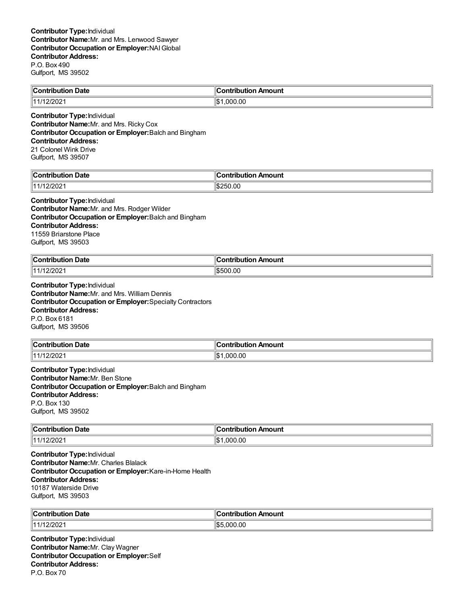| Contribution Date | Contribution Amount |
|-------------------|---------------------|
| 1111121202        | 00.ر                |
| 1444 U            | იიი                 |

**Contributor Type:**Individual **Contributor Name:**Mr. and Mrs. Ricky Cox **Contributor Occupation or Employer:**Balch and Bingham **Contributor Address:** 21 Colonel Wink Drive Gulfport, MS 39507

| $\ $ Contribut | --                  |
|----------------|---------------------|
| ribution Date  | `ontribution Amount |
| 12/202<br>111  | 0.00<br>١¢۰<br>בונ  |

#### **Contributor Type:**Individual

**Contributor Name:**Mr. and Mrs. Rodger Wilder **Contributor Occupation or Employer:**Balch and Bingham **Contributor Address:** 11559 Briarstone Place Gulfport, MS 39503

| ∥Coı<br>. Date<br>antrihutian<br>oution.<br>. | --<br>Amount<br><b>∍ontributio</b> r |
|-----------------------------------------------|--------------------------------------|
| $\parallel$ 11/12/2021                        | $ $ \$500.00                         |

**Contributor Type:**Individual **Contributor Name:**Mr. and Mrs. William Dennis **Contributor Occupation or Employer:**Specialty Contractors **Contributor Address:** P.O. Box 6181 Gulfport, MS 39506

| $\sim$ $\sim$<br><b>Contribution</b><br>ribution Date. | ∣Contribution Amount       |
|--------------------------------------------------------|----------------------------|
| 2/202<br>14414                                         | nr.<br>՝ 3∬<br>-000<br>.ut |

**Contributor Type:**Individual **Contributor Name:**Mr. Ben Stone **Contributor Occupation or Employer:**Balch and Bingham **Contributor Address:** P.O. Box 130 Gulfport, MS 39502

| ∥Coı             | <b>\mount</b>        |
|------------------|----------------------|
| Date             | $- - -$              |
| ----             | ----                 |
| .                |                      |
| 202/י<br>(11111) | .00<br>. റററ<br>הכוי |

**Contributor Type:**Individual **Contributor Name:**Mr. Charles Blalack **Contributor Occupation or Employer:**Kare-in-Home Health **Contributor Address:** 10187 Waterside Drive Gulfport, MS 39503

| <sup>∥</sup> Con.<br><b>Date</b> | ır<br>ntribution Amount<br>antributior. |
|----------------------------------|-----------------------------------------|
| 1202                             | .000.00                                 |
| 14414                            | ‼\$                                     |

**Contributor Type:**Individual **Contributor Name:**Mr. Clay Wagner **Contributor Occupation or Employer:**Self **Contributor Address:** P.O. Box 70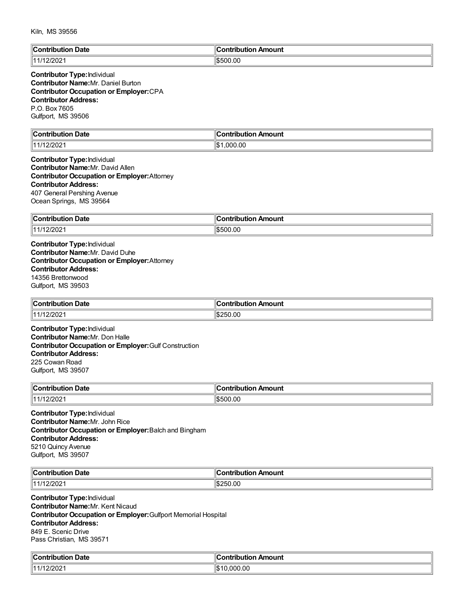| $ $ Contribution | `ontribution     |
|------------------|------------------|
| <b>Date</b>      | ribution Amount: |
| 44/14<br>12/2021 | \$500.00         |

#### **Contributor Type:**Individual **Contributor Name:**Mr. Daniel Burton **Contributor Occupation or Employer:**CPA **Contributor Address:** P.O. Box 7605 Gulfport, MS 39506

| llC<br>Jate<br>∴ont<br>'ihution<br>. | <b>Contribution</b><br>Amount<br>. |
|--------------------------------------|------------------------------------|
| 12/202 <sup>.</sup><br>$\frac{1}{4}$ | .000.00<br>۱с٠<br>IФ               |

#### **Contributor Type:**Individual **Contributor Name:**Mr. David Allen **Contributor Occupation or Employer:**Attorney **Contributor Address:** 407 General Pershing Avenue Ocean Springs, MS 39564

| ∥Con<br><b>Date</b><br><b>∍uributio</b> r | ⊿tion Amount<br>------<br>.<br>nour |
|-------------------------------------------|-------------------------------------|
| 12/202<br>11 4 <i>1</i> 4 4               | 500.00،                             |

**Contributor Type:**Individual **Contributor Name:**Mr. David Duhe **Contributor Occupation or Employer:**Attorney **Contributor Address:** 14356 Brettonwood Gulfport, MS 39503

| ∥Coı<br>ribution Date<br>. | າ Amount<br>`ontribution.∶ |
|----------------------------|----------------------------|
| 11/12/202 <sup>.</sup>     | 250.00<br>י הרו            |

**Contributor Type:**Individual **Contributor Name:**Mr. Don Halle **Contributor Occupation or Employer:**Gulf Construction **Contributor Address:** 225 Cowan Road Gulfport, MS 39507

| ∥Con<br>Date<br>ribution | <b>Amount</b><br>ontribution. |
|--------------------------|-------------------------------|
| :/202<br>114140<br>.     | \$500.00                      |

**Contributor Type:**Individual **Contributor Name:**Mr. John Rice **Contributor Occupation or Employer:**Balch and Bingham **Contributor Address:** 5210 Quincy Avenue Gulfport, MS 39507

| ∜Со.<br>Date<br>$\sim$ $\sim$ $\sim$ $\sim$<br>ihution<br>uor | .<br>n Amount<br><b>∍ontributior</b> |
|---------------------------------------------------------------|--------------------------------------|
| ימחרונ<br>1111<br>$-12$                                       | 250.00<br>- הרוי                     |

**Contributor Type:**Individual **Contributor Name:**Mr. Kent Nicaud **Contributor Occupation or Employer:**Gulfport Memorial Hospital **Contributor Address:** 849 E. Scenic Drive Pass Christian, MS 39571

| من               | Amount       |
|------------------|--------------|
| Date             | `ontribution |
| $\cdots$ ontain. | tuon         |
| ution            | гιс          |
| $  -$            |              |
| 1000             | 'ነው -        |
| 12/2021          | .000.00      |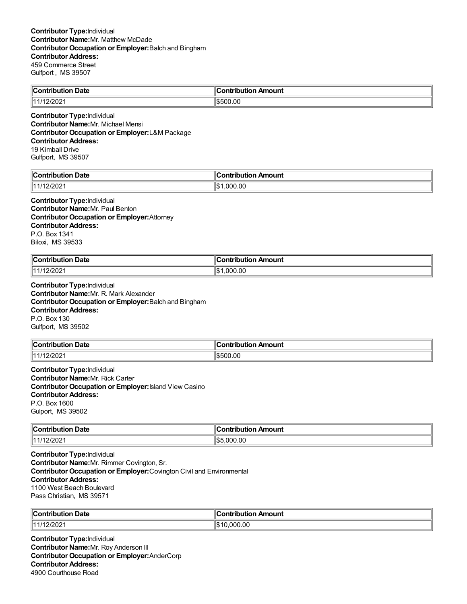| $\ $ Contribution<br>Date          | . .<br>ı<br>:ontribution<br>Amount<br>…∪ution ∴ |
|------------------------------------|-------------------------------------------------|
| $\overline{14}$<br>L <i>LIL</i> UL | \$500.00                                        |

**Contributor Type:**Individual **Contributor Name:**Mr. Michael Mensi **Contributor Occupation or Employer:**L&M Package **Contributor Address:** 19 Kimball Drive Gulfport, MS 39507

| $\mathbb{R}$    | Contribution |
|-----------------|--------------|
| . Date          | Amount       |
| :ontribution    | I IWL        |
| 2/2021،         | .000.00      |
| $\overline{14}$ | $\mathbf{A}$ |
|                 | ۱J           |

#### **Contributor Type:**Individual **Contributor Name:**Mr. Paul Benton **Contributor Occupation or Employer:**Attorney **Contributor Address:** P.O. Box 1341 Biloxi, MS 39533

| ∥Cor<br>Date<br>ontribution<br>. | 11<br>…∴or*⊺<br>aha masa sa<br>Amount<br>ורזו |
|----------------------------------|-----------------------------------------------|
| $\parallel$ 11/12/2021           | ۱\$∶<br>.000.00                               |

**Contributor Type:**Individual **Contributor Name:**Mr. R. Mark Alexander **Contributor Occupation or Employer:**Balch and Bingham **Contributor Address:** P.O. Box 130 Gulfport, MS 39502

| ∥Cont<br>Date<br>tribution | <b>∍ontributior</b><br>n Amount |
|----------------------------|---------------------------------|
| 11112000<br>720Z<br>.      | \$500.00                        |

**Contributor Type:**Individual **Contributor Name:**Mr. Rick Carter **Contributor Occupation or Employer:**Island View Casino **Contributor Address:** P.O. Box 1600 Gulport, MS 39502

| <b>Contribution Date</b> | :ontribution Amount      |
|--------------------------|--------------------------|
| 12/2021<br>14414         | $\sim$<br>.000.00<br>איש |

**Contributor Type:**Individual **Contributor Name:**Mr. Rimmer Covington, Sr. **Contributor Occupation or Employer:**Covington Civil and Environmental **Contributor Address:** 1100 West Beach Boulevard Pass Christian, MS 39571

| $\overline{ }$<br>Date<br>⊪Cor<br>tuiku tiran<br>, ibutior | ∥Contribution Amount |
|------------------------------------------------------------|----------------------|
| 2/202                                                      | .000.00              |
| 14414                                                      | ີ                    |

**Contributor Type:**Individual **Contributor Name:**Mr. Roy Anderson III **Contributor Occupation or Employer:**AnderCorp **Contributor Address:** 4900 Courthouse Road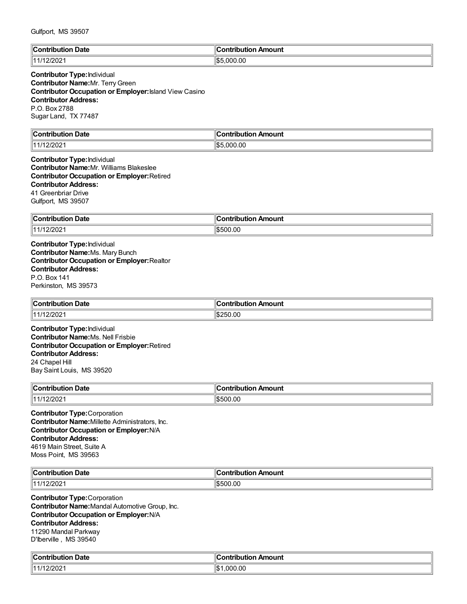| $\mathbb{I}$ C<br><b>Date</b><br>$\sim$ $\sim$ $\sim$ $\sim$<br>NH.<br>. | Amount<br><b>Antribution</b> |
|--------------------------------------------------------------------------|------------------------------|
| 44<br>بےں 2اک                                                            | .000.00<br>⊓⊄ה<br>ுமெ        |

# **Contributor Type:**Individual **Contributor Name:**Mr. TerryGreen **Contributor Occupation or Employer:**Island View Casino **Contributor Address:** P.O. Box 2788 Sugar Land, TX 77487

| $\mathbb{I}$ C           | .                |
|--------------------------|------------------|
| <b>Date</b>              | 'antributian     |
| `antribut                | Amount           |
|                          | ___              |
| 1000<br>11.41<br>12/2021 | ll\$5<br>.000.00 |

**Contributor Type:**Individual **Contributor Name:**Mr. Williams Blakeslee **Contributor Occupation or Employer:**Retired **Contributor Address:** 41 Greenbriar Drive Gulfport, MS 39507

| ∥Con'<br><b>Date</b><br>ribution | Amount<br>---<br>----<br>----<br>נטו |
|----------------------------------|--------------------------------------|
| 11/12/2021                       | 00.00<br>ור                          |

**Contributor Type:**Individual **Contributor Name:**Ms. Mary Bunch **Contributor Occupation or Employer:**Realtor **Contributor Address:** P.O. Box 141 Perkinston, MS 39573

| ∥Coı<br>-<br>Date<br>a sa baile cuite a sa | Amount<br>.ontributior |
|--------------------------------------------|------------------------|
| $\parallel$ 11/12/202                      | 250.00                 |
|                                            | ™. D. 2                |

**Contributor Type:**Individual **Contributor Name:**Ms. Nell Frisbie **Contributor Occupation or Employer:**Retired **Contributor Address:** 24 Chapel Hill Bay Saint Louis, MS 39520

| ∥Con<br><b>Date</b><br>.<br>юп<br>. | --<br>ontribution<br>Amount |
|-------------------------------------|-----------------------------|
| 2/202<br>11 4 <i>1</i> 4 4          | \$500.00                    |

**Contributor Type:**Corporation **Contributor Name:**Millette Administrators, Inc. **Contributor Occupation or Employer:**N/A **Contributor Address:** 4619 Main Street, Suite A Moss Point, MS 39563

| ∥C<br>Date<br>. | <b>\mount</b><br>.<br>.<br>ш |
|-----------------|------------------------------|
| 11.1<br>∠∪∠     | ົ^0.00<br>$\overline{ }$     |

**Contributor Type:**Corporation **Contributor Name:**Mandal Automotive Group, Inc. **Contributor Occupation or Employer:**N/A **Contributor Address:** 11290 Mandal Parkway D'Iberville , MS 39540

| من<br>Date<br>`on'<br>ributioi | Amount<br>:ontribut<br>---<br>TIDULION , |
|--------------------------------|------------------------------------------|
| 12/202 <sup>.</sup>            | .000.00<br>∥\$                           |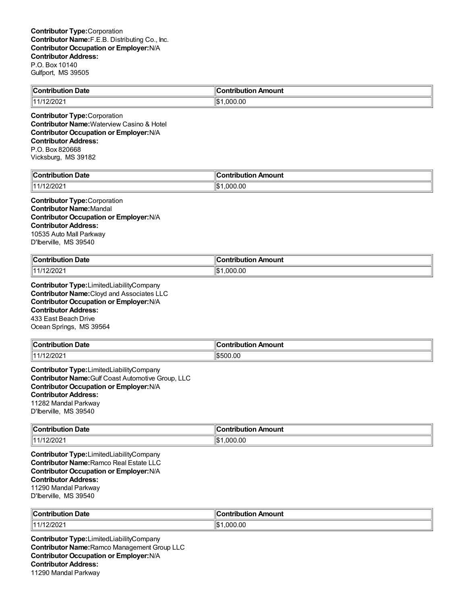| <b>Contribution Date</b>             | <b>Contribution Amount</b> |
|--------------------------------------|----------------------------|
| $\parallel$ 11/12/2021               | $\ \$1.000.00\ $           |
| <b>Contributor Type: Corporation</b> |                            |

**Contributor Name:**Waterview Casino & Hotel **Contributor Occupation or Employer:**N/A **Contributor Address:** P.O. Box 820668 Vicksburg, MS 39182

| -<br>$\mathbf{1}$<br>Date<br>`ontribi<br>.<br> | ı<br>Amount<br>`ontribut<br>--- |
|------------------------------------------------|---------------------------------|
| 12/2021                                        | ∥\$<br>.000.00                  |

#### **Contributor Type:**Corporation **Contributor Name:**Mandal **Contributor Occupation or Employer:**N/A **Contributor Address:** 10535 Auto Mall Parkway D'Iberville, MS 39540

| $\ $ Contribution     | Amount          |
|-----------------------|-----------------|
| ⊦Date                 | .               |
|                       | satribut        |
| 111120002<br>17122021 | 11\$<br>.000.00 |

**Contributor Type:**LimitedLiabilityCompany **Contributor Name:**Cloyd and Associates LLC **Contributor Occupation or Employer:**N/A **Contributor Address:** 433 East Beach Drive Ocean Springs, MS 39564

| Contribution Date | . .<br>n Amount<br><b>Contribution</b> |
|-------------------|----------------------------------------|
| 2/202<br>14414    | \$500.00                               |

**Contributor Type:**LimitedLiabilityCompany **Contributor Name:**Gulf Coast Automotive Group, LLC **Contributor Occupation or Employer:**N/A **Contributor Address:** 11282 Mandal Parkway D'Iberville, MS 39540

| ∥Cor<br><b>Date</b><br>ontribution<br>$\sim$ $\sim$ $\sim$ $\sim$ $\sim$ $\sim$ $\sim$ | Amount<br>.<br>----<br>וטו |
|----------------------------------------------------------------------------------------|----------------------------|
| $\parallel$ 11/12/2021                                                                 | ∥\$<br>000.00.             |

**Contributor Type:**LimitedLiabilityCompany **Contributor Name:**Ramco Real Estate LLC **Contributor Occupation or Employer:**N/A **Contributor Address:** 11290 Mandal Parkway D'Iberville, MS 39540

| ∥Cor            | . Ir           |
|-----------------|----------------|
| າ Date          | .              |
| .               | ı Amount       |
| oution          | <b>ibution</b> |
| $\ 11/12/202\ $ | 000.00,<br>l\$ |

**Contributor Type:**LimitedLiabilityCompany **Contributor Name:**Ramco Management Group LLC **Contributor Occupation or Employer:**N/A **Contributor Address:** 11290 Mandal Parkway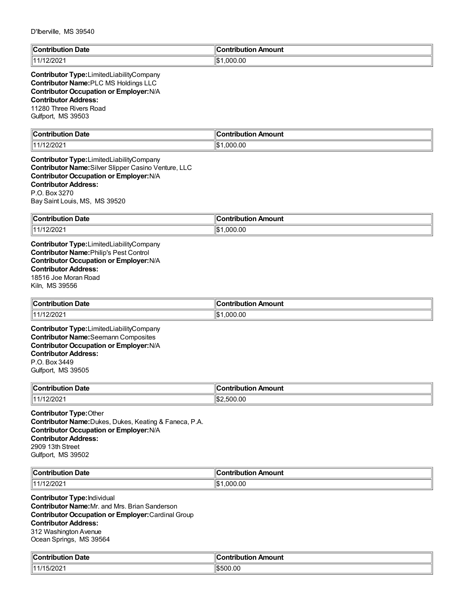| D IDEIVIIIE, IVIO 39340                                                                                                                                                                                                             |                            |
|-------------------------------------------------------------------------------------------------------------------------------------------------------------------------------------------------------------------------------------|----------------------------|
| <b>Contribution Date</b>                                                                                                                                                                                                            | <b>Contribution Amount</b> |
| 11/12/2021                                                                                                                                                                                                                          | \$1,000.00                 |
| Contributor Type:LimitedLiabilityCompany<br>Contributor Name: PLC MS Holdings LLC<br>Contributor Occupation or Employer: N/A<br><b>Contributor Address:</b><br>11280 Three Rivers Road<br>Gulfport, MS 39503                        |                            |
| <b>Contribution Date</b>                                                                                                                                                                                                            | <b>Contribution Amount</b> |
| 11/12/2021                                                                                                                                                                                                                          | \$1,000.00                 |
| Contributor Type:LimitedLiabilityCompany<br>Contributor Name: Silver Slipper Casino Venture, LLC<br><b>Contributor Occupation or Employer: N/A</b><br><b>Contributor Address:</b><br>P.O. Box 3270<br>Bay Saint Louis, MS, MS 39520 |                            |
| <b>Contribution Date</b>                                                                                                                                                                                                            | <b>Contribution Amount</b> |
| 11/12/2021                                                                                                                                                                                                                          | \$1,000.00                 |
| <b>Contributor Occupation or Employer: N/A</b><br><b>Contributor Address:</b><br>18516 Joe Moran Road<br>Kiln, MS 39556                                                                                                             |                            |
| <b>Contribution Date</b>                                                                                                                                                                                                            | <b>Contribution Amount</b> |
| 11/12/2021                                                                                                                                                                                                                          | \$1,000.00                 |
| Contributor Type:LimitedLiabilityCompany<br><b>Contributor Name:</b> Seemann Composites<br><b>Contributor Occupation or Employer: N/A</b><br><b>Contributor Address:</b><br>P.O. Box 3449<br>Gulfport, MS 39505                     |                            |
| <b>Contribution Date</b>                                                                                                                                                                                                            | <b>Contribution Amount</b> |
| 11/12/2021                                                                                                                                                                                                                          | \$2,500.00                 |
| <b>Contributor Type: Other</b><br>Contributor Name: Dukes, Dukes, Keating & Faneca, P.A.<br><b>Contributor Occupation or Employer: N/A</b><br><b>Contributor Address:</b><br>2909 13th Street<br>Gulfport, MS 39502                 |                            |
| <b>Contribution Date</b>                                                                                                                                                                                                            | <b>Contribution Amount</b> |
| 11/12/2021                                                                                                                                                                                                                          | \$1,000.00                 |
| <b>Contributor Type: Individual</b>                                                                                                                                                                                                 |                            |

**Contributor Name:**Mr. and Mrs. Brian Sanderson **Contributor Occupation or Employer:**Cardinal Group **Contributor Address:** 312 Washington Avenue Ocean Springs, MS 39564

| ∥Cο<br>Date<br>. Ant<br>tribution<br>. | า Amount<br>.ontributior |
|----------------------------------------|--------------------------|
| $\sqrt{2}$<br>   1 1 1 1<br>I JIZUZ.   | 500.00                   |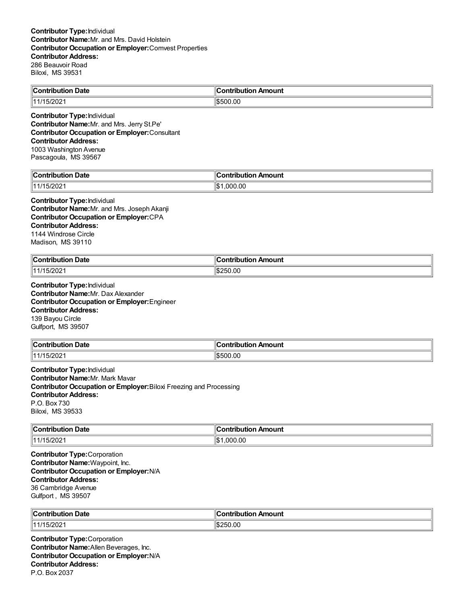| $\ $ Contribution<br>Date       | ╻<br>asan ing kacamatan ing Kabupatèn Kabupatèn Ing Kabupatèn Ing Kabupatèn Kabupatèn Kabupatèn Kabupatèn Kabupatèn<br>Amount<br>.<br>Ш |
|---------------------------------|-----------------------------------------------------------------------------------------------------------------------------------------|
| $\sim$<br>114.4<br><b>JILUL</b> | 6500.00<br>ה⊄ו                                                                                                                          |

**Contributor Type:**Individual **Contributor Name:**Mr. and Mrs. Jerry St.Pe' **Contributor Occupation or Employer:**Consultant **Contributor Address:** 1003 Washington Avenue Pascagoula, MS 39567

| $\epsilon$<br>Date<br><b>Contribution</b> | . ontribution`<br>Amount |
|-------------------------------------------|--------------------------|
| $\sim$ 1000                               | ∥\$                      |
| I5/2021                                   | .000.00                  |

#### **Contributor Type:**Individual **Contributor Name:**Mr. and Mrs. Joseph Akanji **Contributor Occupation or Employer:**CPA **Contributor Address:** 1144 Windrose Circle Madison, MS 39110

| $\blacksquare$ Contribution<br>∕∩ Date         | :ontribution Amount |
|------------------------------------------------|---------------------|
| $\cdot$ $\sim$ $\sim$<br>   1 1 1 1<br>15/2021 | \$250.00            |

**Contributor Type:**Individual **Contributor Name:**Mr. Dax Alexander **Contributor Occupation or Employer:**Engineer **Contributor Address:** 139 Bayou Circle Gulfport, MS 39507

| ∥Cont<br>Date<br>tribution        | <b>∍ontributior</b><br>n Amount |
|-----------------------------------|---------------------------------|
| ∘ממי<br>111/15.<br>, <i>ט⊾ו</i> ט | \$500.00                        |

**Contributor Type:**Individual **Contributor Name:**Mr. Mark Mavar **Contributor Occupation or Employer:**Biloxi Freezing and Processing **Contributor Address:** P.O. Box 730 Biloxi, MS 39533

| $\ $ Contribution | Amount           |
|-------------------|------------------|
| Date              | - -- --- - - - - |
| .                 |                  |
| 11/15/2021        | 11S<br>000.00    |

**Contributor Type:**Corporation **Contributor Name:**Waypoint, Inc. **Contributor Occupation or Employer:**N/A **Contributor Address:** 36 Cambridge Avenue Gulfport , MS 39507

| ി∩∩<br>Date<br>. | .Ir<br>nount<br>---- |
|------------------|----------------------|
| 11111            | .00                  |
| -UZ              | -256                 |
| _____            | ъ.                   |

**Contributor Type:**Corporation **Contributor Name:**Allen Beverages, Inc. **Contributor Occupation or Employer:**N/A **Contributor Address:** P.O. Box 2037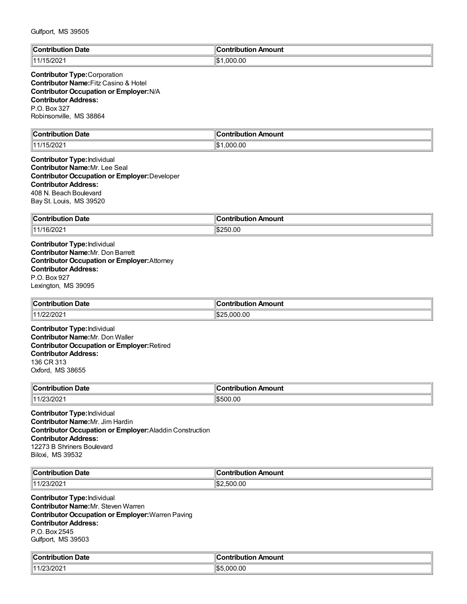| $\mathbb{R}$   | 's strike is                             |
|----------------|------------------------------------------|
| <b>Date</b>    | Amount                                   |
| :ontributio    | inn                                      |
|                |                                          |
| 1 1 1 1<br>∸∪∠ | .000.00<br>$H \wedge \mathcal{A}$<br>I-D |

#### **Contributor Type:**Corporation **Contributor Name:**Fitz Casino & Hotel **Contributor Occupation or Employer:**N/A **Contributor Address:** P.O. Box 327 Robinsonville, MS 38864

| llC<br>Jate<br>∴∩n*<br>----<br>'i∩n<br>. | Amount<br>`ontribution |
|------------------------------------------|------------------------|
| 15/202<br>14                             | ∣∣∧<br>.000.00<br>ıъ   |

#### **Contributor Type:**Individual **Contributor Name:**Mr. Lee Seal **Contributor Occupation or Employer:**Developer **Contributor Address:** 408 N. Beach Boulevard Bay St. Louis, MS 39520

| ∥Con<br>Date<br>.<br>$\sim$ $\sim$ $\sim$ $\sim$ $\sim$ $\sim$ | ı<br>Amount<br>.<br>-----<br>. . |
|----------------------------------------------------------------|----------------------------------|
| ∄11/16/2021                                                    | ١¢۰<br>`ባ.00<br>יי               |

**Contributor Type:**Individual **Contributor Name:**Mr. Don Barrett **Contributor Occupation or Employer:**Attorney **Contributor Address:** P.O. Box 927 Lexington, MS 39095

| <b>Contribution Date</b> | Amount                |
|--------------------------|-----------------------|
|                          | <b>Contribution</b> ∪ |
| 11/22/2021               | ∠5.000.00             |

**Contributor Type:**Individual **Contributor Name:**Mr. Don Waller **Contributor Occupation or Employer:**Retired **Contributor Address:** 136 CR 313 Oxford, MS 38655

| ∥Con<br><b>Date</b><br>.<br>юп<br>. | . .<br>ontribution<br>Amount |
|-------------------------------------|------------------------------|
| /23/202<br>14.4.10                  | \$500.00                     |

**Contributor Type:**Individual **Contributor Name:**Mr. Jim Hardin **Contributor Occupation or Employer:**Aladdin Construction **Contributor Address:** 12273 B Shriners Boulevard Biloxi, MS 39532

| ¶С∟<br>Date<br>$\sim$ $\sim$ $\sim$ $\sim$<br>ihution<br>uution | --<br>n Amount<br><b>Contributio</b> r∟ |
|-----------------------------------------------------------------|-----------------------------------------|
| $3/20^\circ$<br>144<br>.uz                                      | ,500.00<br>''ነት-                        |

**Contributor Type:**Individual **Contributor Name:**Mr. Steven Warren **Contributor Occupation or Employer:**Warren Paving **Contributor Address:** P.O. Box 2545 Gulfport, MS 39503

| $\mathbb{R}$<br>ੋontribution Date | ∥Contribution Amount |
|-----------------------------------|----------------------|
| 1000                              | .000.00              |
| <u> 1723/202.</u>                 | ⊓⊄ ⊏                 |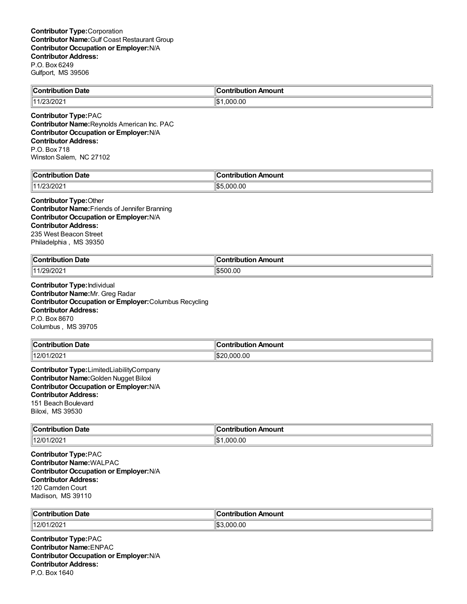| ി∩∩<br>Date<br>.<br>.      | Amount<br>…ontributior… |
|----------------------------|-------------------------|
| $\sim$<br>144<br>112312021 | 000.00. ا<br><br>ıъ     |

**Contributor Type:**PAC **Contributor Name:**Reynolds American Inc. PAC **Contributor Occupation or Employer:**N/A **Contributor Address:** P.O. Box 718 Winston Salem, NC 27102

|                                                  | ı               |
|--------------------------------------------------|-----------------|
| $\sim$                                           | <b>\mount</b>   |
| ---                                              | $\sim$ n+       |
| -----                                            | ----            |
| Date                                             | ----            |
| $\sim$ $\sim$ $\sim$ $\sim$ $\sim$ $\sim$ $\sim$ |                 |
| 1000                                             | 000.00          |
| $\sim$                                           | $\parallel$ \$F |
| 23/2021                                          | $\sim$          |

# **Contributor Type:**Other

**Contributor Name:**Friends of Jennifer Branning **Contributor Occupation or Employer:**N/A **Contributor Address:** 235 West Beacon Street Philadelphia , MS 39350

| <b>Contribution Date</b><br>. | <b>Contribution Amount</b> |
|-------------------------------|----------------------------|
| 11/29/2021                    | \$500.00                   |

**Contributor Type:**Individual **Contributor Name:**Mr. Greg Radar **Contributor Occupation or Employer:**Columbus Recycling **Contributor Address:** P.O. Box 8670 Columbus , MS 39705

| <b>Contribution Date</b> | <b>Contribution Amount</b> |
|--------------------------|----------------------------|
| 1/202<br>12/01/          | 20.000.00                  |

**Contributor Type:**LimitedLiabilityCompany **Contributor Name:**Golden Nugget Biloxi **Contributor Occupation or Employer:**N/A **Contributor Address:** 151 Beach Boulevard Biloxi, MS 39530

| $\mathsf{C}$ ontribution<br>Date<br>. | \mount                    |
|---------------------------------------|---------------------------|
| $ 12/01\rangle$<br>1/202'             | ⊪c<br>00.OC<br>റവ<br>ا سا |

**Contributor Type:**PAC **Contributor Name:**WALPAC **Contributor Occupation or Employer:**N/A **Contributor Address:** 120 Camden Court Madison, MS 39110

| ∥Cor       | . Ir     |
|------------|----------|
| । Date     | ı Amount |
| .          |          |
| outiol     | ibution  |
| $  12/0^2$ | ,000.00  |
| 1/202'     | י:©ا     |

**Contributor Type:**PAC **Contributor Name:**ENPAC **Contributor Occupation or Employer:**N/A **Contributor Address:** P.O. Box 1640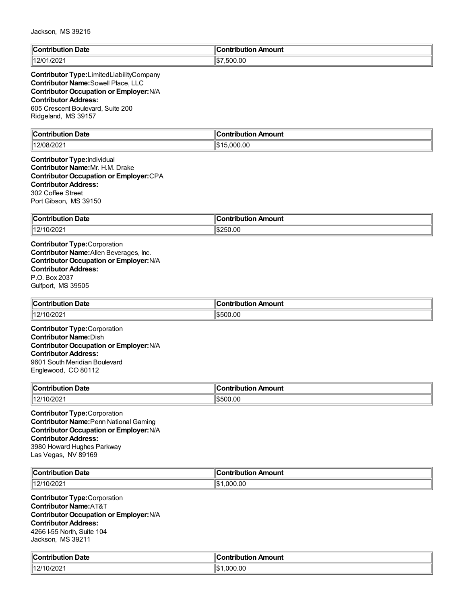| <b>Contribution Date</b> | ∥Contribution Amount |
|--------------------------|----------------------|
| 12/01/2021               | 1\$7.500.00          |
|                          |                      |

#### **Contributor Type:**LimitedLiabilityCompany **Contributor Name:**Sowell Place, LLC **Contributor Occupation or Employer:**N/A **Contributor Address:** 605 Crescent Boulevard, Suite 200 Ridgeland, MS 39157

| Date<br>`ontrib<br>. | Amount<br>`ontribution |
|----------------------|------------------------|
| 12/08/20             |                        |
| 'U8/202              | 000.00.                |
|                      | ιΨυ                    |
|                      | .                      |

#### **Contributor Type:**Individual **Contributor Name:**Mr. H.M. Drake **Contributor Occupation or Employer:**CPA **Contributor Address:** 302 Coffee Street Port Gibson, MS 39150

| $"$ ontribus.<br><b>Date</b><br>$ -$ | ı<br>Amount<br>.<br>.<br>  |
|--------------------------------------|----------------------------|
| 14014C<br>10/202 <sup>,</sup><br>14  | ۱¢۰<br>50.00<br>,,<br>، ۱. |

**Contributor Type:**Corporation **Contributor Name:**Allen Beverages, Inc. **Contributor Occupation or Employer:**N/A **Contributor Address:** P.O. Box 2037 Gulfport, MS 39505

| ∥Coı<br>bution Date<br>.  | ı Amount<br>ำntribution. |
|---------------------------|--------------------------|
| 10/2021<br>(140/14)<br>14 | \$500.00                 |

**Contributor Type:**Corporation **Contributor Name:**Dish **Contributor Occupation or Employer:**N/A **Contributor Address:** 9601 South Meridian Boulevard Englewood, CO 80112

| ∥Coı<br>bution Date<br>. | n Amount<br>. |
|--------------------------|---------------|
| 11011<br>.0/2021<br>L    | 500.00        |

**Contributor Type:**Corporation **Contributor Name:**Penn National Gaming **Contributor Occupation or Employer:**N/A **Contributor Address:** 3980 Howard Hughes Parkway Las Vegas, NV 89169

| <br>∥C.<br>Date<br>… ∴ontri~ -<br>ution<br>- - -          | <br>ı Amount<br>a wakatika mki w |
|-----------------------------------------------------------|----------------------------------|
| 200<br>  40/4<br>$\overline{\phantom{a}}$<br><b>UILUL</b> | .000.00<br>۱Ъ                    |

**Contributor Type:**Corporation **Contributor Name:**AT&T **Contributor Occupation or Employer:**N/A **Contributor Address:** 4266 I-55 North, Suite 104 Jackson, MS 39211

| $^{\circ}$ Contribution<br><b>Date</b><br>. | م<br>.<br>Amount<br>Contribution |
|---------------------------------------------|----------------------------------|
| 12/10/2021                                  | 00.00.1<br>$\sim$<br>ıъ          |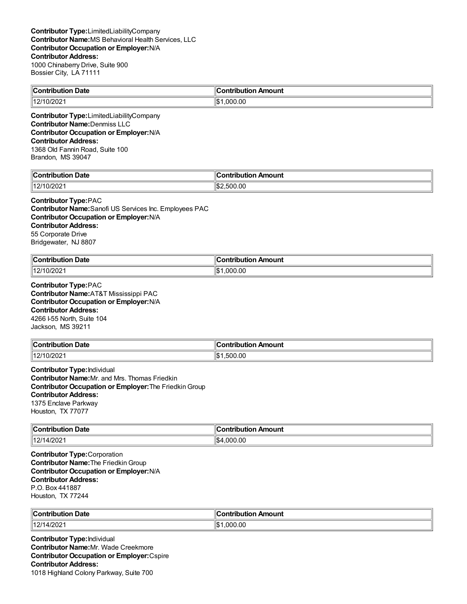| Contribution Date | Contribution Amount |
|-------------------|---------------------|
| 12/10/202<br>.000 | 0.00                |

**Contributor Type:**LimitedLiabilityCompany **Contributor Name:**Denmiss LLC **Contributor Occupation or Employer:**N/A **Contributor Address:** 1368 Old Fannin Road, Suite 100 Brandon, MS 39047

| $\blacksquare$ Contribution<br>Date | n Amount<br>וטו               |
|-------------------------------------|-------------------------------|
| 140/17<br>0/202<br>12               | 11\$:<br>.00<br>. .<br>וו ורי |

### **Contributor Type:**PAC

**Contributor Name:**Sanofi US Services Inc. Employees PAC **Contributor Occupation or Employer:**N/A **Contributor Address:** 55 Corporate Drive Bridgewater, NJ 8807

| ∥Cor<br>ntribution Date<br>. | $\epsilon$<br>--<br>n Amount<br><b>∠ontributior</b> |
|------------------------------|-----------------------------------------------------|
| 149/4<br>0/2021              | .000.00                                             |

**Contributor Type:**PAC **Contributor Name:**AT&T Mississippi PAC **Contributor Occupation or Employer:**N/A **Contributor Address:** 4266 I-55 North, Suite 104 Jackson, MS 39211

| <b>Contribution</b><br><b>Date</b> | ontribution Amount |
|------------------------------------|--------------------|
| $\parallel$ 12/10/2021             | 0.00<br>JUC.       |

**Contributor Type:**Individual **Contributor Name:**Mr. and Mrs. Thomas Friedkin **Contributor Occupation or Employer:**The FriedkinGroup **Contributor Address:** 1375 Enclave Parkway Houston, TX 77077

| $\ $ Contribution<br>⊦Date | Amount<br>--------<br>$\ldots$ it is $\sim$<br>ורזו |
|----------------------------|-----------------------------------------------------|
| 12/14/2021                 | Ч\$⊿<br>.000.00<br>∵ا⊌ا،                            |

**Contributor Type:**Corporation **Contributor Name:**The FriedkinGroup **Contributor Occupation or Employer:**N/A **Contributor Address:** P.O. Box 441887 Houston, TX 77244

| ∥Cor                 | . Ir           |
|----------------------|----------------|
| ı Date               | ı Amount       |
| .                    |                |
| outiol               | ibution        |
| 14014<br>1/202'<br>. | 000.00,<br>l\$ |

**Contributor Type:**Individual **Contributor Name:**Mr. Wade Creekmore **Contributor Occupation or Employer:**Cspire **Contributor Address:** 1018 Highland Colony Parkway, Suite 700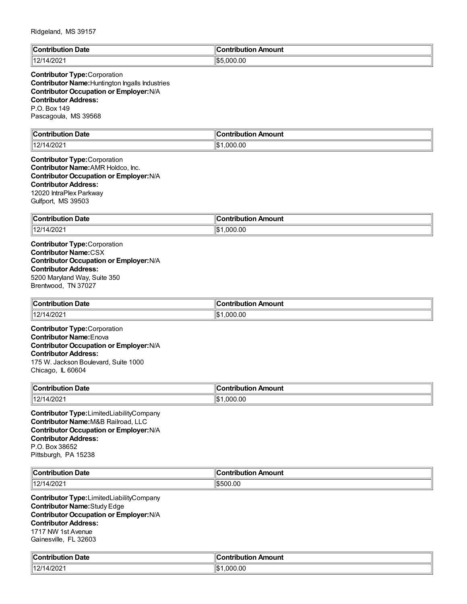| llC<br>Date<br>∴∩n'<br>'ih⊔ti∩n<br><br>. | <u>aantuiku t</u><br>Amount<br><b>FIAM</b> |
|------------------------------------------|--------------------------------------------|
| 4/202<br>  4014<br>$\overline{ }$<br>14  | .000.00<br>⊓⊄ה                             |

**Contributor Type:**Corporation **Contributor Name:**Huntington Ingalls Industries **Contributor Occupation or Employer:**N/A **Contributor Address:** P.O. Box 149 Pascagoula, MS 39568

| $\mathsf{C}$ ontribution<br>⊦Date<br>TDULION | `ontribution Amount |
|----------------------------------------------|---------------------|
| 14/2021<br>14014<br>$\mathbf{Z}$             | .000.00<br>۱ф.      |

**Contributor Type:**Corporation **Contributor Name:**AMR Holdco, Inc. **Contributor Occupation or Employer:**N/A **Contributor Address:** 12020 IntraPlex Parkway Gulfport, MS 39503

| $\ $ Contribution | ribution Amount |
|-------------------|-----------------|
| ı Date            | Contribution    |
| 12/14/2021        | .000.00<br>∥\$։ |

**Contributor Type:**Corporation **Contributor Name:**CSX **Contributor Occupation or Employer:**N/A **Contributor Address:** 5200 Maryland Way, Suite 350 Brentwood, TN 37027

| ∥Cor<br>bution Date<br>. | ı Amount<br>.ontributior |
|--------------------------|--------------------------|
| 4/202<br>14014<br>L      | 0.00 <sub>1</sub><br>റററ |

**Contributor Type:**Corporation **Contributor Name:**Enova **Contributor Occupation or Employer:**N/A **Contributor Address:** 175 W. Jackson Boulevard, Suite 1000 Chicago, IL 60604

| ∥Coı<br>⊦ Date<br>.<br>Juuu<br>_______ | Amount<br>.               |
|----------------------------------------|---------------------------|
| 14014<br>4/2021<br>$\mathsf{L}$        | 0.00<br>۱¢<br>nnı<br>ا سا |

**Contributor Type:**LimitedLiabilityCompany **Contributor Name:**M&B Railroad, LLC **Contributor Occupation or Employer:**N/A **Contributor Address:** P.O. Box 38652 Pittsburgh, PA 15238

| ∥Contı                   | . .         |
|--------------------------|-------------|
| Date                     | n Amount    |
| .                        | ontribution |
| 4/202<br>14014<br>$\sim$ | \$500.00    |

**Contributor Type:**LimitedLiabilityCompany **Contributor Name:**Study Edge **Contributor Occupation or Employer:**N/A **Contributor Address:** 1717 NW 1st Avenue Gainesville, FL 32603

| $\blacksquare$ Contribution<br>. Date<br>. | <br>10<br><b>Contribution</b><br>Amount |
|--------------------------------------------|-----------------------------------------|
| 4/202<br>14014<br>$\Lambda$<br>14          | ∥\$∶<br>.000.00                         |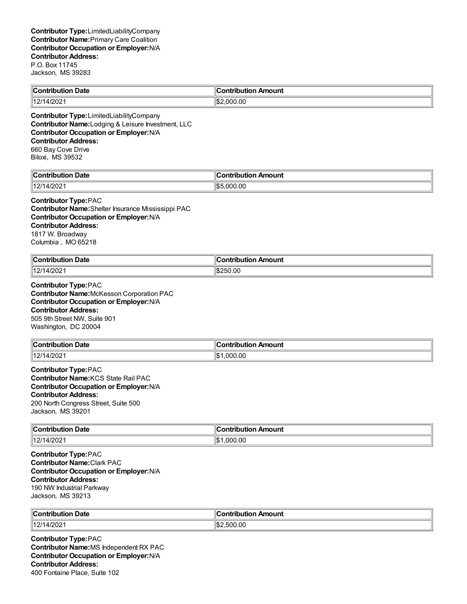| <b>Contribution Date</b>                         | <b>Contribution Amount</b> |  |
|--------------------------------------------------|----------------------------|--|
| 12/14/2021                                       | $\frac{152,000,00}{5}$     |  |
| <b>Contributor Type:</b> LimitedLiabilityCompany |                            |  |

**Contributor Name:**Lodging & Leisure Investment, LLC **Contributor Occupation or Employer:**N/A **Contributor Address:** 660 Bay Cove Drive Biloxi, MS 39532

| llC<br>Date<br>∴∩ntrih⊔r<br>----<br> | <b>\moun\</b><br>. <b>.</b><br>--- |
|--------------------------------------|------------------------------------|
| 4/202                                | 11 Q 1                             |
| 14014                                | .00                                |
| $\sqrt{ }$                           | $\sim$                             |
| 12                                   | ! ) ( ) (                          |
|                                      | הו                                 |

### **Contributor Type:**PAC

**Contributor Name:**Shelter Insurance Mississippi PAC **Contributor Occupation or Employer:**N/A **Contributor Address:** 1817 W. Broadway Columbia , MO 65218

| <b>Contribution Date</b> | . Amount<br>,ontributior |
|--------------------------|--------------------------|
| 149/4<br>4/2021<br>14 L  | 250.00                   |

**Contributor Type:**PAC **Contributor Name:**McKesson Corporation PAC **Contributor Occupation or Employer:**N/A **Contributor Address:** 505 9th Street NW, Suite 901 Washington, DC 20004

| -<br><b>Contribution</b><br>ntribution Date | n Amount<br><b>Contribution</b> |
|---------------------------------------------|---------------------------------|
| 14014<br>4/202<br>14                        | 00.,<br>იიი                     |

**Contributor Type:**PAC **Contributor Name:**KCS State Rail PAC **Contributor Occupation or Employer:**N/A **Contributor Address:** 200 North Congress Street, Suite 500 Jackson, MS 39201

| $\ $ Contribution<br>Date<br>. | Amount<br>---<br>----<br>ייטו |
|--------------------------------|-------------------------------|
| 14014<br>4/202<br>14           | ⊪\$'<br>.000.00               |

**Contributor Type:**PAC **Contributor Name:**Clark PAC **Contributor Occupation or Employer:**N/A **Contributor Address:** 190 NW Industrial Parkway Jackson, MS 39213

| $\ $ Contribution           | Antrihutiar |
|-----------------------------|-------------|
| <b>Date</b>                 | Amount      |
| 11011                       | 500.00      |
| 14/2021                     | $\sim$      |
| $\mathcal{L}_{\mathcal{L}}$ | 'і≫∠        |

**Contributor Type:**PAC **Contributor Name:**MS Independent RX PAC **Contributor Occupation or Employer:**N/A **Contributor Address:** 400 Fontaine Place, Suite 102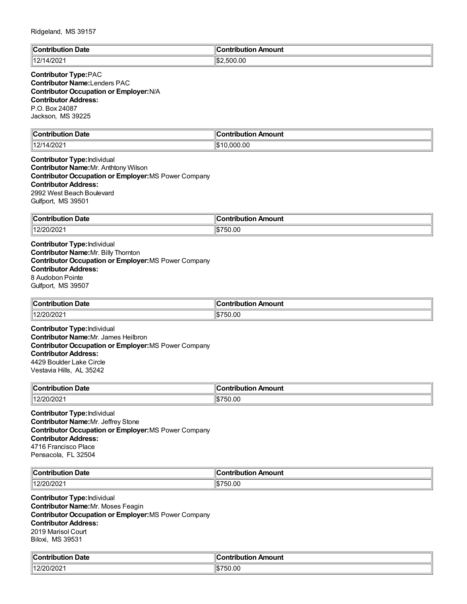| ı<br><b>Date</b><br>`ontribution | . .<br>ontribution Amount? |
|----------------------------------|----------------------------|
| 1/200<br>  40/4<br>1720Z         | .500.00                    |

#### **Contributor Type:**PAC **Contributor Name:**Lenders PAC **Contributor Occupation or Employer:**N/A **Contributor Address:** P.O. Box 24087 Jackson, MS 39225

| $\mathbb{C}$<br>Date<br>Contribution | Amount<br>`ontribution |
|--------------------------------------|------------------------|
| 1000<br>  40/4<br>" ∕ ∪∠ ∶           | <b>000.00</b><br>υت    |

**Contributor Type:**Individual **Contributor Name:**Mr. Anthtony Wilson **Contributor Occupation or Employer:**MS Power Company **Contributor Address:** 2992 West Beach Boulevard Gulfport, MS 39501

| ∥Con'           | ribution Amount      |
|-----------------|----------------------|
| <b>Date</b>     |                      |
| <b>ribution</b> | ומ                   |
| 12/20/2021      | 750.00<br>١Φ<br>ה וו |

**Contributor Type:**Individual **Contributor Name:**Mr. Billy Thornton **Contributor Occupation or Employer:**MS Power Company **Contributor Address:** 8 Audobon Pointe Gulfport, MS 39507

| $\ $ Contribution<br>. Date | <br>. Amount<br>ontribution |
|-----------------------------|-----------------------------|
| 140000<br>2/20/2021 ،       | 750.00                      |

**Contributor Type:**Individual **Contributor Name:**Mr. James Heilbron **Contributor Occupation or Employer:**MS Power Company **Contributor Address:** 4429 Boulder Lake Circle Vestavia Hills, AL 35242

| $\sim$ ontribus.<br>Date<br>.         | Amount<br>.<br>$\cdots$ |
|---------------------------------------|-------------------------|
| 140 <sup>m</sup><br>20/2021<br>ے اے ت | .50.00                  |

**Contributor Type:**Individual **Contributor Name:**Mr. Jeffrey Stone **Contributor Occupation or Employer:**MS Power Company **Contributor Address:** 4716 Francisco Place Pensacola, FL 32504

| ∥Coı<br>Date<br>- - - - - - - - - - - - - | . .<br>ır<br>Amount<br>. |
|-------------------------------------------|--------------------------|
| 140F                                      | $\sim$                   |
| $\mathbf{r}$                              | 750.00                   |
| 20/2021                                   | ۱.ħ                      |

**Contributor Type:**Individual **Contributor Name:**Mr. Moses Feagin **Contributor Occupation or Employer:**MS Power Company **Contributor Address:** 2019 Marisol Court Biloxi, MS 39531

| من<br>ribution Date:<br>`ontribution     | <b>Contribution Amount</b> |
|------------------------------------------|----------------------------|
| 0.000<br>14.2 <sub>1</sub><br>12/20/2021 | 50.00                      |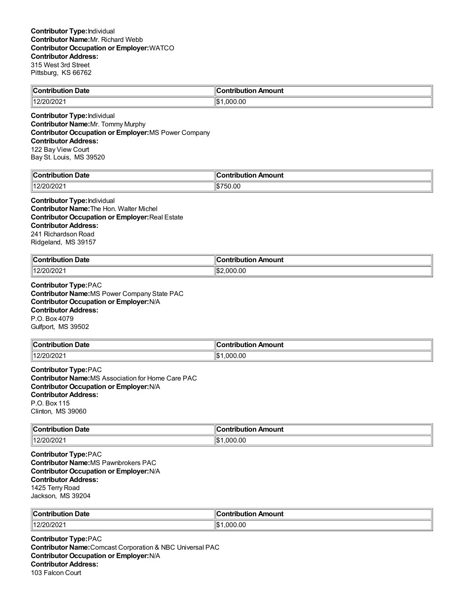| ∥Cont<br>Date<br>-----<br><b>THAM</b><br>10uuon | ontribution Amount |
|-------------------------------------------------|--------------------|
| 200                                             | .00                |
| 1171                                            | ١đ                 |
| 20/2021                                         | . ooc              |

**Contributor Type:**Individual **Contributor Name:**Mr. Tommy Murphy **Contributor Occupation or Employer:**MS Power Company **Contributor Address:** 122 Bay View Court Bay St. Louis, MS 39520

| $\mathbb{R}$<br>Date<br>.          | $\overline{\phantom{a}}$<br>`ontribut<br>on Amount<br>---- |
|------------------------------------|------------------------------------------------------------|
| $\sim$ $\sim$<br>$\cdots$<br>∪⊭∠∪∠ | Ι٥<br>750.00<br>۱J                                         |

**Contributor Type:**Individual **Contributor Name:**The Hon. Walter Michel **Contributor Occupation or Employer:**Real Estate **Contributor Address:** 241 Richardson Road Ridgeland, MS 39157

| ∥Cor<br>Date<br>ontribution<br>. | Amount<br>.<br>.<br>טו |
|----------------------------------|------------------------|
| 12/20/2021                       | II\$:<br>000.00<br>nnr |

**Contributor Type:**PAC **Contributor Name:**MS Power Company State PAC **Contributor Occupation or Employer:**N/A **Contributor Address:** P.O. Box 4079 Gulfport, MS 39502

| <b>Contribution Date</b>    | <b>Contribution</b><br>n Amount |
|-----------------------------|---------------------------------|
| $^{\prime\prime}$ 12/20/202 | .00<br>റററ                      |

**Contributor Type:**PAC **Contributor Name:**MS Association for Home Care PAC **Contributor Occupation or Employer:**N/A **Contributor Address:** P.O. Box 115 Clinton, MS 39060

| <b>Date</b>       | Amount                                    |
|-------------------|-------------------------------------------|
| $\ $ Contribution | ⇒ontribution                              |
| .                 | $\sim$ $\sim$ $\sim$ $\sim$ $\sim$ $\sim$ |
| 12/20/2021        | ∥\$։<br>.000.00                           |

**Contributor Type:**PAC **Contributor Name:**MS Pawnbrokers PAC **Contributor Occupation or Employer:**N/A **Contributor Address:** 1425 Terry Road Jackson, MS 39204

| lle.<br>Date<br>-------<br>.   | Amount<br>.          |
|--------------------------------|----------------------|
| 140 <sup>2</sup><br>12/20/2021 | 00.00<br>റററ<br>۱\$∙ |

**Contributor Type:**PAC **Contributor Name:**Comcast Corporation & NBC Universal PAC **Contributor Occupation or Employer:**N/A **Contributor Address:** 103 Falcon Court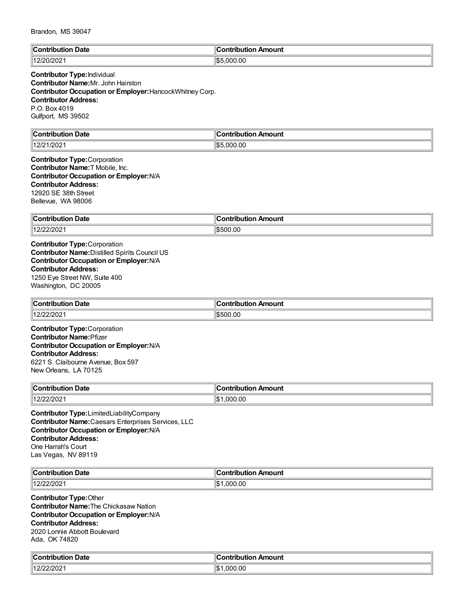| $\mathbb{R}$<br>つate | nount<br>.<br>. |
|----------------------|-----------------|
| 111000               | .000.00         |
| ∸∪∠                  | ا ۱۵            |

# **Contributor Type:**Individual **Contributor Name:**Mr. John Hairston **Contributor Occupation or Employer:**HancockWhitney Corp. **Contributor Address:** P.O. Box 4019 Gulfport, MS 39502

| llC.<br>Date<br>∴on'<br>.<br>IDUIION<br>. | a mbuila mb<br>Amount<br>н п |
|-------------------------------------------|------------------------------|
| 12/21/2021                                | \$5.000.00<br>⊓⊄ה            |

**Contributor Type:**Corporation **Contributor Name:**T Mobile, Inc. **Contributor Occupation or Employer:**N/A **Contributor Address:** 12920 SE 38th Street Bellevue, WA 98006

| ∥Cont<br>Date<br>.<br>- - - | "<br>Amount<br>. . |
|-----------------------------|--------------------|
| ۱۵۰ مه<br>1222202           | ١Ψ<br>00.00<br>ור  |

**Contributor Type:**Corporation **Contributor Name:**Distilled Spirits Council US **Contributor Occupation or Employer:**N/A **Contributor Address:** 1250 Eye Street NW, Suite 400 Washington, DC 20005

| $\ $ Contribution<br>. Date | <br>Amount<br>ontribution |
|-----------------------------|---------------------------|
| 140F<br>פחמי<br>.<br>ZIZUZ  | 1\$500.00                 |

**Contributor Type:**Corporation **Contributor Name:**Pfizer **Contributor Occupation or Employer:**N/A **Contributor Address:** 6221 S. Claibourne Avenue, Box 597 New Orleans, LA 70125

| llCo⊫<br>Date<br>.<br>. | mount<br>.               |
|-------------------------|--------------------------|
| 140F<br>12/22/2021      | ۱I¢<br>.00<br>nnr<br>ل∪ا |

**Contributor Type:**LimitedLiabilityCompany **Contributor Name:**Caesars Enterprises Services, LLC **Contributor Occupation or Employer:**N/A **Contributor Address:** One Harrah's Court Las Vegas, NV 89119

| $\mathsf{C}$ ontributi<br><b>Date</b><br>---- | . Ir<br>Amount<br>. |
|-----------------------------------------------|---------------------|
| 140F                                          | .00                 |
| . .                                           | I\$                 |
| ZIZUZ                                         | ገበር                 |

**Contributor Type:**Other **Contributor Name:**The Chickasaw Nation **Contributor Occupation or Employer:**N/A **Contributor Address:** 2020 Lonnie Abbott Boulevard Ada, OK 74820

| Date                              | $\sim$ or $\sim$ |
|-----------------------------------|------------------|
| <b>CONTRACTOR</b>                 | <b>\mount</b>    |
| .                                 | .                |
| .                                 |                  |
| $\frac{1}{2}$<br>11<br>12/22/2021 | .000.00<br>∥\$   |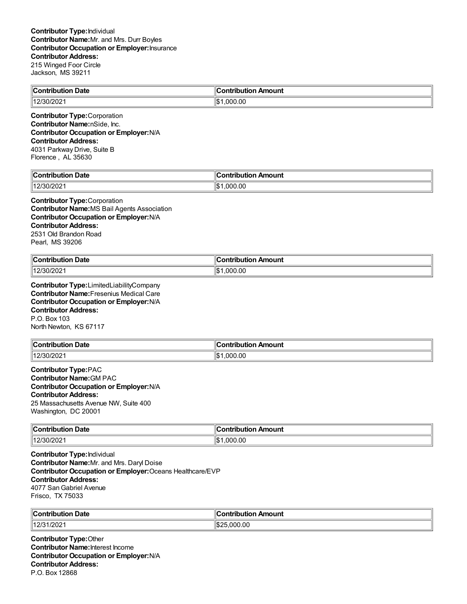| <b>Contribution Date</b>                                     | <b>Contribution Amount</b> |
|--------------------------------------------------------------|----------------------------|
| 12/30/2021                                                   | .000.00<br>∥\$1            |
| _________<br>the contract of the contract of the contract of |                            |

**Contributor Type:**Corporation **Contributor Name:**nSide, Inc. **Contributor Occupation or Employer:**N/A **Contributor Address:** 4031 Parkway Drive, Suite B Florence , AL 35630

| من<br>Date<br><b>Contribution</b> | $\blacksquare$ Contribution Amount |
|-----------------------------------|------------------------------------|
| ۱۱٬۰۰۰٬۰۰۰٬                       | ∥\$∙                               |
| /30/2021                          | 000.00.                            |

**Contributor Type:**Corporation **Contributor Name:**MS Bail Agents Association **Contributor Occupation or Employer:**N/A **Contributor Address:** 2531 Old Brandon Road Pearl, MS 39206

| ⊪c                | ้ouni                 |
|-------------------|-----------------------|
| Date              | лm.                   |
| -----             | a mbuile.             |
| -----             | .                     |
|                   |                       |
| 140K<br>ו ששבוט . | .00<br>∩∩٢<br>м<br>۱ъ |

**Contributor Type:**LimitedLiabilityCompany **Contributor Name:**Fresenius Medical Care **Contributor Occupation or Employer:**N/A **Contributor Address:** P.O. Box 103 North Newton, KS 67117

| $\ $ Contribution | Amount              |
|-------------------|---------------------|
| <b>Date</b>       | <b>⇔ontributior</b> |
| 12/30/2021        | 00.000.1<br>ıъ      |

**Contributor Type:**PAC **Contributor Name:**GM PAC **Contributor Occupation or Employer:**N/A **Contributor Address:** 25 Massachusetts Avenue NW, Suite 400 Washington, DC 20001

| $\ $ Contribution | Amount              |
|-------------------|---------------------|
| Date              | - -- --- - - - -    |
| .                 |                     |
| $12/30/202$ .     | 11\$<br>00.00<br>ററ |

**Contributor Type:**Individual **Contributor Name:**Mr. and Mrs. Daryl Doise **Contributor Occupation or Employer:**Oceans Healthcare/EVP **Contributor Address:** 4077 SanGabriel Avenue Frisco, TX 75033

| ∥Conf<br>Date<br>----<br><b>ripution</b> | ΙC<br>າ Amount                  |
|------------------------------------------|---------------------------------|
| 1/202<br>$ 12/3^4$                       | 00.00<br>$\sim$<br>∴ ו∩ר<br>٦Ъ. |

**Contributor Type:**Other **Contributor Name:**Interest Income **Contributor Occupation or Employer:**N/A **Contributor Address:** P.O. Box 12868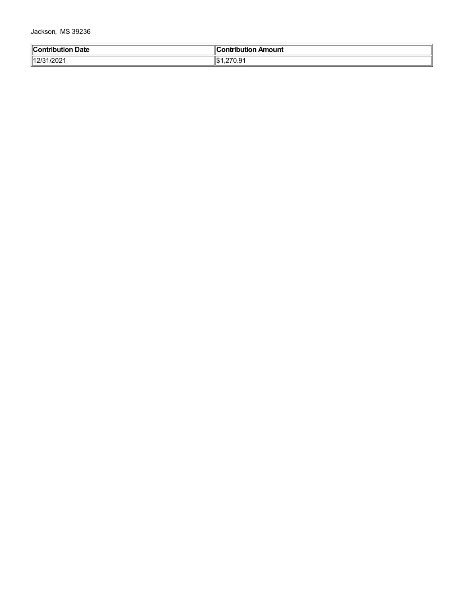Jackson, MS 39236

| <b>Contribution Date</b> | Contribution Amount               |
|--------------------------|-----------------------------------|
| 12/31/2021               | 270.24<br>۱Ic۰<br>ل∪ا<br>. 3. ا ع |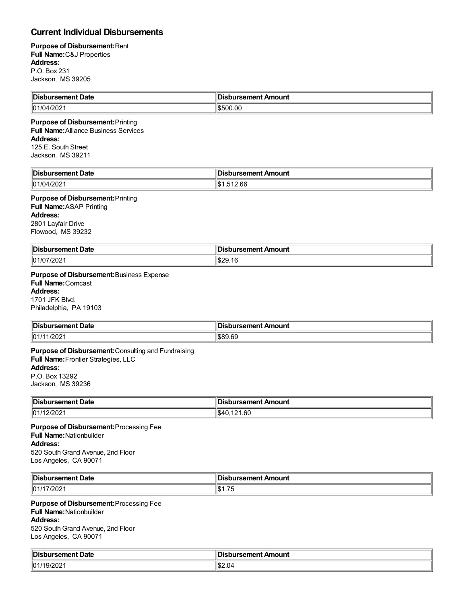# **Current Individual Disbursements**

#### **Purpose of Disbursement:**Rent **Full Name:**C&J Properties **Address:** P.O. Box 231 Jackson, MS 39205

| ∜Dis                          | $-$ -mans $-$ |
|-------------------------------|---------------|
| ement Date                    | Amount        |
| .                             | .             |
| 101/0<br>ാറാ<br>۱л<br>472 U Z | ົາ0.00        |

### **Purpose of Disbursement:**Printing **Full Name:**Alliance Business Services **Address:** 125 E. South Street

Jackson, MS 39211

| <b>Disb</b>    | sbursement Amount                |
|----------------|----------------------------------|
| าursement Date | DВ                               |
| 101/04/2021    | 1000<br>۰ ∩اا<br>12.66<br>$\sim$ |

# **Purpose of Disbursement:**Printing

**Full Name:**ASAP Printing **Address:** 2801 Layfair Drive Flowood, MS 39232

| Disbursement Date | bursement Amount<br>$\sim$ $\sim$ |
|-------------------|-----------------------------------|
| 101/07/2021       | ™ፍጋር<br>ிப்∠ப.<br>. ט             |

# **Purpose of Disbursement:**Business Expense

**Full Name:**Comcast **Address:** 1701 JFK Blvd.

Philadelphia, PA 19103

| <b>IDist</b><br>Date<br>ursement I | ้าbursement Amount |
|------------------------------------|--------------------|
| /202                               | ton cn             |
| 01/11                              | אח ואיזיג          |

## **Purpose of Disbursement:**Consulting and Fundraising **Full Name:**Frontier Strategies, LLC **Address:** P.O. Box 13292

Jackson, MS 39236

| Disbursement Date | Disbursement Amount |
|-------------------|---------------------|
| 01/12/2021        | S40.121.60          |

**Purpose of Disbursement:**Processing Fee **Full Name:**Nationbuilder **Address:** 520 South Grand Avenue, 2nd Floor Los Angeles, CA 90071

| ∥Dish<br><del>`emo</del> nt Date<br>. | Amount<br>:hurcamant<br>ю<br>.               |
|---------------------------------------|----------------------------------------------|
| 01/1<br>7/202                         | $\rightarrow$ $\rightarrow$<br>ыD<br>ن ، ، ۱ |

#### **Purpose of Disbursement:**Processing Fee **Full Name:**Nationbuilder

**Address:**

520 South Grand Avenue, 2nd Floor Los Angeles, CA 90071

| ∥Dish<br>Date<br>. sement " | 2Amant<br>Amount<br>ШC<br>1961 IGH<br>$\sim$ $\sim$ |
|-----------------------------|-----------------------------------------------------|
| $\parallel$ 01/1<br>9/202   | \$2.04                                              |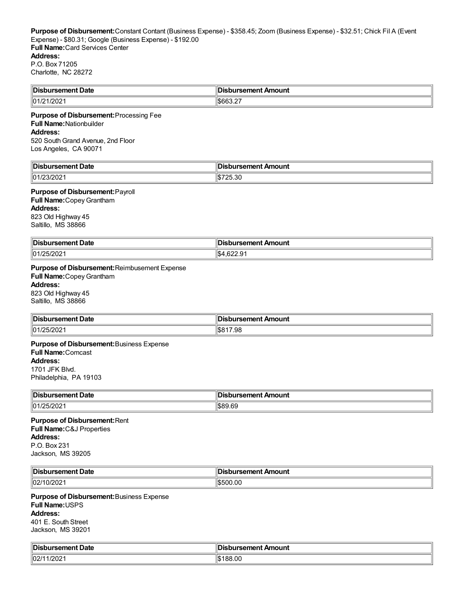| Disbursement Date | <b>Disbursement Amount</b>              |
|-------------------|-----------------------------------------|
| 101/2<br>៸∠∪∠     | $m$ $\cap$ $\cap$<br>$\sim$<br>‼ზნნა.∠. |

#### **Purpose of Disbursement:**Processing Fee **Full Name:**Nationbuilder **Address:** 520 South Grand Avenue, 2nd Floor

Los Angeles, CA 90071

| ‼Dish                                   | Amount         |
|-----------------------------------------|----------------|
| ∡sement Date                            | <b>Trement</b> |
|                                         |                |
| 23/202 <sup>.</sup><br>$\parallel$ 01/2 | 25.30          |

# **Purpose of Disbursement:**Payroll

**Full Name:**CopeyGrantham **Address:** 823 Old Highway 45 Saltillo, MS 38866

| <sup>∖</sup> Disbu.<br>nent Date<br>. 361 | In:<br>bursement Amount            |
|-------------------------------------------|------------------------------------|
| 101/25/2021                               | $\sim$<br>$\sim$<br>⊶دت،<br>.UZZ.J |

**Purpose of Disbursement:**Reimbusement Expense **Full Name:**CopeyGrantham **Address:** 823 Old Highway 45

Saltillo, MS 38866

| <b>Dis</b>                | ш       |
|---------------------------|---------|
| ⊃at⊾                      | .comon* |
| ------                    | Amount  |
| н                         | .       |
| .                         | .       |
| $25/202^3$                | ∩ 10    |
| $^{\prime\prime}$ 01/25/. | 7.98    |
| ັ                         | കാല     |
|                           | ___     |

**Purpose of Disbursement:**Business Expense **Full Name:**Comcast **Address:** 1701 JFK Blvd. Philadelphia, PA 19103

| 'IDis.               | IDi.             |
|----------------------|------------------|
| <i>r</i> sement Date | านrsement Amount |
| 101                  | <b>IS89</b>      |
| - UZ                 | .69              |

#### **Purpose of Disbursement:**Rent **Full Name:**C&J Properties **Address:** P.O. Box 231 Jackson, MS 39205

| 'IDis.<br>sement Date، ا | ursement Amount<br>DI:<br>wu |
|--------------------------|------------------------------|
| ll02/1<br>∠∪∠            | . U'                         |

**Purpose of Disbursement:**Business Expense **Full Name:**USPS **Address:** 401 E. South Street Jackson, MS 39201

| <b>∥Dis</b> L<br><b>Date</b><br>≅ursemen⊾ | )isbursement Amount |
|-------------------------------------------|---------------------|
| 02/1<br>1/202                             | 188.00              |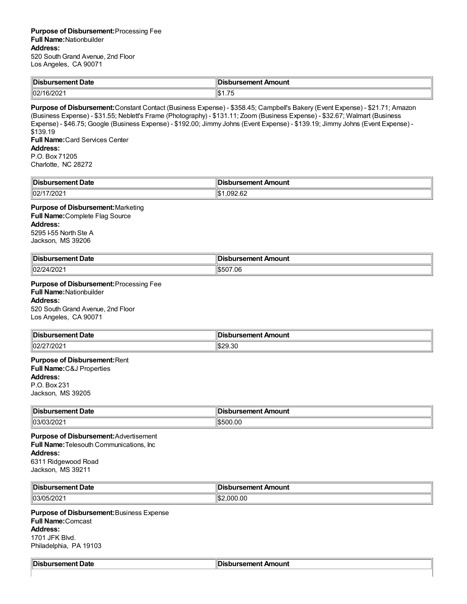| ∥Dis                    | sbursement Amount                               |
|-------------------------|-------------------------------------------------|
| ursement Date           | JIS                                             |
| $\parallel$ 02/1<br>∠∪∠ | $\overline{\phantom{a}}$<br>ια<br>س⊎<br>ں ، ، ا |

**Purpose of Disbursement:**Constant Contact (Business Expense) - \$358.45; Campbell's Bakery (Event Expense) - \$21.71; Amazon (Business Expense) - \$31.55; Neblett's Frame (Photography) - \$131.11; Zoom (Business Expense) - \$32.67; Walmart (Business Expense) - \$46.75; Google (Business Expense) - \$192.00; Jimmy Johns (Event Expense) - \$139.19; Jimmy Johns (Event Expense) - \$139.19 **Full Name:**Card Services Center **Address:** P.O. Box 71205

Charlotte, NC 28272

| ∥Dis<br>rsement Date | าursement Amount      |
|----------------------|-----------------------|
| 02/1<br>ZUZ          | $\sim$<br>'н<br>92.OZ |

**Purpose of Disbursement:**Marketing **Full Name:**Complete Flag Source **Address:** 5295 I-55 North Ste A Jackson, MS 39206

| <sup>∥</sup> Dis.<br>ırsement Date<br>. | Amount<br>ureamant |
|-----------------------------------------|--------------------|
| $ 02/2\rangle$                          | ገ7.06              |
| $1/20^\circ$                            | 10.7               |
| . HZUZ "                                | ികാറ               |

**Purpose of Disbursement:**Processing Fee **Full Name:**Nationbuilder **Address:** 520 South Grand Avenue, 2nd Floor

Los Angeles, CA 90071

| <sup>∥</sup> Dis.<br>Date<br>.<br>.ursemenu r | Amount<br>comont<br>I IGI II<br>$-1$<br>___ |
|-----------------------------------------------|---------------------------------------------|
| 02/27/202                                     | $\sim$<br>. <i>.</i> u<br>zy.ou<br>۰. ۲     |

#### **Purpose of Disbursement:**Rent **Full Name:**C&J Properties **Address:**

P.O. Box 231 Jackson, MS 39205

| <b>IDist</b><br>Date<br>'rst.<br>. | Amount<br>≥amant<br>ю<br>. . |
|------------------------------------|------------------------------|
| 03/03/202                          | 500.00ء                      |

**Purpose of Disbursement:**Advertisement **Full Name:**Telesouth Communications, Inc **Address:** 6311 Ridgewood Road Jackson, MS 39211

| <sup>∥</sup> Dis.<br>Date<br>$mm-$<br>∠ursemenu m | <b>Amount</b><br>.comon*<br>,,,<br>1161 I L Z<br>. |
|---------------------------------------------------|----------------------------------------------------|
| 03/05/202                                         | .000.00<br>. п.                                    |

**Purpose of Disbursement:**Business Expense **Full Name:**Comcast

**Address:**

1701 JFK Blvd. Philadelphia, PA 19103

| Disbursement Date | sbursement ⊿<br>Amount<br>2ונ |
|-------------------|-------------------------------|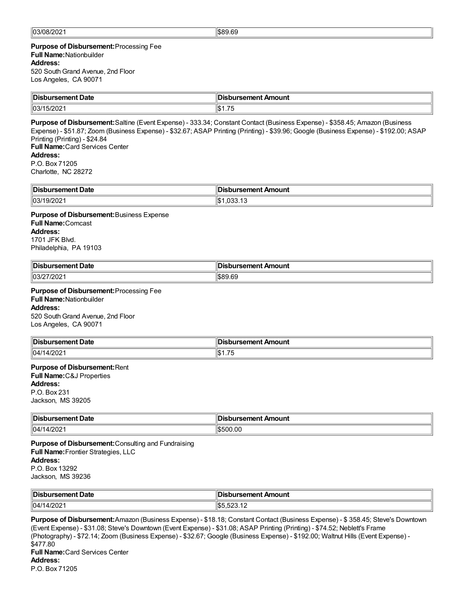#### **Purpose of Disbursement:**Processing Fee **Full Name:**Nationbuilder **Address:**

520 South Grand Avenue, 2nd Floor Los Angeles, CA 90071

| <sup>∥</sup> Disb<br>rsement Date | sbursement Amount     |
|-----------------------------------|-----------------------|
| ll03/1<br>5/20<br>20Z             | $\rightarrow$<br>ا ۱۰ |

**Purpose of Disbursement:**Saltine (Event Expense) - 333.34; Constant Contact (Business Expense) - \$358.45; Amazon (Business Expense) - \$51.87; Zoom (Business Expense) - \$32.67; ASAP Printing (Printing) - \$39.96; Google (Business Expense) - \$192.00; ASAP Printing (Printing) - \$24.84 **Full Name:**Card Services Center **Address:** P.O. Box 71205 Charlotte, NC 28272

| ∥Dis<br>Date<br>ement:<br>. | Amount<br>------<br>enı |
|-----------------------------|-------------------------|
| $\parallel$ 03/<br>.vz      |                         |

#### **Purpose of Disbursement:**Business Expense **Full Name:**Comcast **Address:** 1701 JFK Blvd. Philadelphia, PA 19103

| <sup>∥</sup> Disb<br>. sement Date | วursement Amount |
|------------------------------------|------------------|
| 103/<br>- UZ                       | $\sim$           |

#### **Purpose of Disbursement:**Processing Fee **Full Name:**Nationbuilder

**Address:**

520 South Grand Avenue, 2nd Floor Los Angeles, CA 90071

| ∜Dis        | nouni    |
|-------------|----------|
| 10.1        | - - -- - |
| .           | .        |
| 04/1<br>:UZ | $ -$     |

# **Purpose of Disbursement:**Rent

**Full Name:**C&J Properties **Address:** P.O. Box 231 Jackson, MS 39205

| <b>IDis</b><br><b>Date</b><br>.sement ⊑<br>$ -$ | ursement Amount |
|-------------------------------------------------|-----------------|
| 04/1<br>14/2021                                 | \$500.00        |

**Purpose of Disbursement:**Consulting and Fundraising **Full Name:**Frontier Strategies, LLC **Address:** P.O. Box 13292 Jackson, MS 39236

| Disbursement Date | <b>Disbursement Amount</b> |
|-------------------|----------------------------|
| 04/1              | $F^{\alpha\alpha}$         |
| 4/2021            | ⊪I ≀ O O O O O O O         |

**Purpose of Disbursement:**Amazon (Business Expense) - \$18.18; Constant Contact (Business Expense) - \$ 358.45; Steve's Downtown (Event Expense) - \$31.08; Steve's Downtown (Event Expense) - \$31.08; ASAP Printing (Printing) - \$74.52; Neblett's Frame (Photography) - \$72.14; Zoom (Business Expense) - \$32.67; Google (Business Expense) - \$192.00; Waltnut Hills (Event Expense) - \$477.80 **Full Name:**Card Services Center **Address:** P.O. Box 71205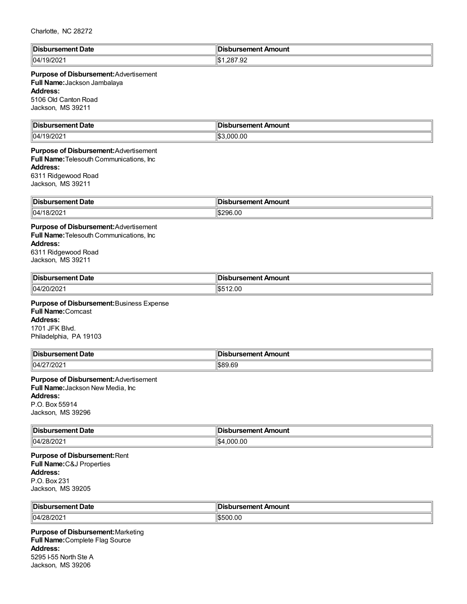| : ר<br>ırsement Date             | sbursement Amount                           |
|----------------------------------|---------------------------------------------|
| ∣∣∩<br>∵ ⊿ں <sub>ا</sub><br>∵∠∪∠ | $\sim$ 0.0<br>''ጡ.<br>ົດ ດ″<br>. (3D)<br>ے. |

#### **Purpose of Disbursement:**Advertisement

**Full Name:**Jackson Jambalaya

#### **Address:**

5106 Old Canton Road Jackson, MS 39211

| ∥Di:<br>rsement Date | sbursement Amount       |
|----------------------|-------------------------|
| 04/19/2<br>/202      | .000.00<br>ብጡ ብ<br>I.D. |

# **Purpose of Disbursement:**Advertisement **Full Name:**Telesouth Communications, Inc **Address:**

6311 Ridgewood Road Jackson, MS 39211

| ∥Dis                 | Amount |
|----------------------|--------|
| Date                 | ------ |
| nent                 |        |
| .                    |        |
| 04/1<br>.vz<br>_____ | 6.00   |

#### **Purpose of Disbursement:**Advertisement **Full Name:**Telesouth Communications, Inc **Address:** 6311 Ridgewood Road Jackson, MS 39211

| <sup>∥</sup> Dis.<br>Date<br>ursement | sement.<br>Amount<br>- - - -<br>$\sim$ $\sim$ |
|---------------------------------------|-----------------------------------------------|
| 04/20/202                             | 2.00<br>١æ<br>ت ⊔ی                            |

#### **Purpose of Disbursement:**Business Expense **Full Name:**Comcast **Address:** 1701 JFK Blvd. Philadelphia, PA 19103

| Disbursement Date | ursement Amount |
|-------------------|-----------------|
| .                 | .               |
| 04/27/202         | 1\$89.69        |

#### **Purpose of Disbursement:**Advertisement **Full Name:**Jackson New Media, Inc **Address:** P.O. Box 55914 Jackson, MS 39296

| ' Dis.<br>rsement Date<br>. | sbursement Amount<br>. |
|-----------------------------|------------------------|
| 04/28<br>8/202              | 1,000.00               |

### **Purpose of Disbursement:**Rent **Full Name:**C&J Properties **Address:** P.O. Box 231 Jackson, MS 39205

| <sup>∥</sup> Dis. | `\rsement <sub><i>r</i></sub> |
|-------------------|-------------------------------|
| Date              | Amount                        |
| ırsement          | ж                             |
|                   | $\sim$ $\sim$                 |
| 04/28/202         | 500.00<br>. .                 |

**Purpose of Disbursement:**Marketing **Full Name:**Complete Flag Source **Address:** 5295 I-55 North Ste A Jackson, MS 39206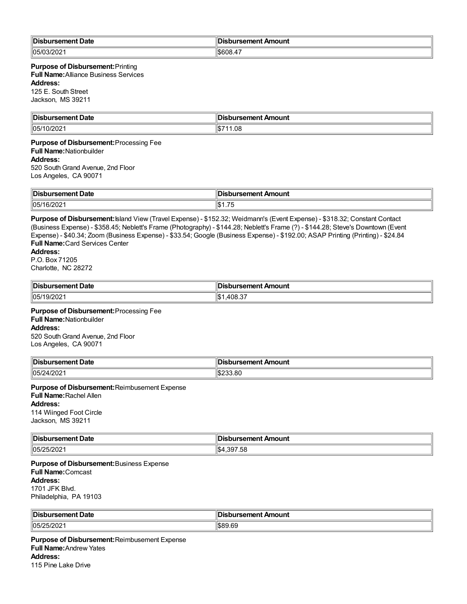| <b>Disbursement Date</b>                                                                                                                                                                                                                                                                                                                                                                                                                                                                               | <b>Disbursement Amount</b> |  |
|--------------------------------------------------------------------------------------------------------------------------------------------------------------------------------------------------------------------------------------------------------------------------------------------------------------------------------------------------------------------------------------------------------------------------------------------------------------------------------------------------------|----------------------------|--|
| 05/03/2021                                                                                                                                                                                                                                                                                                                                                                                                                                                                                             | \$608.47                   |  |
| <b>Purpose of Disbursement: Printing</b><br><b>Full Name:</b> Alliance Business Services<br><b>Address:</b><br>125 E. South Street<br>Jackson, MS 39211                                                                                                                                                                                                                                                                                                                                                |                            |  |
| <b>Disbursement Date</b>                                                                                                                                                                                                                                                                                                                                                                                                                                                                               | <b>Disbursement Amount</b> |  |
| 05/10/2021                                                                                                                                                                                                                                                                                                                                                                                                                                                                                             | \$711.08                   |  |
| Purpose of Disbursement: Processing Fee<br><b>Full Name: Nationbuilder</b><br><b>Address:</b><br>520 South Grand Avenue, 2nd Floor<br>Los Angeles, CA 90071                                                                                                                                                                                                                                                                                                                                            |                            |  |
| <b>Disbursement Date</b>                                                                                                                                                                                                                                                                                                                                                                                                                                                                               | <b>Disbursement Amount</b> |  |
| 05/16/2021                                                                                                                                                                                                                                                                                                                                                                                                                                                                                             | \$1.75                     |  |
| Purpose of Disbursement: Island View (Travel Expense) - \$152.32; Weidmann's (Event Expense) - \$318.32; Constant Contact<br>(Business Expense) - \$358.45; Neblett's Frame (Photography) - \$144.28; Neblett's Frame (?) - \$144.28; Steve's Downtown (Event<br>Expense) - \$40.34; Zoom (Business Expense) - \$33.54; Google (Business Expense) - \$192.00; ASAP Printing (Printing) - \$24.84<br><b>Full Name: Card Services Center</b><br><b>Address:</b><br>P.O. Box 71205<br>Charlotte, NC 28272 |                            |  |
| <b>Disbursement Date</b>                                                                                                                                                                                                                                                                                                                                                                                                                                                                               | <b>Disbursement Amount</b> |  |
| 05/19/2021                                                                                                                                                                                                                                                                                                                                                                                                                                                                                             | \$1,408.37                 |  |
| Purpose of Disbursement: Processing Fee<br><b>Full Name: Nationbuilder</b><br><b>Address:</b><br>520 South Grand Avenue, 2nd Floor<br>Los Angeles, CA 90071                                                                                                                                                                                                                                                                                                                                            |                            |  |
| <b>Disbursement Date</b>                                                                                                                                                                                                                                                                                                                                                                                                                                                                               | Disbursement Amount        |  |
| 05/24/2021                                                                                                                                                                                                                                                                                                                                                                                                                                                                                             | \$233.80                   |  |
| Purpose of Disbursement: Reimbusement Expense<br><b>Full Name: Rachel Allen</b><br><b>Address:</b><br>114 Wiinged Foot Circle<br>Jackson, MS 39211                                                                                                                                                                                                                                                                                                                                                     |                            |  |
| <b>Disbursement Date</b>                                                                                                                                                                                                                                                                                                                                                                                                                                                                               | <b>Disbursement Amount</b> |  |
| 05/25/2021                                                                                                                                                                                                                                                                                                                                                                                                                                                                                             | \$4,397.58                 |  |
| Purpose of Disbursement: Business Expense<br><b>Full Name:</b> Comcast<br><b>Address:</b><br>1701 JFK Blvd.<br>Philadelphia, PA 19103                                                                                                                                                                                                                                                                                                                                                                  |                            |  |
| <b>Disbursement Date</b>                                                                                                                                                                                                                                                                                                                                                                                                                                                                               | <b>Disbursement Amount</b> |  |
| 05/25/2021                                                                                                                                                                                                                                                                                                                                                                                                                                                                                             | \$89.69                    |  |
|                                                                                                                                                                                                                                                                                                                                                                                                                                                                                                        |                            |  |

**Purpose of Disbursement:**Reimbusement Expense **Full Name:**Andrew Yates **Address:** 115 Pine Lake Drive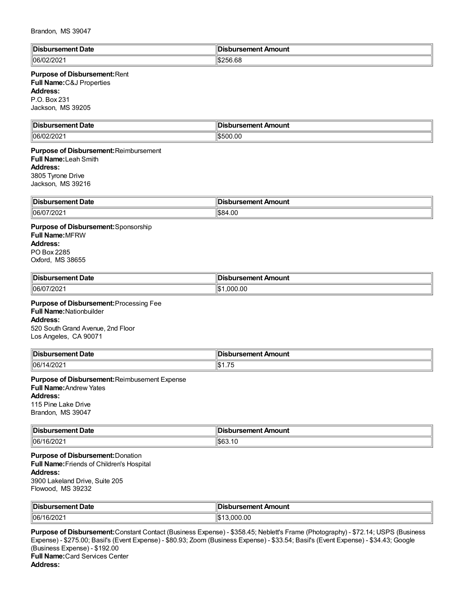| ∥Di:          | In:                 |
|---------------|---------------------|
| ırsement Date | ursement Amount     |
| 1106/1<br>.vz | neor<br>/nr<br>I-DZ |

# **Purpose of Disbursement:**Rent

**Full Name:**C&J Properties

**Address:**

P.O. Box 231 Jackson, MS 39205

| ∥Dis<br>-<br>'sement Date | Di:<br><b>pursement Amount</b> |
|---------------------------|--------------------------------|
| 06/0<br>/02/202           | $\frac{15500.00}{500}$         |

**Purpose of Disbursement:**Reimbursement **Full Name:**Leah Smith **Address:** 3805 Tyrone Drive Jackson, MS 39216

| $\parallel$ Di $\cdot$ | 'sement Amount |
|------------------------|----------------|
| rsement Date           | 1961 I 161     |
| 06/0<br><b>LUL</b>     | t.vu           |

**Purpose of Disbursement:**Sponsorship **Full Name:**MFRW **Address:** PO Box 2285 Oxford, MS 38655

| ∥Dis<br>Date<br>. <b>.</b> .<br>. | Amount |
|-----------------------------------|--------|
| 06/0<br>20Z                       | 0.00،  |

**Purpose of Disbursement:**Processing Fee **Full Name:**Nationbuilder **Address:** 520 South Grand Avenue, 2nd Floor Los Angeles, CA 90071

| Disbursement Date | sbursement Amount                                     |
|-------------------|-------------------------------------------------------|
| 106/1<br>4/202    | $\rightarrow$ $\rightarrow$<br>ዘው ፡<br>יטו<br>ں ، ، ا |

**Purpose of Disbursement:**Reimbusement Expense **Full Name:**Andrew Yates **Address:** 115 Pine Lake Drive

Brandon, MS 39047

| $\blacksquare$ Disk<br>bursement Date | <b>Disbursement Amount</b> |
|---------------------------------------|----------------------------|
| 06/16/2021                            | د مم ۱۴۰<br>1563.1U        |

**Purpose of Disbursement:**Donation **Full Name:**Friends of Children's Hospital **Address:** 3900 Lakeland Drive, Suite 205 Flowood, MS 39232

| <b>∥Disb</b><br>ursement Date | Disbursement Amount |
|-------------------------------|---------------------|
| 06/16/202                     | .000.00<br>J.       |

**Purpose of Disbursement:**Constant Contact (Business Expense) - \$358.45; Neblett's Frame (Photography) - \$72.14; USPS (Business Expense) - \$275.00; Basil's (Event Expense) - \$80.93; Zoom (Business Expense) - \$33.54; Basil's (Event Expense) - \$34.43; Google (Business Expense) - \$192.00 **Full Name:**Card Services Center **Address:**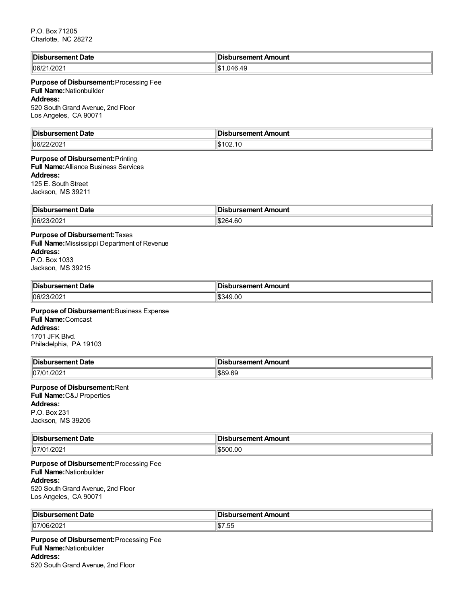| ∜Dis<br>bursement Date | ∥Disbursement Amount |
|------------------------|----------------------|
| 06/21/2021             | 046.49<br>۱JD<br>w   |

### **Purpose of Disbursement:**Processing Fee **Full Name:**Nationbuilder **Address:**

520 South Grand Avenue, 2nd Floor Los Angeles, CA 90071

| <b>‼Dis.</b>   | Amount    |
|----------------|-----------|
| bursement Date | ursement. |
| 06/2.          | I.D.      |
| 212 U Z        | UZ.IU     |

#### **Purpose of Disbursement:**Printing **Full Name:**Alliance Business Services

**Address:**

125 E. South Street Jackson, MS 39211

| ∜Dis<br>Date<br>  | Amount<br>           |
|-------------------|----------------------|
| 106/2<br>- 2021هـ | .60.<br>ືືລ6⊿<br>ADZ |

# **Purpose of Disbursement:**Taxes

**Full Name:**Mississippi Department of Revenue **Address:** P.O. Box 1033 Jackson, MS 39215

| <b>∥Dist</b><br>Date<br>rsement | Amount<br>≥amant<br>ю<br>,,,,,, |
|---------------------------------|---------------------------------|
| 06/2 <sup>2</sup>               | 0.0C                            |
| ے∪∠''                           | 2Л                              |

#### **Purpose of Disbursement:**Business Expense

**Full Name:**Comcast **Address:** 1701 JFK Blvd. Philadelphia, PA 19103

| <sup>∥</sup> Dis. | <b>Amount</b> |
|-------------------|---------------|
| Date              | camant        |
| $-$ mont.         | .             |
| .                 |               |
| $\parallel$ 07/0  | ARQ AC        |
| 1/202'            | .ከለነ          |

# **Purpose of Disbursement:**Rent

**Full Name:**C&J Properties

# **Address:**

P.O. Box 231 Jackson, MS 39205

| <sup>∥</sup> Dis. | In:                  |
|-------------------|----------------------|
| t Date            | Amount               |
| ırsement          | bursement            |
| 107/01            | \$500.00             |
| 1202              | $\mathbf{A}$ . Die a |

#### **Purpose of Disbursement:**Processing Fee **Full Name:**Nationbuilder **Address:** 520 South Grand Avenue, 2nd Floor Los Angeles, CA 90071

| Disbursement Date | . .<br><b>Disbursement Amount</b> |
|-------------------|-----------------------------------|
| 07/06/202         | $\sim$<br>ن ن ا ها                |

**Purpose of Disbursement:**Processing Fee **Full Name:**Nationbuilder **Address:** 520 South Grand Avenue, 2nd Floor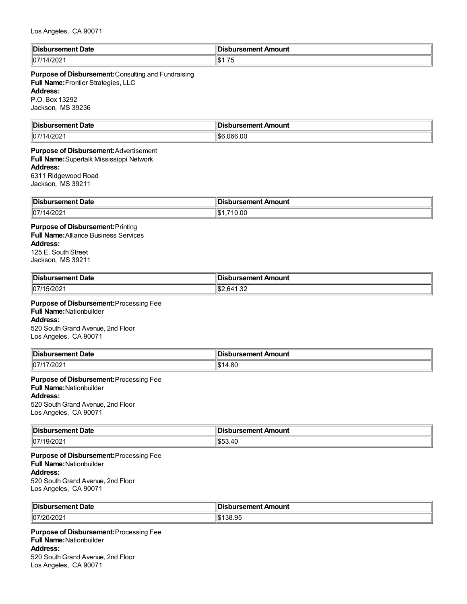| lin:                 | In                                         |
|----------------------|--------------------------------------------|
| Date                 | $\blacksquare$                             |
| - --- - - --         | Amount                                     |
| нс                   |                                            |
| .                    |                                            |
| 107<br>71<br>ا ۱۷۷۲، | $\overline{\phantom{a}}$<br>ገለ .<br>ി∂1.75 |

# **Purpose of Disbursement:**Consulting and Fundraising **Full Name:**Frontier Strategies, LLC **Address:**

P.O. Box 13292 Jackson, MS 39236

| ⊪Di                       | lm.                            |
|---------------------------|--------------------------------|
| ırsement Date             | ursement Amount                |
| 07/1<br>$\sqrt{1}$<br>.vz | 6.00<br>10°C<br>. Ikit<br>l.br |

#### **Purpose of Disbursement:**Advertisement **Full Name:**Supertalk Mississippi Network **Address:**

6311 Ridgewood Road Jackson, MS 39211

| ∥Dis<br>rsement Date<br>$  -$       | . nent Amount<br>ureamant<br>.<br>$\sim$ $\sim$ |
|-------------------------------------|-------------------------------------------------|
| $\parallel$ 07/1<br>1000<br>'41202. | $\sim$<br>⊪ດ∾<br>v.vu<br>ыD                     |

# **Purpose of Disbursement:**Printing

**Full Name:**Alliance Business Services **Address:** 125 E. South Street Jackson, MS 39211

| ∥Dis<br>Date<br>. | - - --- - - -<br><b>Amainst</b><br>un<br><br>. |
|-------------------|------------------------------------------------|
| 07/1<br>- UZ      | $\sim$<br>n/<br>ےں. ا                          |

#### **Purpose of Disbursement:**Processing Fee **Full Name:**Nationbuilder **Address:** 520 South Grand Avenue, 2nd Floor Los Angeles, CA 90071

| ∥Disl<br>rsement Date    | sbursement Amount |
|--------------------------|-------------------|
| $\parallel$ 07/1<br>7202 | 80.،              |

#### **Purpose of Disbursement:**Processing Fee **Full Name:**Nationbuilder **Address:**

520 SouthGrand Avenue, 2nd Floor Los Angeles, CA 90071

| <b>IDist</b><br>Date<br>rsement<br>. | Amount<br>Jursemen*<br>$\sim$ $\sim$ $\sim$ $\sim$ $\sim$ $\sim$ $\sim$ |
|--------------------------------------|-------------------------------------------------------------------------|
| 07/2                                 | $\sqrt{ }$                                                              |
| 19/202                               | 00.HU                                                                   |

#### **Purpose of Disbursement:**Processing Fee **Full Name:**Nationbuilder **Address:** 520 South Grand Avenue, 2nd Floor Los Angeles, CA 90071

| ¶Dis<br>rsement Date | sement Amount<br>ош эен<br>$\sim$ $\sim$ |
|----------------------|------------------------------------------|
| 107/20/202           | $\sim$<br>.<br>ບບ.ອບ                     |

**Purpose of Disbursement:**Processing Fee **Full Name:**Nationbuilder **Address:** 520 South Grand Avenue, 2nd Floor Los Angeles, CA 90071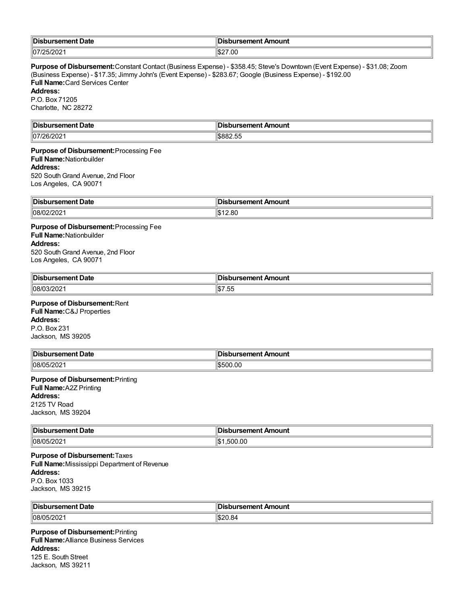| <sup>∥</sup> Dis. | sement. |
|-------------------|---------|
| Date              | Amount  |
| ursement          | .       |
| .                 |         |
| 107/25/2021       | IS27.00 |

**Purpose of Disbursement:**Constant Contact (Business Expense) - \$358.45; Steve's Downtown (Event Expense) - \$31.08; Zoom (Business Expense) - \$17.35; Jimmy John's (Event Expense) - \$283.67; Google (Business Expense) - \$192.00 **Full Name:**Card Services Center **Address:**

#### P.O. Box 71205 Charlotte, NC 28272

| ‼Dis<br>Date<br>.        | In<br>Amount<br>-nursemer : |
|--------------------------|-----------------------------|
| 107<br>. הוניי<br>'6/202 | $ -$<br>\$882.55            |

#### **Purpose of Disbursement:**Processing Fee **Full Name:**Nationbuilder **Address:** 520 South Grand Avenue, 2nd Floor

Los Angeles, CA 90071

| ∥Dis<br>Date<br>m<br>. | Amount<br>. |
|------------------------|-------------|
| 108/0;                 | .80         |
| ∠∪∠                    | ה.ו         |

#### **Purpose of Disbursement:**Processing Fee **Full Name:**Nationbuilder **Address:** 520 South Grand Avenue, 2nd Floor Los Angeles, CA 90071

| <sup>∥</sup> Dis.<br>Date<br>$-$ -manners $-$<br>.senem | Amount                        |
|---------------------------------------------------------|-------------------------------|
| 08/0<br>$\sim$ $\sim$ $\sim$<br>13/202                  | --<br>11017<br>. .<br>ים<br>ں |

#### **Purpose of Disbursement:**Rent **Full Name:**C&J Properties

**Address:** P.O. Box 231 Jackson, MS 39205

| 'IDis.<br>ment Date<br>$- - - - - - -$<br>--<br>.         | : Amount<br>urcomont<br>82111211.<br>___ |
|-----------------------------------------------------------|------------------------------------------|
| $\sim$ $\sim$<br>lng/r<br>$\overline{\phantom{a}}$<br>∠∪∠ | \$500.00                                 |

# **Purpose of Disbursement:**Printing **Full Name:**A2Z Printing **Address:**

2125 TV Road Jackson, MS 39204

| '∣Dis                                                    | ursement Amount   |
|----------------------------------------------------------|-------------------|
| . sement Date                                            | $\cdots$ 3511611. |
|                                                          |                   |
| $\sim$ $\sim$ $\sim$ $\sim$<br> 08/0<br>リワリンパ<br>ےں ے ان | .500.00           |

#### **Purpose of Disbursement:**Taxes **Full Name:**Mississippi Department of Revenue **Address:** P.O. Box 1033 Jackson, MS 39215

| <b>IDis</b> | Amount |
|-------------|--------|
| Jate        | :aman' |
| 08/0<br>∴U∠ |        |

**Purpose of Disbursement:**Printing **Full Name:**Alliance Business Services **Address:** 125 E. South Street Jackson, MS 39211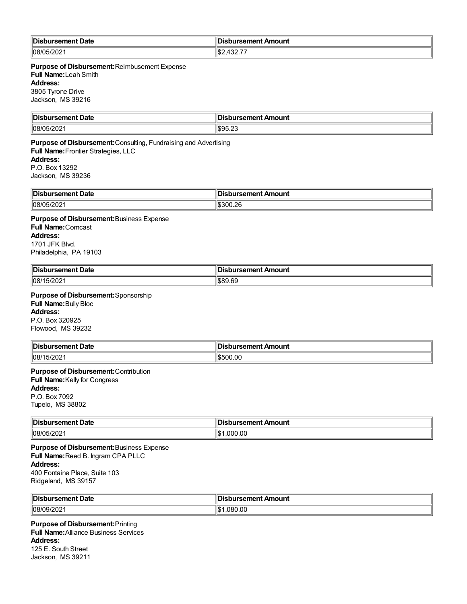| 'IDis.            | : רוו                         |
|-------------------|-------------------------------|
| ursement Date     | <b>∥Disbursement Amount</b>   |
| <b>INSK</b><br>υz | $\cdots$<br>، م ا<br>⊣ம∠<br>. |

**Purpose of Disbursement:**Reimbusement Expense **Full Name:**Leah Smith **Address:** 3805 Tyrone Drive Jackson, MS 39216

| ∥Dis         | In '      |
|--------------|-----------|
| rsement Date | Amount    |
| .            | ™sement … |
|              | ___       |
| 08/05/202    | \$95.23   |

**Purpose of Disbursement:**Consulting, Fundraising and Advertising **Full Name:**Frontier Strategies, LLC **Address:** P.O. Box 13292 Jackson, MS 39236

| Disbursement Date | ursement.<br>Amount |
|-------------------|---------------------|
| 08/05/202         | l\$300.26           |

**Purpose of Disbursement:**Business Expense **Full Name:**Comcast **Address:** 1701 JFK Blvd. Philadelphia, PA 19103

| <b>∥Disl</b><br>Date<br>$   -$<br>™rsemen. | bursement Amount |
|--------------------------------------------|------------------|
| 08/1                                       | RRQ 69           |
| 15/2021                                    | ື ¤ວຽນ ບ         |

**Purpose of Disbursement:**Sponsorship **Full Name:**Bully Bloc **Address:** P.O. Box 320925

Flowood, MS 39232

| Disbursement Date | Disbursement Amount |
|-------------------|---------------------|
| 5/2021<br>1108/   | <b>S500.00</b>      |

#### **Purpose of Disbursement:**Contribution **Full Name:**Kelly for Congress **Address:** P.O. Box 7092 Tupelo, MS 38802

| $\blacksquare$ | ln:                |
|----------------|--------------------|
| Date           | Amount             |
| ---            |                    |
| י יווסוורים.   |                    |
| פ∩∥            | 11.<br>) UC<br>nnr |

**Purpose of Disbursement:**Business Expense **Full Name:**Reed B. Ingram CPA PLLC **Address:** 400 Fontaine Place, Suite 103 Ridgeland, MS 39157

| 'IDis                 | Amount     |
|-----------------------|------------|
| rsement Date          | ırsement / |
| .                     | .          |
| $\parallel$ 08/09/202 | .080.00    |

#### **Purpose of Disbursement:**Printing **Full Name:**Alliance Business Services **Address:** 125 E. South Street Jackson, MS 39211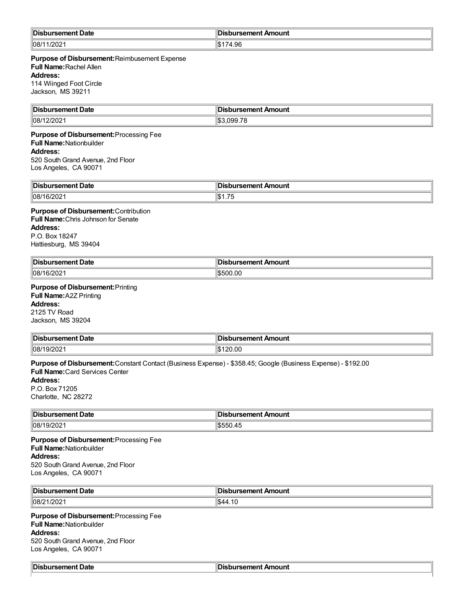| <b>Disb</b><br>oursement Date | Disbursement Amount |
|-------------------------------|---------------------|
| 1202<br>/l08/<br>ZUZ          | 1.96                |

# **Purpose of Disbursement:**Reimbusement Expense

**Full Name:**Rachel Allen

**Address:**

114 Wiinged Foot Circle Jackson, MS 39211

| ∜Dis<br>Date<br>------- | Amount<br>. .            |
|-------------------------|--------------------------|
| /l08<br>ж<br>uz         | $\overline{\phantom{a}}$ |

#### **Purpose of Disbursement:**Processing Fee **Full Name:**Nationbuilder

#### **Address:**

520 South Grand Avenue, 2nd Floor Los Angeles, CA 90071

| Disbursement Date | sbursement Amount<br>DТ                         |
|-------------------|-------------------------------------------------|
| 08/16/202         | $\rightarrow$ $\rightarrow$<br>⊬י∩וו<br>ாம<br>. |

# **Purpose of Disbursement:**Contribution

**Full Name:**Chris Johnson for Senate **Address:** P.O. Box 18247

Hattiesburg, MS 39404

| <sup>∥</sup> Dis.<br>Date<br>""Selilelit" | Disbursement Amount |
|-------------------------------------------|---------------------|
| /l08<br>6/202                             | 500.00              |

# **Purpose of Disbursement:**Printing

**Full Name:**A2Z Printing **Address:**

2125 TV Road Jackson, MS 39204

| ∥Dis                 | Amount         |
|----------------------|----------------|
| Date                 | - - --- - -- - |
| 08/19/<br>20<br>- UZ | 20.00<br>ь.    |

**Purpose of Disbursement:**Constant Contact (Business Expense) - \$358.45; Google (Business Expense) - \$192.00 **Full Name:**Card Services Center

# **Address:**

P.O. Box 71205 Charlotte, NC 28272

| '∣Dis           | ⊪      |
|-----------------|--------|
| Dat∈            | Amount |
| sene            | $   -$ |
| .               |        |
| 08/19<br>19/202 | .45    |

**Purpose of Disbursement:**Processing Fee **Full Name:**Nationbuilder **Address:** 520 South Grand Avenue, 2nd Floor Los Angeles, CA 90071

| <b>∥Disb</b><br>t Date<br>ursement | a di mend<br>bursement Amount، |
|------------------------------------|--------------------------------|
| 08/21<br>/202                      | הו<br>ാ4″<br>T. I V            |

#### **Purpose of Disbursement:**Processing Fee **Full Name:**Nationbuilder **Address:** 520 South Grand Avenue, 2nd Floor Los Angeles, CA 90071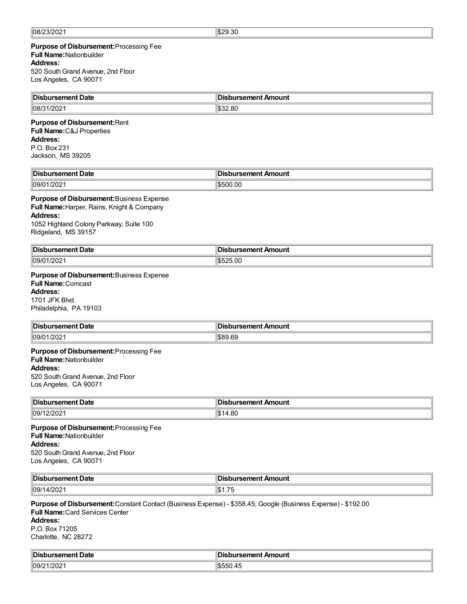#### **Purpose of Disbursement:**Processing Fee **Full Name:**Nationbuilder **Address:** 520 South Grand Avenue, 2nd Floor

Los Angeles, CA 90071

| ∥Dis<br>oursement Date             | <b>Disbursement Amount</b> |
|------------------------------------|----------------------------|
| 1000<br>$\parallel$ 08/3<br>1/2021 | ll\$32.80                  |

# **Purpose of Disbursement:**Rent

**Full Name:**C&J Properties **Address:** P.O. Box 231 Jackson, MS 39205

| <b>∥Disb</b>            | __                |
|-------------------------|-------------------|
| Date                    | sbursement Amount |
| ursement                | ж                 |
| $  09/0 \cdot$<br>1/202 | 500.00<br>.       |

#### **Purpose of Disbursement:**Business Expense

**Full Name:**Harper, Rains, Knight & Company **Address:** 1052 Highland Colony Parkway, Suite 100

| Ridgeland, MS 39157 |  |  |
|---------------------|--|--|
|                     |  |  |

| <b>IDist</b><br>Date<br>vursement . | วนrsement Amount |
|-------------------------------------|------------------|
| $\parallel$ 09/0 $\cdot$<br>1/2021  | 1\$525.00        |

#### **Purpose of Disbursement:**Business Expense

**Full Name:**Comcast **Address:** 1701 JFK Blvd.

Philadelphia, PA 19103

| <b>Disbursement Date</b> | <b>Disbursement Amount</b> |
|--------------------------|----------------------------|
| 109/01/2021              | \$89.69                    |

#### **Purpose of Disbursement:**Processing Fee **Full Name:**Nationbuilder **Address:**

520 South Grand Avenue, 2nd Floor Los Angeles, CA 90071

| ∥Dis             | Amount |
|------------------|--------|
| Date             | ------ |
| . <b>.</b>       |        |
|                  |        |
| $\parallel$ 09/1 | $\sim$ |
| ~∪⊾              | н٥     |
|                  | ₹.∪∴   |

**Purpose of Disbursement:**Processing Fee **Full Name:**Nationbuilder **Address:** 520 South Grand Avenue, 2nd Floor Los Angeles, CA 90071

| ∣Dis<br>ement Date<br>. | $\sim$ , and in the second second $\sim$<br>Amount<br>. |
|-------------------------|---------------------------------------------------------|
| פחריו<br>lo9/·<br>.uz   | $ -$<br>ں ، ،                                           |

# **Purpose of Disbursement:**Constant Contact (Business Expense) - \$358.45; Google (Business Expense) - \$192.00

**Full Name:**Card Services Center **Address:** P.O. Box 71205 Charlotte, NC 28272

| $\parallel$ Dis<br><b>ursement Date</b> | bursement Amount |
|-----------------------------------------|------------------|
| $\parallel$ 09/2<br>- 11 <b>AU</b> Z 1  | LD.              |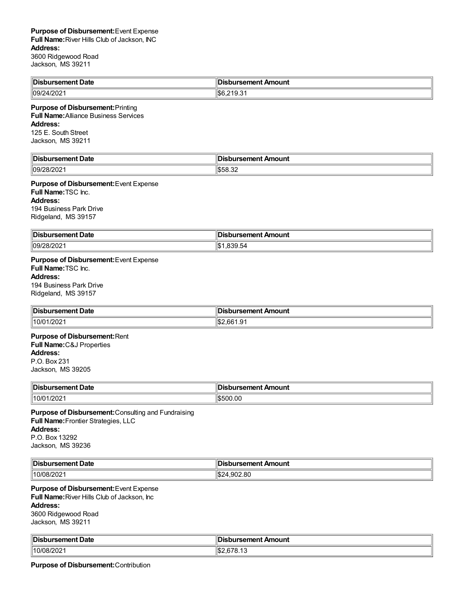| <b>Disbursement Date</b> | ∥Disbursement Amount   |
|--------------------------|------------------------|
| 09/24/2021               | 1\$6<br>$-10-$<br>19.0 |

#### **Purpose of Disbursement:**Printing **Full Name:**Alliance Business Services **Address:**

125 E. South Street Jackson, MS 39211

| ∥Dis                      | lln:                                       |
|---------------------------|--------------------------------------------|
| ırsement Date             | bursement Amount                           |
| $\parallel$ 09/28<br>- 92 | $\mathbf{H}$<br>$\sim$<br><br>I.D.<br>∪.∪∠ |

**Purpose of Disbursement:**Event Expense **Full Name:**TSC Inc. **Address:** 194 Business Park Drive Ridgeland, MS 39157

| Disl        | . .                   |
|-------------|-----------------------|
| ੋ°ment Date | Amount                |
| .           | <b>∕isbursement A</b> |
| .           | .                     |
| 09/28/2021  | .639.04               |

# **Purpose of Disbursement:**Event Expense

**Full Name:**TSC Inc. **Address:** 194 Business Park Drive Ridgeland, MS 39157

| <b>Disbursement Date</b> | Disbursement Amount    |
|--------------------------|------------------------|
| 10/01/202′               | .ഹ<br>'.66<br>⁄ ⊕<br>ا |

# **Purpose of Disbursement:**Rent

**Full Name:**C&J Properties **Address:** P.O. Box 231

Jackson, MS 39205

| '∣Disb<br>าursement Date | sbursement Amount |
|--------------------------|-------------------|
| 1/202<br>110/01          | $ $ \$500.00      |

**Purpose of Disbursement:**Consulting and Fundraising **Full Name:**Frontier Strategies, LLC **Address:** P.O. Box 13292 Jackson, MS 39236

| ،ن∩اا<br>bursement Date<br>nis | $-$<br> Disbursement Amount |
|--------------------------------|-----------------------------|
| 10/08/202                      | 4.902.80<br>م ۱۴<br>24ه،    |

#### **Purpose of Disbursement:**Event Expense **Full Name:**River Hills Club of Jackson, Inc **Address:** 3600 Ridgewood Road Jackson, MS 39211

| ∜Dis<br>- --- - -<br>vate<br>. | Amount<br>$\sim$ $\sim$ $\sim$ $\sim$ $\sim$ $\sim$ $\sim$ $\sim$ |
|--------------------------------|-------------------------------------------------------------------|
| 110/08                         | ыD.                                                               |
| ZUZ.                           | <b></b>                                                           |
|                                | $\sim$ $\sim$                                                     |

**Purpose of Disbursement:**Contribution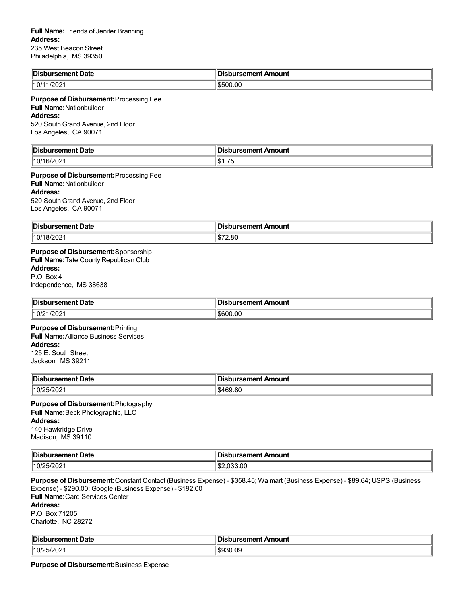| <b>∥Disb</b><br>rsement Date | ursement.<br>Amount<br>ж<br>$\sim$ $\sim$ |
|------------------------------|-------------------------------------------|
| 1/202 <sup>4</sup><br>110/11 | \$500.00                                  |

#### **Purpose of Disbursement:**Processing Fee

# **Full Name:**Nationbuilder

# **Address:**

520 South Grand Avenue, 2nd Floor Los Angeles, CA 90071

| In:<br>ırsement Date<br>ЛC | הו<br>ursement Amount                 |
|----------------------------|---------------------------------------|
| ı л<br>'∠∪∠                | $\overline{\phantom{a}}$<br>IЭ<br>ں ، |

**Purpose of Disbursement:**Processing Fee **Full Name:**Nationbuilder

#### **Address:**

520 South Grand Avenue, 2nd Floor Los Angeles, CA 90071

| <b>∥DisL</b><br>Date<br>$-$ -mont<br>⊍rsement | <b>Disbursement Amount</b> |
|-----------------------------------------------|----------------------------|
| 10/18/202                                     | 72.80<br>I.T.              |

**Purpose of Disbursement:**Sponsorship **Full Name:**Tate County Republican Club

#### **Address:**

P.O. Box 4 Independence, MS 38638

| 'IDis.<br>rsement Date | ursement Amount |
|------------------------|-----------------|
| /202                   | 600.00          |
| 10/2                   | ำหา             |

**Purpose of Disbursement:**Printing **Full Name:**Alliance Business Services **Address:** 125 E. South Street Jackson, MS 39211

| <sup>∥</sup> Dis.<br><b>ursement Date</b> | <b>ursement Amount</b> |
|-------------------------------------------|------------------------|
| 10/2                                      | 69.80                  |
| 25/202                                    | ۳Д                     |

#### **Purpose of Disbursement:**Photography **Full Name:**Beck Photographic, LLC **Address:** 140 Hawkridge Drive Madison, MS 39110

| <sup>∥</sup> Dis.<br><b>Date</b><br>uiselleill. | ment Amount<br>. |
|-------------------------------------------------|------------------|
| 10/2<br>ے∪∠ات                                   | .00              |

**Purpose of Disbursement:**Constant Contact (Business Expense) - \$358.45; Walmart (Business Expense) - \$89.64; USPS (Business Expense) - \$290.00; Google (Business Expense) - \$192.00 **Full Name:**Card Services Center **Address:** P.O. Box 71205 Charlotte, NC 28272

| <b>Disbursement Date</b> | <b>∥Disbursement Amount</b> |
|--------------------------|-----------------------------|
| 10/25/202                | 930.09;<br>I.D.Y.           |

**Purpose of Disbursement:**Business Expense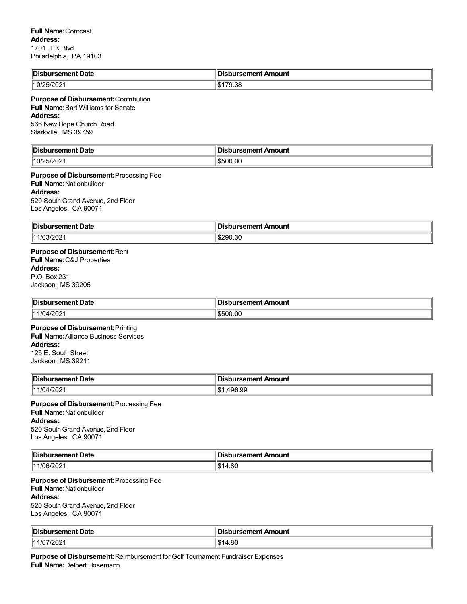| <b>Disb.</b><br><b>Date</b><br>ursement i<br>. | <b>bursement Amount</b> |
|------------------------------------------------|-------------------------|
| 10/25/2021                                     | 170.00<br>79.38         |

# **Purpose of Disbursement:**Contribution

**Full Name:**Bart Williams for Senate **Address:**

566 New Hope Church Road Starkville, MS 39759

| ∥Di:<br>Date<br>- - - | ïв.<br>Amount<br>- - --- - -- - |
|-----------------------|---------------------------------|
| .10 <sup>r</sup>      | ่วเ )เ                          |
| ж                     | ıљ.                             |
| ےں ے ان               | ט.ט                             |

**Purpose of Disbursement:**Processing Fee **Full Name:**Nationbuilder **Address:**

520 SouthGrand Avenue, 2nd Floor Los Angeles, CA 90071

| <sup>∥</sup> Dis.<br>Date<br>------<br>ırsement | bursement Amount<br>ю<br>__ |
|-------------------------------------------------|-----------------------------|
| $11/03/20$ ∠ .                                  | \$290.30                    |

# **Purpose of Disbursement:**Rent **Full Name:**C&J Properties **Address:**

P.O. Box 231 Jackson, MS 39205

| $\ $ Dis<br>Date<br>------<br>nenu<br>. | Amount<br>------<br>ш<br>. |
|-----------------------------------------|----------------------------|
| ∩∩כ<br>$\mathcal{U}$<br>  11<br>'ZUZ'   | ົາ0.00                     |

**Purpose of Disbursement:**Printing **Full Name:**Alliance Business Services **Address:** 125 E. South Street Jackson, MS 39211

| Disbursement Date | <b>∥Disbursement Amount</b> |
|-------------------|-----------------------------|
| 104/202<br>14.4 R | 496.99<br>ዘድ -<br>. 64 D    |

**Purpose of Disbursement:**Processing Fee **Full Name:**Nationbuilder **Address:** 520 SouthGrand Avenue, 2nd Floor Los Angeles, CA 90071

| ∥Dis<br><b>Date</b><br>nenu | <b>A.A.A.I.A</b><br>------<br>∍unu<br>пи.<br>---<br>. . |
|-----------------------------|---------------------------------------------------------|
| 11.1<br>`)fi<br>'<∪∠        | .                                                       |

**Purpose of Disbursement:**Processing Fee **Full Name:**Nationbuilder **Address:**

520 South Grand Avenue, 2nd Floor Los Angeles, CA 90071

| <b>∥DisL</b><br>ursement Date/ | bursement Amount; |
|--------------------------------|-------------------|
| 11/0<br>7202                   | 0C<br>ֿ<br>7.UU   |

**Purpose of Disbursement:**Reimbursement for Golf Tournament Fundraiser Expenses **Full Name:**Delbert Hosemann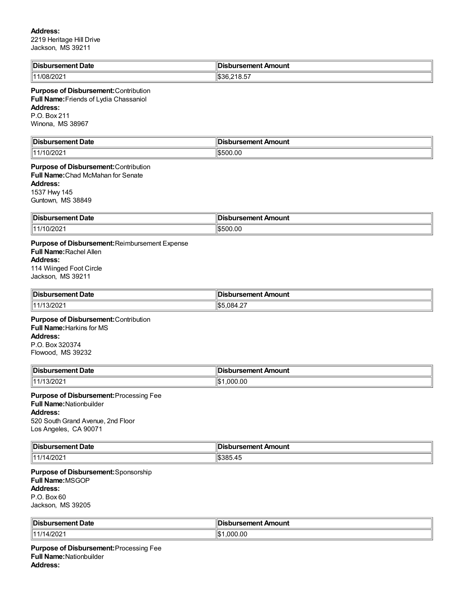#### **Address:**

2219 Heritage Hill Drive Jackson, MS 39211

| Disbursement Date | <b>Disbursement Amount</b> |
|-------------------|----------------------------|
| אנו               | --                         |
| '∪∠               | 1536.218.57                |

#### **Purpose of Disbursement:**Contribution **Full Name:**Friends of Lydia Chassaniol **Address:** P.O. Box 211 Winona, MS 38967

| ים.<br>bursement Date<br>- - | <b>Disbursement Amount</b> |
|------------------------------|----------------------------|
| 1000<br>- 14<br>1/10/2021    | I.D.<br>UU.UU              |

#### **Purpose of Disbursement:**Contribution **Full Name:**Chad McMahan for Senate **Address:** 1537 Hwy 145 Guntown, MS 38849

| $\ $ Dis<br>rsement Date | In.<br>Amount<br>----------<br>sement |
|--------------------------|---------------------------------------|
| 14.<br>.uz               | 0.00                                  |

**Purpose of Disbursement:**Reimbursement Expense **Full Name:**Rachel Allen **Address:** 114 Wiinged Foot Circle Jackson, MS 39211

| 'IDis.<br>rsement Date<br>. | sbursement Amount          |
|-----------------------------|----------------------------|
| 144                         | ורחוו<br>۰.<br>צו<br>004.Z |

#### **Purpose of Disbursement:**Contribution **Full Name:**Harkins for MS **Address:** P.O. Box 320374 Flowood, MS 39232

| ∜Dis       | Amount                                                  |
|------------|---------------------------------------------------------|
| ement Date | <b>RAMANT</b>                                           |
| .          | $\sim$ $\sim$ $\sim$ $\sim$ $\sim$ $\sim$ $\sim$ $\sim$ |
| 144        | . ۱۳<br>ეዐር<br>.uu                                      |

#### **Purpose of Disbursement:**Processing Fee **Full Name:**Nationbuilder **Address:** 520 SouthGrand Avenue, 2nd Floor Los Angeles, CA 90071

| <b>IDis</b><br>Date<br>. | $\sim$ reamont $\sim$<br>Amount<br>ement |
|--------------------------|------------------------------------------|
| 11/14/202                | ิ≺×                                      |
| .                        | $\mathcal{L}$                            |

### **Purpose of Disbursement:**Sponsorship **Full Name:**MSGOP **Address:** P.O. Box 60 Jackson, MS 39205

| IN : .<br>. Date<br>-------<br>. HG<br>sement | sbursement Amount  |
|-----------------------------------------------|--------------------|
| 1/202                                         | 000.00<br>ιm<br>ıъ |

**Purpose of Disbursement:**Processing Fee **Full Name:**Nationbuilder **Address:**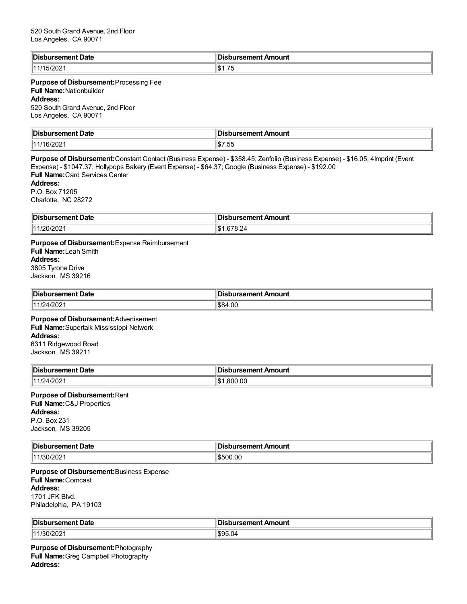| ⊪Di<br>: Date<br>rsement | ursement Amount                                  |
|--------------------------|--------------------------------------------------|
| - 74<br>2UZ              | $\overline{\phantom{a}}$<br>ΙŒ<br>∍ה<br><u>ل</u> |

#### **Purpose of Disbursement:**Processing Fee **Full Name:**Nationbuilder **Address:**

520 South Grand Avenue, 2nd Floor Los Angeles, CA 90071

| ∣Dis<br>ement Date<br>. | $\overline{a}$ , and $\overline{a}$ , and $\overline{a}$ , and $\overline{a}$<br>Amount<br>$\sim$ $\sim$ $\sim$ $\sim$ $\sim$ $\sim$ $\sim$ $\sim$ |
|-------------------------|----------------------------------------------------------------------------------------------------------------------------------------------------|
| 144<br>uz               | $ -$<br>ں                                                                                                                                          |

**Purpose of Disbursement:**Constant Contact (Business Expense) - \$358.45; Zenfolio (Business Expense) - \$16.05; 4Imprint (Event Expense) - \$1047.37; Hollypops Bakery (Event Expense) - \$64.37; Google (Business Expense) - \$192.00 **Full Name:**Card Services Center **Address:** P.O. Box 71205 Charlotte, NC 28272

| ∥Dic<br>Date<br>.<br>rsement<br>. | In:<br>Amount<br>----------<br>.                                      |
|-----------------------------------|-----------------------------------------------------------------------|
| $\sim$<br>Ⅱ4<br>1201202.          | $H$ $\sim$<br>$\sim$<br>$\sim$<br>۱JD<br>$\cup$ . $\sim$<br>$\cdot$ . |

**Purpose of Disbursement:**Expense Reimbursement **Full Name:**Leah Smith **Address:** 3805 Tyrone Drive Jackson, MS 39216

| '∣Dis<br>Date<br>----------<br><br>. | Amount<br>ureamant<br>ш<br>.         |
|--------------------------------------|--------------------------------------|
| 144<br>$\sqrt{ }$<br>$44202$ .       | 1.00<br>$\mathsf{HPOA}$<br>ີ້<br>ாமட |

**Purpose of Disbursement:**Advertisement **Full Name:**Supertalk Mississippi Network **Address:** 6311 Ridgewood Road Jackson, MS 39211

| Disbursement Date | <b>Disbursement Amount</b> |
|-------------------|----------------------------|
| 11/24/2021        | .800.00                    |

## **Purpose of Disbursement:**Rent **Full Name:**C&J Properties **Address:**

P.O. Box 231 Jackson, MS 39205

| ∥Dis<br>Date<br>.<br>.nr<br>. | Amount |
|-------------------------------|--------|
| 4                             | . ≀ ∩  |
| ``                            | -      |
|                               | 1.D.   |

**Purpose of Disbursement:**Business Expense **Full Name:**Comcast **Address:** 1701 JFK Blvd. Philadelphia, PA 19103

| <sup>∥</sup> Dis.<br>Date<br>$  -$<br>ursement | ment Amount<br>samani<br>.<br>ю<br>arser                                |
|------------------------------------------------|-------------------------------------------------------------------------|
| 1 A A<br>ا 20/2071.                            | $\mathbf{m} \cap \mathbf{m}$<br>$\overline{\phantom{a}}$<br>ъ.ч.<br>v.v |

**Purpose of Disbursement:**Photography **Full Name:**Greg Campbell Photography **Address:**